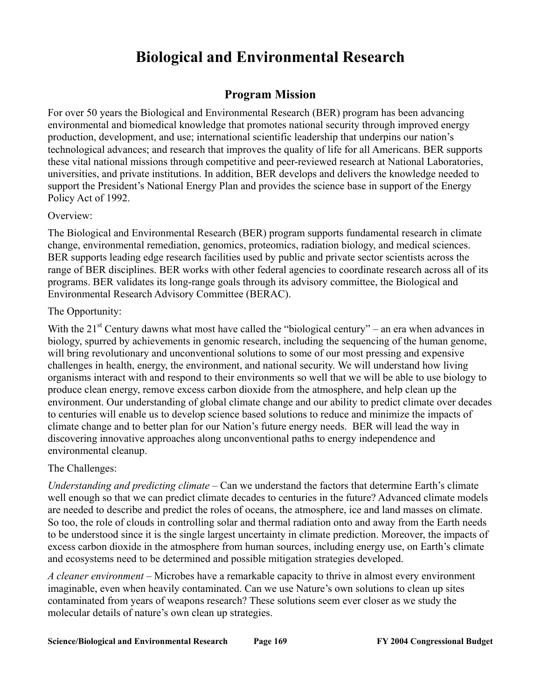# **Biological and Environmental Research**

# **Program Mission**

For over 50 years the Biological and Environmental Research (BER) program has been advancing environmental and biomedical knowledge that promotes national security through improved energy production, development, and use; international scientific leadership that underpins our nation's technological advances; and research that improves the quality of life for all Americans. BER supports these vital national missions through competitive and peer-reviewed research at National Laboratories, universities, and private institutions. In addition, BER develops and delivers the knowledge needed to support the President's National Energy Plan and provides the science base in support of the Energy Policy Act of 1992.

## Overview:

The Biological and Environmental Research (BER) program supports fundamental research in climate change, environmental remediation, genomics, proteomics, radiation biology, and medical sciences. BER supports leading edge research facilities used by public and private sector scientists across the range of BER disciplines. BER works with other federal agencies to coordinate research across all of its programs. BER validates its long-range goals through its advisory committee, the Biological and Environmental Research Advisory Committee (BERAC).

## The Opportunity:

With the  $21^{st}$  Century dawns what most have called the "biological century" – an era when advances in biology, spurred by achievements in genomic research, including the sequencing of the human genome, will bring revolutionary and unconventional solutions to some of our most pressing and expensive challenges in health, energy, the environment, and national security. We will understand how living organisms interact with and respond to their environments so well that we will be able to use biology to produce clean energy, remove excess carbon dioxide from the atmosphere, and help clean up the environment. Our understanding of global climate change and our ability to predict climate over decades to centuries will enable us to develop science based solutions to reduce and minimize the impacts of climate change and to better plan for our Nation's future energy needs. BER will lead the way in discovering innovative approaches along unconventional paths to energy independence and environmental cleanup.

## The Challenges:

*Understanding and predicting climate* – Can we understand the factors that determine Earth's climate well enough so that we can predict climate decades to centuries in the future? Advanced climate models are needed to describe and predict the roles of oceans, the atmosphere, ice and land masses on climate. So too, the role of clouds in controlling solar and thermal radiation onto and away from the Earth needs to be understood since it is the single largest uncertainty in climate prediction. Moreover, the impacts of excess carbon dioxide in the atmosphere from human sources, including energy use, on Earth's climate and ecosystems need to be determined and possible mitigation strategies developed.

*A cleaner environment –* Microbes have a remarkable capacity to thrive in almost every environment imaginable, even when heavily contaminated. Can we use Nature's own solutions to clean up sites contaminated from years of weapons research? These solutions seem ever closer as we study the molecular details of nature's own clean up strategies.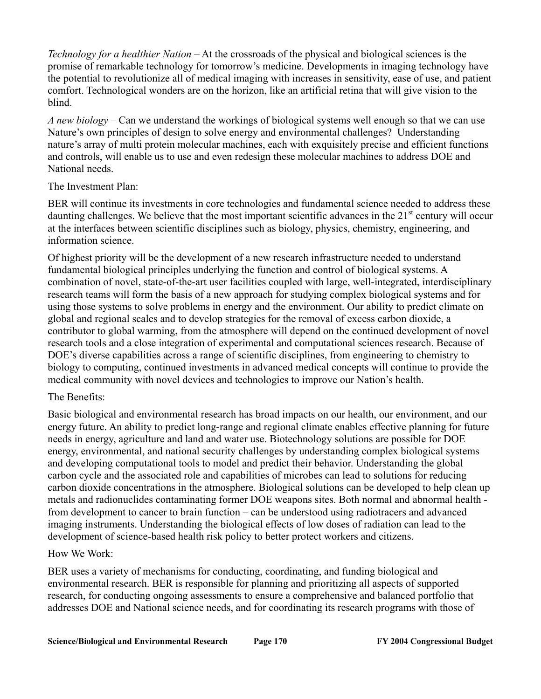*Technology for a healthier Nation* – At the crossroads of the physical and biological sciences is the promise of remarkable technology for tomorrow's medicine. Developments in imaging technology have the potential to revolutionize all of medical imaging with increases in sensitivity, ease of use, and patient comfort. Technological wonders are on the horizon, like an artificial retina that will give vision to the blind.

*A new biology* – Can we understand the workings of biological systems well enough so that we can use Nature's own principles of design to solve energy and environmental challenges? Understanding nature's array of multi protein molecular machines, each with exquisitely precise and efficient functions and controls, will enable us to use and even redesign these molecular machines to address DOE and National needs.

## The Investment Plan:

BER will continue its investments in core technologies and fundamental science needed to address these daunting challenges. We believe that the most important scientific advances in the  $21<sup>st</sup>$  century will occur at the interfaces between scientific disciplines such as biology, physics, chemistry, engineering, and information science.

Of highest priority will be the development of a new research infrastructure needed to understand fundamental biological principles underlying the function and control of biological systems. A combination of novel, state-of-the-art user facilities coupled with large, well-integrated, interdisciplinary research teams will form the basis of a new approach for studying complex biological systems and for using those systems to solve problems in energy and the environment. Our ability to predict climate on global and regional scales and to develop strategies for the removal of excess carbon dioxide, a contributor to global warming, from the atmosphere will depend on the continued development of novel research tools and a close integration of experimental and computational sciences research. Because of DOE's diverse capabilities across a range of scientific disciplines, from engineering to chemistry to biology to computing, continued investments in advanced medical concepts will continue to provide the medical community with novel devices and technologies to improve our Nation's health.

### The Benefits:

Basic biological and environmental research has broad impacts on our health, our environment, and our energy future. An ability to predict long-range and regional climate enables effective planning for future needs in energy, agriculture and land and water use. Biotechnology solutions are possible for DOE energy, environmental, and national security challenges by understanding complex biological systems and developing computational tools to model and predict their behavior. Understanding the global carbon cycle and the associated role and capabilities of microbes can lead to solutions for reducing carbon dioxide concentrations in the atmosphere. Biological solutions can be developed to help clean up metals and radionuclides contaminating former DOE weapons sites. Both normal and abnormal health from development to cancer to brain function – can be understood using radiotracers and advanced imaging instruments. Understanding the biological effects of low doses of radiation can lead to the development of science-based health risk policy to better protect workers and citizens.

### How We Work:

BER uses a variety of mechanisms for conducting, coordinating, and funding biological and environmental research. BER is responsible for planning and prioritizing all aspects of supported research, for conducting ongoing assessments to ensure a comprehensive and balanced portfolio that addresses DOE and National science needs, and for coordinating its research programs with those of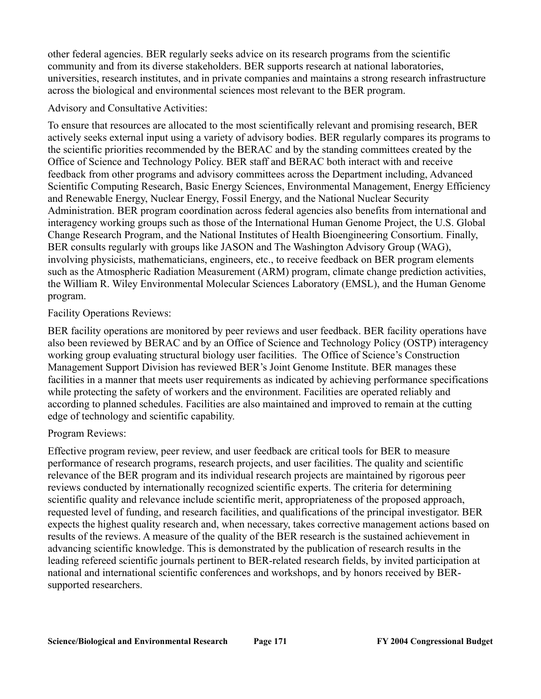other federal agencies. BER regularly seeks advice on its research programs from the scientific community and from its diverse stakeholders. BER supports research at national laboratories, universities, research institutes, and in private companies and maintains a strong research infrastructure across the biological and environmental sciences most relevant to the BER program.

Advisory and Consultative Activities:

To ensure that resources are allocated to the most scientifically relevant and promising research, BER actively seeks external input using a variety of advisory bodies. BER regularly compares its programs to the scientific priorities recommended by the BERAC and by the standing committees created by the Office of Science and Technology Policy. BER staff and BERAC both interact with and receive feedback from other programs and advisory committees across the Department including, Advanced Scientific Computing Research, Basic Energy Sciences, Environmental Management, Energy Efficiency and Renewable Energy, Nuclear Energy, Fossil Energy, and the National Nuclear Security Administration. BER program coordination across federal agencies also benefits from international and interagency working groups such as those of the International Human Genome Project, the U.S. Global Change Research Program, and the National Institutes of Health Bioengineering Consortium. Finally, BER consults regularly with groups like JASON and The Washington Advisory Group (WAG), involving physicists, mathematicians, engineers, etc., to receive feedback on BER program elements such as the Atmospheric Radiation Measurement (ARM) program, climate change prediction activities, the William R. Wiley Environmental Molecular Sciences Laboratory (EMSL), and the Human Genome program.

## Facility Operations Reviews:

BER facility operations are monitored by peer reviews and user feedback. BER facility operations have also been reviewed by BERAC and by an Office of Science and Technology Policy (OSTP) interagency working group evaluating structural biology user facilities. The Office of Science's Construction Management Support Division has reviewed BER's Joint Genome Institute. BER manages these facilities in a manner that meets user requirements as indicated by achieving performance specifications while protecting the safety of workers and the environment. Facilities are operated reliably and according to planned schedules. Facilities are also maintained and improved to remain at the cutting edge of technology and scientific capability.

## Program Reviews:

Effective program review, peer review, and user feedback are critical tools for BER to measure performance of research programs, research projects, and user facilities. The quality and scientific relevance of the BER program and its individual research projects are maintained by rigorous peer reviews conducted by internationally recognized scientific experts. The criteria for determining scientific quality and relevance include scientific merit, appropriateness of the proposed approach, requested level of funding, and research facilities, and qualifications of the principal investigator. BER expects the highest quality research and, when necessary, takes corrective management actions based on results of the reviews. A measure of the quality of the BER research is the sustained achievement in advancing scientific knowledge. This is demonstrated by the publication of research results in the leading refereed scientific journals pertinent to BER-related research fields, by invited participation at national and international scientific conferences and workshops, and by honors received by BERsupported researchers.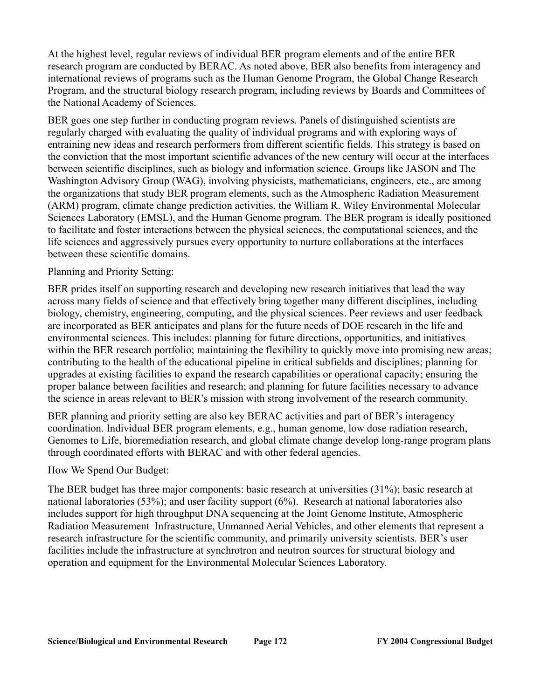At the highest level, regular reviews of individual BER program elements and of the entire BER research program are conducted by BERAC. As noted above, BER also benefits from interagency and international reviews of programs such as the Human Genome Program, the Global Change Research Program, and the structural biology research program, including reviews by Boards and Committees of the National Academy of Sciences.

BER goes one step further in conducting program reviews. Panels of distinguished scientists are regularly charged with evaluating the quality of individual programs and with exploring ways of entraining new ideas and research performers from different scientific fields. This strategy is based on the conviction that the most important scientific advances of the new century will occur at the interfaces between scientific disciplines, such as biology and information science. Groups like JASON and The Washington Advisory Group (WAG), involving physicists, mathematicians, engineers, etc., are among the organizations that study BER program elements, such as the Atmospheric Radiation Measurement (ARM) program, climate change prediction activities, the William R. Wiley Environmental Molecular Sciences Laboratory (EMSL), and the Human Genome program. The BER program is ideally positioned to facilitate and foster interactions between the physical sciences, the computational sciences, and the life sciences and aggressively pursues every opportunity to nurture collaborations at the interfaces between these scientific domains.

## Planning and Priority Setting:

BER prides itself on supporting research and developing new research initiatives that lead the way across many fields of science and that effectively bring together many different disciplines, including biology, chemistry, engineering, computing, and the physical sciences. Peer reviews and user feedback are incorporated as BER anticipates and plans for the future needs of DOE research in the life and environmental sciences. This includes: planning for future directions, opportunities, and initiatives within the BER research portfolio; maintaining the flexibility to quickly move into promising new areas; contributing to the health of the educational pipeline in critical subfields and disciplines; planning for upgrades at existing facilities to expand the research capabilities or operational capacity; ensuring the proper balance between facilities and research; and planning for future facilities necessary to advance the science in areas relevant to BER's mission with strong involvement of the research community.

BER planning and priority setting are also key BERAC activities and part of BER's interagency coordination. Individual BER program elements, e.g., human genome, low dose radiation research, Genomes to Life, bioremediation research, and global climate change develop long-range program plans through coordinated efforts with BERAC and with other federal agencies.

### How We Spend Our Budget:

The BER budget has three major components: basic research at universities (31%); basic research at national laboratories (53%); and user facility support (6%). Research at national laboratories also includes support for high throughput DNA sequencing at the Joint Genome Institute, Atmospheric Radiation Measurement Infrastructure, Unmanned Aerial Vehicles, and other elements that represent a research infrastructure for the scientific community, and primarily university scientists. BER's user facilities include the infrastructure at synchrotron and neutron sources for structural biology and operation and equipment for the Environmental Molecular Sciences Laboratory.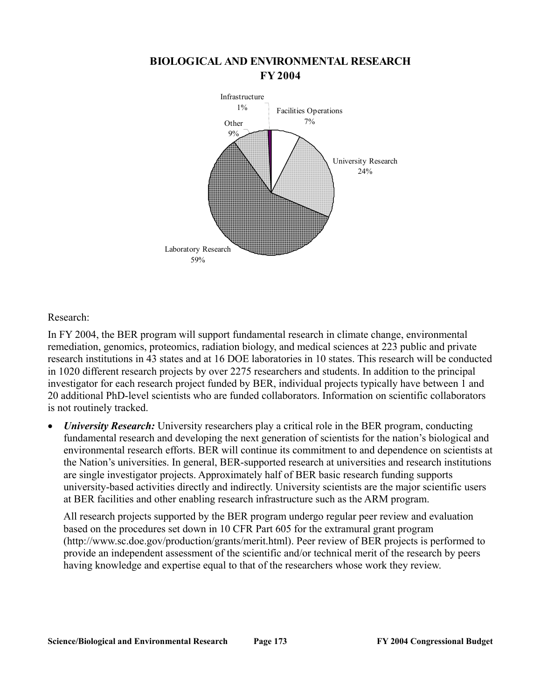

## **BIOLOGICAL AND ENVIRONMENTAL RESEARCH FY 2004**

Research:

In FY 2004, the BER program will support fundamental research in climate change, environmental remediation, genomics, proteomics, radiation biology, and medical sciences at 223 public and private research institutions in 43 states and at 16 DOE laboratories in 10 states. This research will be conducted in 1020 different research projects by over 2275 researchers and students. In addition to the principal investigator for each research project funded by BER, individual projects typically have between 1 and 20 additional PhD-level scientists who are funded collaborators. Information on scientific collaborators is not routinely tracked.

• *University Research:* University researchers play a critical role in the BER program, conducting fundamental research and developing the next generation of scientists for the nation's biological and environmental research efforts. BER will continue its commitment to and dependence on scientists at the Nation's universities. In general, BER-supported research at universities and research institutions are single investigator projects. Approximately half of BER basic research funding supports university-based activities directly and indirectly. University scientists are the major scientific users at BER facilities and other enabling research infrastructure such as the ARM program.

All research projects supported by the BER program undergo regular peer review and evaluation based on the procedures set down in 10 CFR Part 605 for the extramural grant program (http://www.sc.doe.gov/production/grants/merit.html). Peer review of BER projects is performed to provide an independent assessment of the scientific and/or technical merit of the research by peers having knowledge and expertise equal to that of the researchers whose work they review.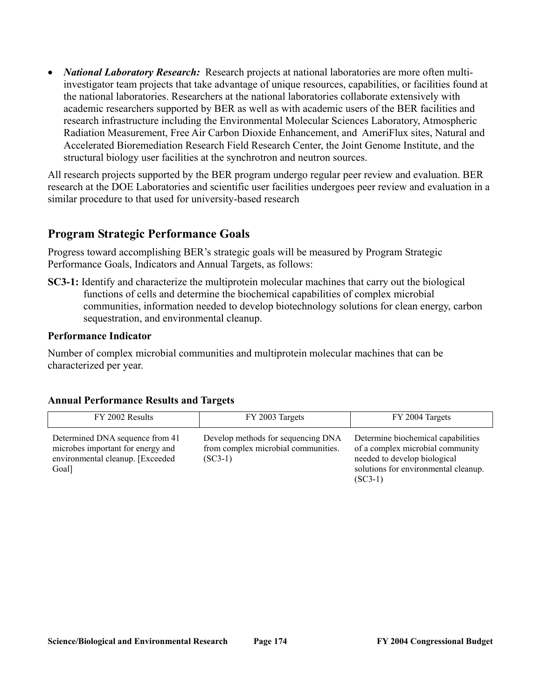• *National Laboratory Research:* Research projects at national laboratories are more often multiinvestigator team projects that take advantage of unique resources, capabilities, or facilities found at the national laboratories. Researchers at the national laboratories collaborate extensively with academic researchers supported by BER as well as with academic users of the BER facilities and research infrastructure including the Environmental Molecular Sciences Laboratory, Atmospheric Radiation Measurement, Free Air Carbon Dioxide Enhancement, and AmeriFlux sites, Natural and Accelerated Bioremediation Research Field Research Center, the Joint Genome Institute, and the structural biology user facilities at the synchrotron and neutron sources.

All research projects supported by the BER program undergo regular peer review and evaluation. BER research at the DOE Laboratories and scientific user facilities undergoes peer review and evaluation in a similar procedure to that used for university-based research

## **Program Strategic Performance Goals**

Progress toward accomplishing BER's strategic goals will be measured by Program Strategic Performance Goals, Indicators and Annual Targets, as follows:

**SC3-1:** Identify and characterize the multiprotein molecular machines that carry out the biological functions of cells and determine the biochemical capabilities of complex microbial communities, information needed to develop biotechnology solutions for clean energy, carbon sequestration, and environmental cleanup.

### **Performance Indicator**

Number of complex microbial communities and multiprotein molecular machines that can be characterized per year.

| FY 2002 Results                                                                                                   | FY 2003 Targets                                                                        | FY 2004 Targets                                                                                                                                             |
|-------------------------------------------------------------------------------------------------------------------|----------------------------------------------------------------------------------------|-------------------------------------------------------------------------------------------------------------------------------------------------------------|
| Determined DNA sequence from 41<br>microbes important for energy and<br>environmental cleanup. [Exceeded<br>Goal] | Develop methods for sequencing DNA<br>from complex microbial communities.<br>$(SC3-1)$ | Determine biochemical capabilities<br>of a complex microbial community<br>needed to develop biological<br>solutions for environmental cleanup.<br>$(SC3-1)$ |

## **Annual Performance Results and Targets**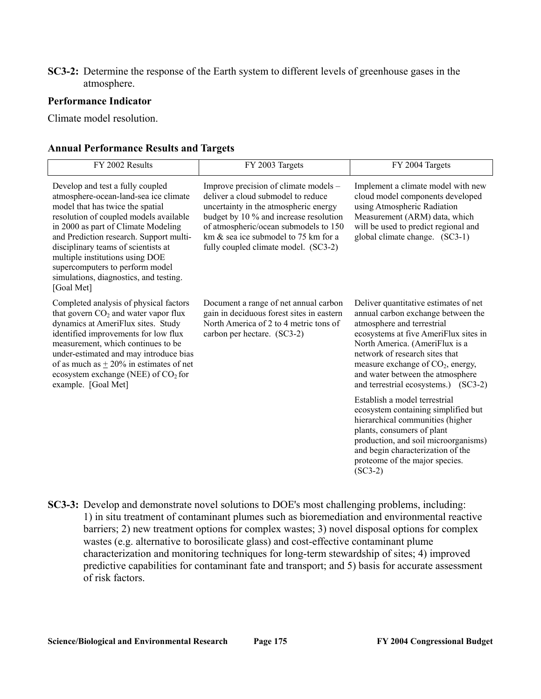## **SC3-2:** Determine the response of the Earth system to different levels of greenhouse gases in the atmosphere.

### **Performance Indicator**

Climate model resolution.

### **Annual Performance Results and Targets**

| FY 2002 Results                                                                                                                                                                                                                                                                                                                                                                                                | FY 2003 Targets                                                                                                                                                                                                                                                                            | FY 2004 Targets                                                                                                                                                                                                                                                                                                                           |
|----------------------------------------------------------------------------------------------------------------------------------------------------------------------------------------------------------------------------------------------------------------------------------------------------------------------------------------------------------------------------------------------------------------|--------------------------------------------------------------------------------------------------------------------------------------------------------------------------------------------------------------------------------------------------------------------------------------------|-------------------------------------------------------------------------------------------------------------------------------------------------------------------------------------------------------------------------------------------------------------------------------------------------------------------------------------------|
| Develop and test a fully coupled<br>atmosphere-ocean-land-sea ice climate<br>model that has twice the spatial<br>resolution of coupled models available<br>in 2000 as part of Climate Modeling<br>and Prediction research. Support multi-<br>disciplinary teams of scientists at<br>multiple institutions using DOE<br>supercomputers to perform model<br>simulations, diagnostics, and testing.<br>[Goal Met] | Improve precision of climate models -<br>deliver a cloud submodel to reduce<br>uncertainty in the atmospheric energy<br>budget by 10 % and increase resolution<br>of atmospheric/ocean submodels to 150<br>km $\&$ sea ice submodel to 75 km for a<br>fully coupled climate model. (SC3-2) | Implement a climate model with new<br>cloud model components developed<br>using Atmospheric Radiation<br>Measurement (ARM) data, which<br>will be used to predict regional and<br>global climate change. (SC3-1)                                                                                                                          |
| Completed analysis of physical factors<br>that govern $CO2$ and water vapor flux<br>dynamics at AmeriFlux sites. Study<br>identified improvements for low flux<br>measurement, which continues to be<br>under-estimated and may introduce bias<br>of as much as $\pm$ 20% in estimates of net<br>ecosystem exchange (NEE) of $CO2$ for<br>example. [Goal Met]                                                  | Document a range of net annual carbon<br>gain in deciduous forest sites in eastern<br>North America of 2 to 4 metric tons of<br>carbon per hectare. (SC3-2)                                                                                                                                | Deliver quantitative estimates of net<br>annual carbon exchange between the<br>atmosphere and terrestrial<br>ecosystems at five AmeriFlux sites in<br>North America. (AmeriFlux is a<br>network of research sites that<br>measure exchange of $CO2$ , energy,<br>and water between the atmosphere<br>and terrestrial ecosystems.) (SC3-2) |
|                                                                                                                                                                                                                                                                                                                                                                                                                |                                                                                                                                                                                                                                                                                            | Establish a model terrestrial<br>ecosystem containing simplified but<br>hierarchical communities (higher<br>plants, consumers of plant<br>production, and soil microorganisms)<br>and begin characterization of the<br>proteome of the major species.<br>$(SC3-2)$                                                                        |

**SC3-3:** Develop and demonstrate novel solutions to DOE's most challenging problems, including: 1) in situ treatment of contaminant plumes such as bioremediation and environmental reactive barriers; 2) new treatment options for complex wastes; 3) novel disposal options for complex wastes (e.g. alternative to borosilicate glass) and cost-effective contaminant plume characterization and monitoring techniques for long-term stewardship of sites; 4) improved predictive capabilities for contaminant fate and transport; and 5) basis for accurate assessment of risk factors.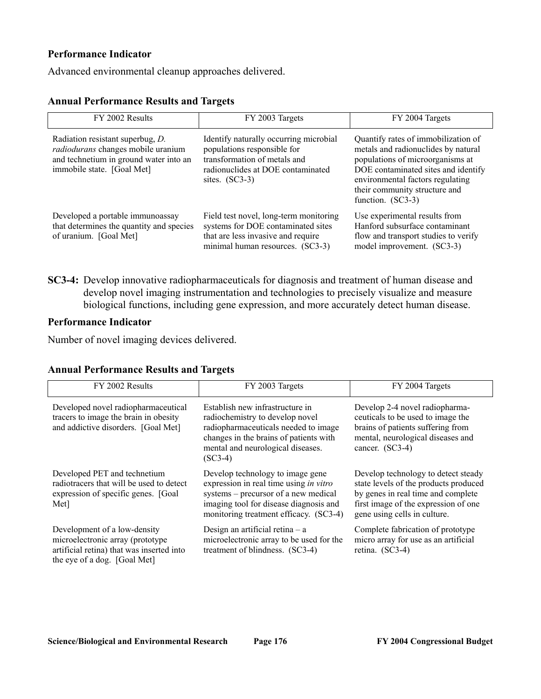## **Performance Indicator**

Advanced environmental cleanup approaches delivered.

### **Annual Performance Results and Targets**

| FY 2002 Results                                                                                                                                | FY 2003 Targets                                                                                                                                                | FY 2004 Targets                                                                                                                                                                                                                                   |
|------------------------------------------------------------------------------------------------------------------------------------------------|----------------------------------------------------------------------------------------------------------------------------------------------------------------|---------------------------------------------------------------------------------------------------------------------------------------------------------------------------------------------------------------------------------------------------|
| Radiation resistant superbug, D.<br>radiodurans changes mobile uranium<br>and technetium in ground water into an<br>immobile state. [Goal Met] | Identify naturally occurring microbial<br>populations responsible for<br>transformation of metals and<br>radionuclides at DOE contaminated<br>sites. $(SC3-3)$ | Quantify rates of immobilization of<br>metals and radionuclides by natural<br>populations of microorganisms at<br>DOE contaminated sites and identify<br>environmental factors regulating<br>their community structure and<br>function. $(SC3-3)$ |
| Developed a portable immunoassay<br>that determines the quantity and species<br>of uranium. [Goal Met]                                         | Field test novel, long-term monitoring<br>systems for DOE contaminated sites<br>that are less invasive and require<br>minimal human resources. (SC3-3)         | Use experimental results from<br>Hanford subsurface contaminant<br>flow and transport studies to verify<br>model improvement. (SC3-3)                                                                                                             |

**SC3-4:** Develop innovative radiopharmaceuticals for diagnosis and treatment of human disease and develop novel imaging instrumentation and technologies to precisely visualize and measure biological functions, including gene expression, and more accurately detect human disease.

## **Performance Indicator**

Number of novel imaging devices delivered.

## **Annual Performance Results and Targets**

| FY 2002 Results                                                                                                                               | FY 2003 Targets                                                                                                                                                                                        | FY 2004 Targets                                                                                                                                                                            |
|-----------------------------------------------------------------------------------------------------------------------------------------------|--------------------------------------------------------------------------------------------------------------------------------------------------------------------------------------------------------|--------------------------------------------------------------------------------------------------------------------------------------------------------------------------------------------|
| Developed novel radiopharmaceutical<br>tracers to image the brain in obesity<br>and addictive disorders. [Goal Met]                           | Establish new infrastructure in<br>radiochemistry to develop novel<br>radiopharmaceuticals needed to image<br>changes in the brains of patients with<br>mental and neurological diseases.<br>$(SC3-4)$ | Develop 2-4 novel radiopharma-<br>ceuticals to be used to image the<br>brains of patients suffering from<br>mental, neurological diseases and<br>cancer. $(SC3-4)$                         |
| Developed PET and technetium<br>radiotracers that will be used to detect<br>expression of specific genes. [Goal]<br>Met <sub>1</sub>          | Develop technology to image gene<br>expression in real time using in vitro<br>systems – precursor of a new medical<br>imaging tool for disease diagnosis and<br>monitoring treatment efficacy. (SC3-4) | Develop technology to detect steady<br>state levels of the products produced<br>by genes in real time and complete<br>first image of the expression of one<br>gene using cells in culture. |
| Development of a low-density<br>microelectronic array (prototype<br>artificial retina) that was inserted into<br>the eye of a dog. [Goal Met] | Design an artificial retina $-$ a<br>microelectronic array to be used for the<br>treatment of blindness. (SC3-4)                                                                                       | Complete fabrication of prototype<br>micro array for use as an artificial<br>retina. (SC3-4)                                                                                               |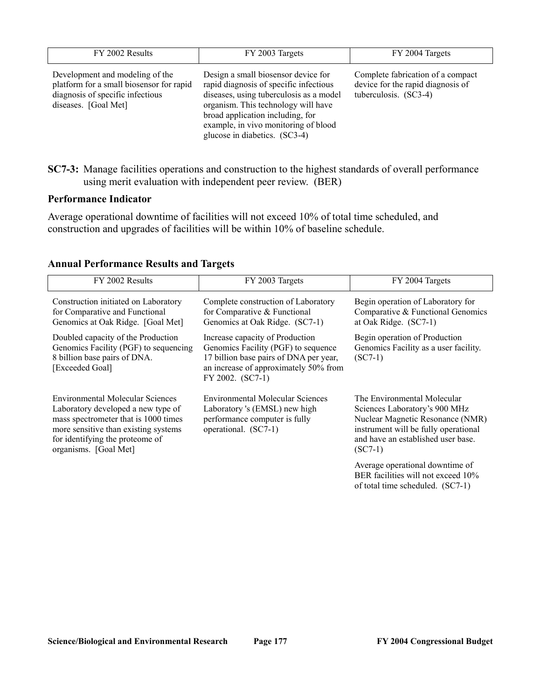| FY 2002 Results                                                                                                                         | FY 2003 Targets                                                                                                                                                                                                                                                              | FY 2004 Targets                                                                                 |
|-----------------------------------------------------------------------------------------------------------------------------------------|------------------------------------------------------------------------------------------------------------------------------------------------------------------------------------------------------------------------------------------------------------------------------|-------------------------------------------------------------------------------------------------|
| Development and modeling of the<br>platform for a small biosensor for rapid<br>diagnosis of specific infectious<br>diseases. [Goal Met] | Design a small biosensor device for<br>rapid diagnosis of specific infectious<br>diseases, using tuberculosis as a model<br>organism. This technology will have<br>broad application including, for<br>example, in vivo monitoring of blood<br>glucose in diabetics. (SC3-4) | Complete fabrication of a compact<br>device for the rapid diagnosis of<br>tuberculosis. (SC3-4) |

**SC7-3:** Manage facilities operations and construction to the highest standards of overall performance using merit evaluation with independent peer review. (BER)

### **Performance Indicator**

Average operational downtime of facilities will not exceed 10% of total time scheduled, and construction and upgrades of facilities will be within 10% of baseline schedule.

| FY 2002 Results                                                                                                                                                                                                           | FY 2003 Targets                                                                                                                                                               | FY 2004 Targets                                                                                                                                                                             |
|---------------------------------------------------------------------------------------------------------------------------------------------------------------------------------------------------------------------------|-------------------------------------------------------------------------------------------------------------------------------------------------------------------------------|---------------------------------------------------------------------------------------------------------------------------------------------------------------------------------------------|
| Construction initiated on Laboratory<br>for Comparative and Functional<br>Genomics at Oak Ridge. [Goal Met]                                                                                                               | Complete construction of Laboratory<br>for Comparative & Functional<br>Genomics at Oak Ridge. (SC7-1)                                                                         | Begin operation of Laboratory for<br>Comparative & Functional Genomics<br>at Oak Ridge. (SC7-1)                                                                                             |
| Doubled capacity of the Production<br>Genomics Facility (PGF) to sequencing<br>8 billion base pairs of DNA.<br>[Exceeded Goal]                                                                                            | Increase capacity of Production<br>Genomics Facility (PGF) to sequence<br>17 billion base pairs of DNA per year,<br>an increase of approximately 50% from<br>FY 2002. (SC7-1) | Begin operation of Production<br>Genomics Facility as a user facility.<br>$(SC7-1)$                                                                                                         |
| <b>Environmental Molecular Sciences</b><br>Laboratory developed a new type of<br>mass spectrometer that is 1000 times<br>more sensitive than existing systems<br>for identifying the proteome of<br>organisms. [Goal Met] | <b>Environmental Molecular Sciences</b><br>Laboratory 's (EMSL) new high<br>performance computer is fully<br>operational. (SC7-1)                                             | The Environmental Molecular<br>Sciences Laboratory's 900 MHz<br>Nuclear Magnetic Resonance (NMR)<br>instrument will be fully operational<br>and have an established user base.<br>$(SC7-1)$ |
|                                                                                                                                                                                                                           |                                                                                                                                                                               | Average operational downtime of<br>BER facilities will not exceed 10%<br>of total time scheduled. (SC7-1)                                                                                   |

## **Annual Performance Results and Targets**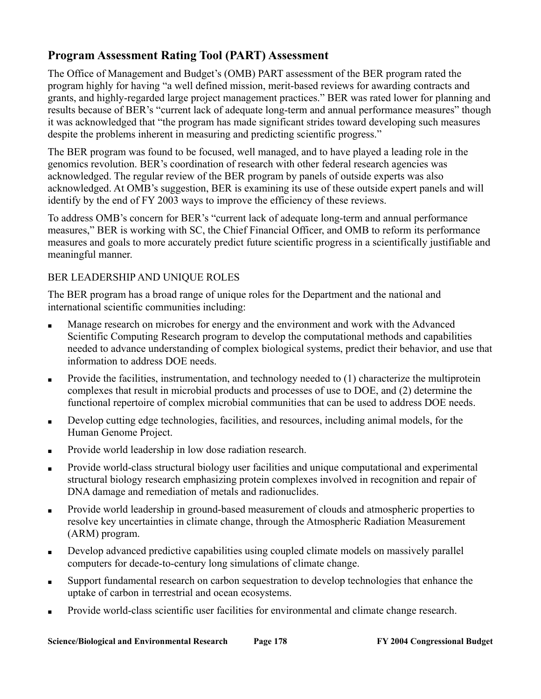# **Program Assessment Rating Tool (PART) Assessment**

The Office of Management and Budget's (OMB) PART assessment of the BER program rated the program highly for having "a well defined mission, merit-based reviews for awarding contracts and grants, and highly-regarded large project management practices." BER was rated lower for planning and results because of BER's "current lack of adequate long-term and annual performance measures" though it was acknowledged that "the program has made significant strides toward developing such measures despite the problems inherent in measuring and predicting scientific progress."

The BER program was found to be focused, well managed, and to have played a leading role in the genomics revolution. BER's coordination of research with other federal research agencies was acknowledged. The regular review of the BER program by panels of outside experts was also acknowledged. At OMB's suggestion, BER is examining its use of these outside expert panels and will identify by the end of FY 2003 ways to improve the efficiency of these reviews.

To address OMB's concern for BER's "current lack of adequate long-term and annual performance measures," BER is working with SC, the Chief Financial Officer, and OMB to reform its performance measures and goals to more accurately predict future scientific progress in a scientifically justifiable and meaningful manner.

## BER LEADERSHIP AND UNIQUE ROLES

The BER program has a broad range of unique roles for the Department and the national and international scientific communities including:

- Manage research on microbes for energy and the environment and work with the Advanced Scientific Computing Research program to develop the computational methods and capabilities needed to advance understanding of complex biological systems, predict their behavior, and use that information to address DOE needs.
- Provide the facilities, instrumentation, and technology needed to (1) characterize the multiprotein complexes that result in microbial products and processes of use to DOE, and (2) determine the functional repertoire of complex microbial communities that can be used to address DOE needs.
- Develop cutting edge technologies, facilities, and resources, including animal models, for the Human Genome Project.
- Provide world leadership in low dose radiation research.
- Provide world-class structural biology user facilities and unique computational and experimental structural biology research emphasizing protein complexes involved in recognition and repair of DNA damage and remediation of metals and radionuclides.
- Provide world leadership in ground-based measurement of clouds and atmospheric properties to resolve key uncertainties in climate change, through the Atmospheric Radiation Measurement (ARM) program.
- Develop advanced predictive capabilities using coupled climate models on massively parallel computers for decade-to-century long simulations of climate change.
- Support fundamental research on carbon sequestration to develop technologies that enhance the uptake of carbon in terrestrial and ocean ecosystems.
- Provide world-class scientific user facilities for environmental and climate change research.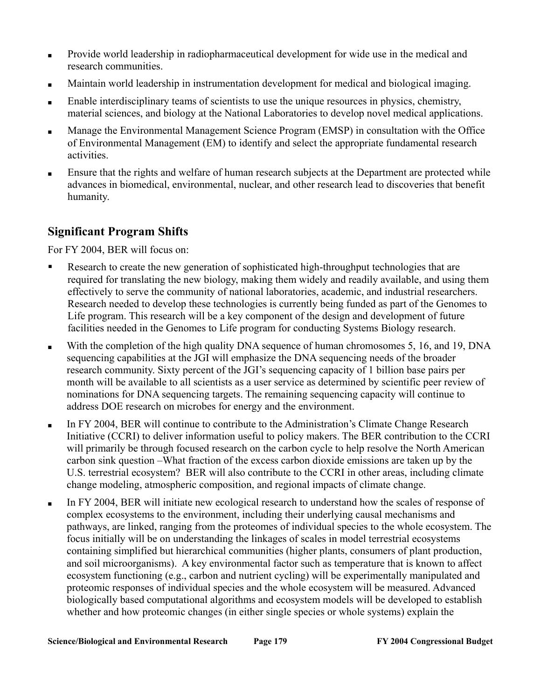- Provide world leadership in radiopharmaceutical development for wide use in the medical and research communities.
- Maintain world leadership in instrumentation development for medical and biological imaging.
- Enable interdisciplinary teams of scientists to use the unique resources in physics, chemistry, material sciences, and biology at the National Laboratories to develop novel medical applications.
- Manage the Environmental Management Science Program (EMSP) in consultation with the Office of Environmental Management (EM) to identify and select the appropriate fundamental research activities.
- Ensure that the rights and welfare of human research subjects at the Department are protected while advances in biomedical, environmental, nuclear, and other research lead to discoveries that benefit humanity.

# **Significant Program Shifts**

For FY 2004, BER will focus on:

- $\blacksquare$ Research to create the new generation of sophisticated high-throughput technologies that are required for translating the new biology, making them widely and readily available, and using them effectively to serve the community of national laboratories, academic, and industrial researchers. Research needed to develop these technologies is currently being funded as part of the Genomes to Life program. This research will be a key component of the design and development of future facilities needed in the Genomes to Life program for conducting Systems Biology research.
- With the completion of the high quality DNA sequence of human chromosomes 5, 16, and 19, DNA sequencing capabilities at the JGI will emphasize the DNA sequencing needs of the broader research community. Sixty percent of the JGI's sequencing capacity of 1 billion base pairs per month will be available to all scientists as a user service as determined by scientific peer review of nominations for DNA sequencing targets. The remaining sequencing capacity will continue to address DOE research on microbes for energy and the environment.
- In FY 2004, BER will continue to contribute to the Administration's Climate Change Research Initiative (CCRI) to deliver information useful to policy makers. The BER contribution to the CCRI will primarily be through focused research on the carbon cycle to help resolve the North American carbon sink question –What fraction of the excess carbon dioxide emissions are taken up by the U.S. terrestrial ecosystem? BER will also contribute to the CCRI in other areas, including climate change modeling, atmospheric composition, and regional impacts of climate change.
- In FY 2004, BER will initiate new ecological research to understand how the scales of response of complex ecosystems to the environment, including their underlying causal mechanisms and pathways, are linked, ranging from the proteomes of individual species to the whole ecosystem. The focus initially will be on understanding the linkages of scales in model terrestrial ecosystems containing simplified but hierarchical communities (higher plants, consumers of plant production, and soil microorganisms). A key environmental factor such as temperature that is known to affect ecosystem functioning (e.g., carbon and nutrient cycling) will be experimentally manipulated and proteomic responses of individual species and the whole ecosystem will be measured. Advanced biologically based computational algorithms and ecosystem models will be developed to establish whether and how proteomic changes (in either single species or whole systems) explain the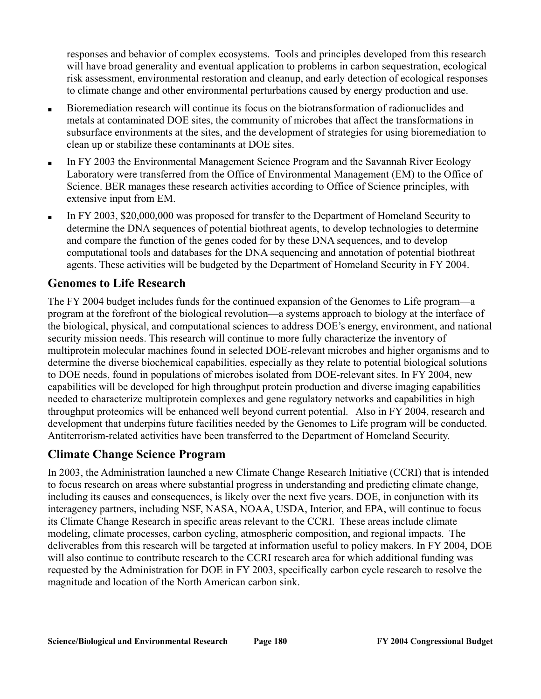responses and behavior of complex ecosystems. Tools and principles developed from this research will have broad generality and eventual application to problems in carbon sequestration, ecological risk assessment, environmental restoration and cleanup, and early detection of ecological responses to climate change and other environmental perturbations caused by energy production and use.

- Bioremediation research will continue its focus on the biotransformation of radionuclides and metals at contaminated DOE sites, the community of microbes that affect the transformations in subsurface environments at the sites, and the development of strategies for using bioremediation to clean up or stabilize these contaminants at DOE sites.
- In FY 2003 the Environmental Management Science Program and the Savannah River Ecology Laboratory were transferred from the Office of Environmental Management (EM) to the Office of Science. BER manages these research activities according to Office of Science principles, with extensive input from EM.
- In FY 2003, \$20,000,000 was proposed for transfer to the Department of Homeland Security to determine the DNA sequences of potential biothreat agents, to develop technologies to determine and compare the function of the genes coded for by these DNA sequences, and to develop computational tools and databases for the DNA sequencing and annotation of potential biothreat agents. These activities will be budgeted by the Department of Homeland Security in FY 2004.

# **Genomes to Life Research**

The FY 2004 budget includes funds for the continued expansion of the Genomes to Life program—a program at the forefront of the biological revolution—a systems approach to biology at the interface of the biological, physical, and computational sciences to address DOE's energy, environment, and national security mission needs. This research will continue to more fully characterize the inventory of multiprotein molecular machines found in selected DOE-relevant microbes and higher organisms and to determine the diverse biochemical capabilities, especially as they relate to potential biological solutions to DOE needs, found in populations of microbes isolated from DOE-relevant sites. In FY 2004, new capabilities will be developed for high throughput protein production and diverse imaging capabilities needed to characterize multiprotein complexes and gene regulatory networks and capabilities in high throughput proteomics will be enhanced well beyond current potential. Also in FY 2004, research and development that underpins future facilities needed by the Genomes to Life program will be conducted. Antiterrorism-related activities have been transferred to the Department of Homeland Security.

# **Climate Change Science Program**

In 2003, the Administration launched a new Climate Change Research Initiative (CCRI) that is intended to focus research on areas where substantial progress in understanding and predicting climate change, including its causes and consequences, is likely over the next five years. DOE, in conjunction with its interagency partners, including NSF, NASA, NOAA, USDA, Interior, and EPA, will continue to focus its Climate Change Research in specific areas relevant to the CCRI. These areas include climate modeling, climate processes, carbon cycling, atmospheric composition, and regional impacts. The deliverables from this research will be targeted at information useful to policy makers. In FY 2004, DOE will also continue to contribute research to the CCRI research area for which additional funding was requested by the Administration for DOE in FY 2003, specifically carbon cycle research to resolve the magnitude and location of the North American carbon sink.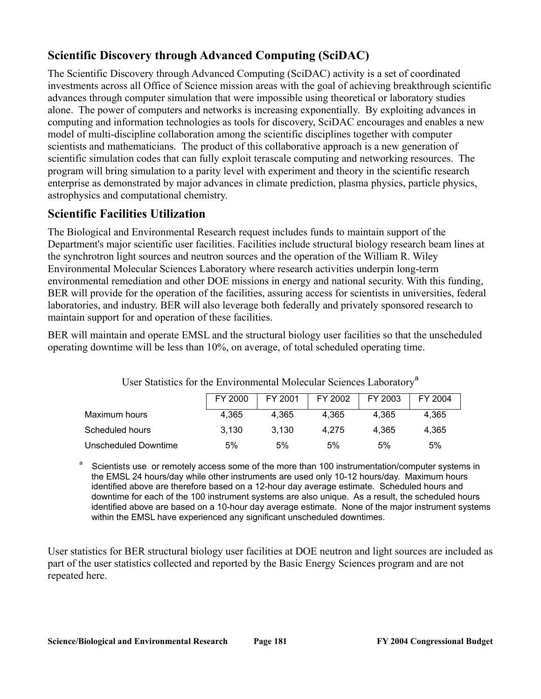# **Scientific Discovery through Advanced Computing (SciDAC)**

The Scientific Discovery through Advanced Computing (SciDAC) activity is a set of coordinated investments across all Office of Science mission areas with the goal of achieving breakthrough scientific advances through computer simulation that were impossible using theoretical or laboratory studies alone. The power of computers and networks is increasing exponentially. By exploiting advances in computing and information technologies as tools for discovery, SciDAC encourages and enables a new model of multi-discipline collaboration among the scientific disciplines together with computer scientists and mathematicians. The product of this collaborative approach is a new generation of scientific simulation codes that can fully exploit terascale computing and networking resources. The program will bring simulation to a parity level with experiment and theory in the scientific research enterprise as demonstrated by major advances in climate prediction, plasma physics, particle physics, astrophysics and computational chemistry.

# **Scientific Facilities Utilization**

The Biological and Environmental Research request includes funds to maintain support of the Department's major scientific user facilities. Facilities include structural biology research beam lines at the synchrotron light sources and neutron sources and the operation of the William R. Wiley Environmental Molecular Sciences Laboratory where research activities underpin long-term environmental remediation and other DOE missions in energy and national security. With this funding, BER will provide for the operation of the facilities, assuring access for scientists in universities, federal laboratories, and industry. BER will also leverage both federally and privately sponsored research to maintain support for and operation of these facilities.

BER will maintain and operate EMSL and the structural biology user facilities so that the unscheduled operating downtime will be less than 10%, on average, of total scheduled operating time.

|                      | FY 2000 | FY 2001 | FY 2002 | FY 2003 | FY 2004 |
|----------------------|---------|---------|---------|---------|---------|
| Maximum hours        | 4.365   | 4.365   | 4.365   | 4.365   | 4.365   |
| Scheduled hours      | 3.130   | 3.130   | 4.275   | 4.365   | 4.365   |
| Unscheduled Downtime | 5%      | 5%      | 5%      | 5%      | 5%      |

User Statistics for the Environmental Molecular Sciences Laboratory<sup>a</sup>

Scientists use or remotely access some of the more than 100 instrumentation/computer systems in the EMSL 24 hours/day while other instruments are used only 10-12 hours/day. Maximum hours identified above are therefore based on a 12-hour day average estimate. Scheduled hours and downtime for each of the 100 instrument systems are also unique. As a result, the scheduled hours identified above are based on a 10-hour day average estimate. None of the major instrument systems within the EMSL have experienced any significant unscheduled downtimes.

User statistics for BER structural biology user facilities at DOE neutron and light sources are included as part of the user statistics collected and reported by the Basic Energy Sciences program and are not repeated here.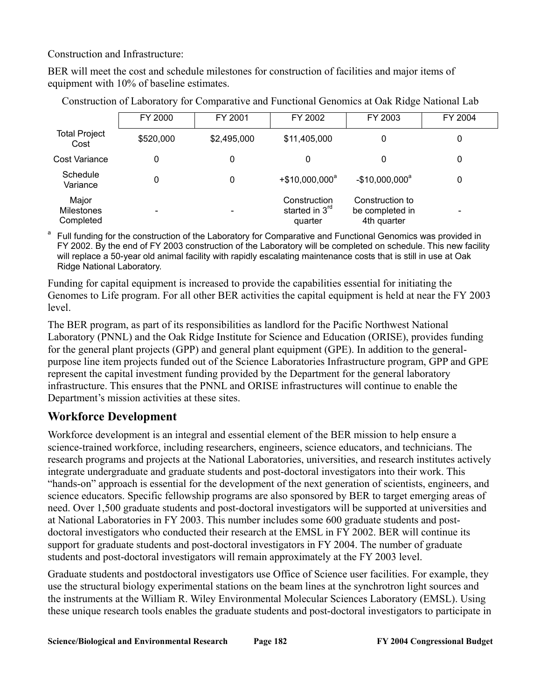Construction and Infrastructure:

BER will meet the cost and schedule milestones for construction of facilities and major items of equipment with 10% of baseline estimates.

|                                  | FY 2000   | FY 2001                  | FY 2002                                               | FY 2003                                           | FY 2004                  |
|----------------------------------|-----------|--------------------------|-------------------------------------------------------|---------------------------------------------------|--------------------------|
| <b>Total Project</b><br>Cost     | \$520,000 | \$2,495,000              | \$11,405,000                                          | 0                                                 | 0                        |
| Cost Variance                    | 0         | 0                        | 0                                                     | 0                                                 | 0                        |
| Schedule<br>Variance             | 0         | 0                        | $+$ \$10,000,000 <sup>a</sup>                         | $-$10,000,000^a$                                  | 0                        |
| Major<br>Milestones<br>Completed |           | $\overline{\phantom{a}}$ | Construction<br>started in 3 <sup>rd</sup><br>quarter | Construction to<br>be completed in<br>4th quarter | $\overline{\phantom{0}}$ |

Construction of Laboratory for Comparative and Functional Genomics at Oak Ridge National Lab

Full funding for the construction of the Laboratory for Comparative and Functional Genomics was provided in FY 2002. By the end of FY 2003 construction of the Laboratory will be completed on schedule. This new facility will replace a 50-year old animal facility with rapidly escalating maintenance costs that is still in use at Oak Ridge National Laboratory.

Funding for capital equipment is increased to provide the capabilities essential for initiating the Genomes to Life program. For all other BER activities the capital equipment is held at near the FY 2003 level.

The BER program, as part of its responsibilities as landlord for the Pacific Northwest National Laboratory (PNNL) and the Oak Ridge Institute for Science and Education (ORISE), provides funding for the general plant projects (GPP) and general plant equipment (GPE). In addition to the generalpurpose line item projects funded out of the Science Laboratories Infrastructure program, GPP and GPE represent the capital investment funding provided by the Department for the general laboratory infrastructure. This ensures that the PNNL and ORISE infrastructures will continue to enable the Department's mission activities at these sites.

# **Workforce Development**

Workforce development is an integral and essential element of the BER mission to help ensure a science-trained workforce, including researchers, engineers, science educators, and technicians. The research programs and projects at the National Laboratories, universities, and research institutes actively integrate undergraduate and graduate students and post-doctoral investigators into their work. This "hands-on" approach is essential for the development of the next generation of scientists, engineers, and science educators. Specific fellowship programs are also sponsored by BER to target emerging areas of need. Over 1,500 graduate students and post-doctoral investigators will be supported at universities and at National Laboratories in FY 2003. This number includes some 600 graduate students and postdoctoral investigators who conducted their research at the EMSL in FY 2002. BER will continue its support for graduate students and post-doctoral investigators in FY 2004. The number of graduate students and post-doctoral investigators will remain approximately at the FY 2003 level.

Graduate students and postdoctoral investigators use Office of Science user facilities. For example, they use the structural biology experimental stations on the beam lines at the synchrotron light sources and the instruments at the William R. Wiley Environmental Molecular Sciences Laboratory (EMSL). Using these unique research tools enables the graduate students and post-doctoral investigators to participate in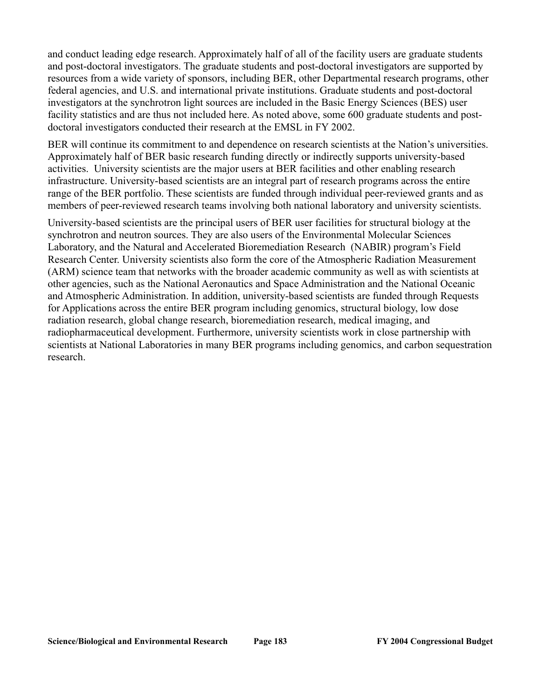and conduct leading edge research. Approximately half of all of the facility users are graduate students and post-doctoral investigators. The graduate students and post-doctoral investigators are supported by resources from a wide variety of sponsors, including BER, other Departmental research programs, other federal agencies, and U.S. and international private institutions. Graduate students and post-doctoral investigators at the synchrotron light sources are included in the Basic Energy Sciences (BES) user facility statistics and are thus not included here. As noted above, some 600 graduate students and postdoctoral investigators conducted their research at the EMSL in FY 2002.

BER will continue its commitment to and dependence on research scientists at the Nation's universities. Approximately half of BER basic research funding directly or indirectly supports university-based activities. University scientists are the major users at BER facilities and other enabling research infrastructure. University-based scientists are an integral part of research programs across the entire range of the BER portfolio. These scientists are funded through individual peer-reviewed grants and as members of peer-reviewed research teams involving both national laboratory and university scientists.

University-based scientists are the principal users of BER user facilities for structural biology at the synchrotron and neutron sources. They are also users of the Environmental Molecular Sciences Laboratory, and the Natural and Accelerated Bioremediation Research (NABIR) program's Field Research Center. University scientists also form the core of the Atmospheric Radiation Measurement (ARM) science team that networks with the broader academic community as well as with scientists at other agencies, such as the National Aeronautics and Space Administration and the National Oceanic and Atmospheric Administration. In addition, university-based scientists are funded through Requests for Applications across the entire BER program including genomics, structural biology, low dose radiation research, global change research, bioremediation research, medical imaging, and radiopharmaceutical development. Furthermore, university scientists work in close partnership with scientists at National Laboratories in many BER programs including genomics, and carbon sequestration research.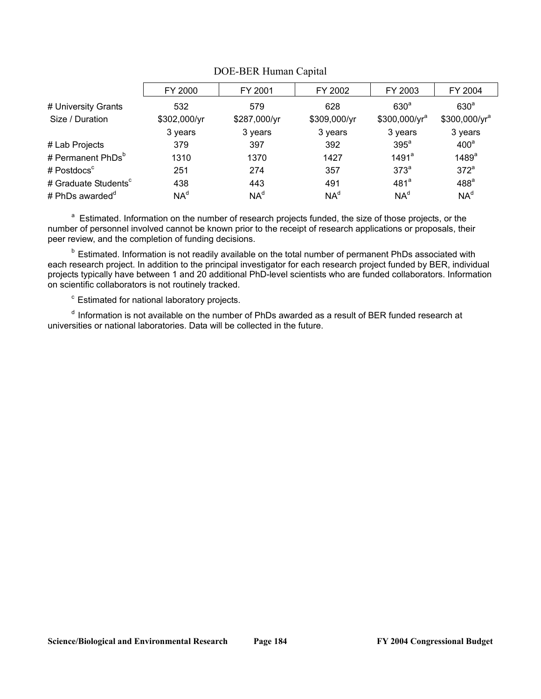| FY 2000         | FY 2001         | FY 2002         | FY 2003           | FY 2004                   |
|-----------------|-----------------|-----------------|-------------------|---------------------------|
| 532             | 579             | 628             | 630 <sup>a</sup>  | 630 <sup>a</sup>          |
| \$302,000/yr    | \$287,000/yr    | \$309,000/yr    | $$300,000/yr^a$   | \$300,000/yr <sup>a</sup> |
| 3 years         | 3 years         | 3 years         | 3 years           | 3 years                   |
| 379             | 397             | 392             | $395^a$           | 400 <sup>a</sup>          |
| 1310            | 1370            | 1427            | 1491 <sup>a</sup> | 1489 <sup>a</sup>         |
| 251             | 274             | 357             | 373 <sup>a</sup>  | 372 <sup>a</sup>          |
| 438             | 443             | 491             | 481 <sup>a</sup>  | 488 <sup>a</sup>          |
| NA <sup>d</sup> | NA <sup>d</sup> | NA <sup>d</sup> | NA <sup>d</sup>   | NA <sup>d</sup>           |
|                 |                 |                 |                   |                           |

### DOE-BER Human Capital

<sup>a</sup> Estimated. Information on the number of research projects funded, the size of those projects, or the number of personnel involved cannot be known prior to the receipt of research applications or proposals, their peer review, and the completion of funding decisions.

<sup>b</sup> Estimated. Information is not readily available on the total number of permanent PhDs associated with each research project. In addition to the principal investigator for each research project funded by BER, individual projects typically have between 1 and 20 additional PhD-level scientists who are funded collaborators. Information on scientific collaborators is not routinely tracked.

<sup>c</sup> Estimated for national laboratory projects.

d Information is not available on the number of PhDs awarded as a result of BER funded research at universities or national laboratories. Data will be collected in the future.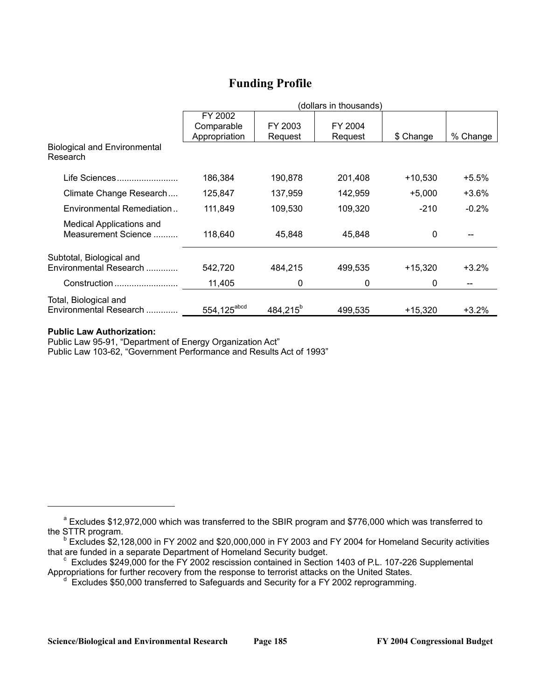# **Funding Profile**

|                                                    | (dollars in thousands)  |                      |         |           |          |  |
|----------------------------------------------------|-------------------------|----------------------|---------|-----------|----------|--|
|                                                    | FY 2002<br>Comparable   | FY 2003              | FY 2004 |           |          |  |
| <b>Biological and Environmental</b><br>Research    | Appropriation           | Request              | Request | \$ Change | % Change |  |
| Life Sciences                                      | 186,384                 | 190,878              | 201,408 | $+10,530$ | $+5.5%$  |  |
| Climate Change Research                            | 125,847                 | 137,959              | 142,959 | $+5,000$  | +3.6%    |  |
| Environmental Remediation                          | 111,849                 | 109,530              | 109,320 | $-210$    | $-0.2\%$ |  |
| Medical Applications and<br>Measurement Science    | 118,640                 | 45,848               | 45.848  | 0         |          |  |
| Subtotal, Biological and<br>Environmental Research | 542,720                 | 484,215              | 499,535 | $+15,320$ | $+3.2%$  |  |
| Construction                                       | 11,405                  | 0                    | 0       | 0         |          |  |
| Total, Biological and<br>Environmental Research    | 554,125 <sup>abcd</sup> | 484,215 <sup>b</sup> | 499.535 | $+15,320$ | $+3.2%$  |  |

### **Public Law Authorization:**

Public Law 95-91, "Department of Energy Organization Act"

Public Law 103-62, "Government Performance and Results Act of 1993"

<sup>&</sup>lt;sup>a</sup> Excludes \$12,972,000 which was transferred to the SBIR program and \$776,000 which was transferred to the STTR program.

b Excludes \$2,128,000 in FY 2002 and \$20,000,000 in FY 2003 and FY 2004 for Homeland Security activities that are funded in a separate Department of Homeland Security budget.<br><sup>c</sup> Excludes \$249,000 for the FY 2002 rescission contained in Section 1403 of P.L. 107-226 Supplemental

Appropriations for further recovery from the response to terrorist attacks on the United States.

d Excludes \$50,000 transferred to Safeguards and Security for a FY 2002 reprogramming.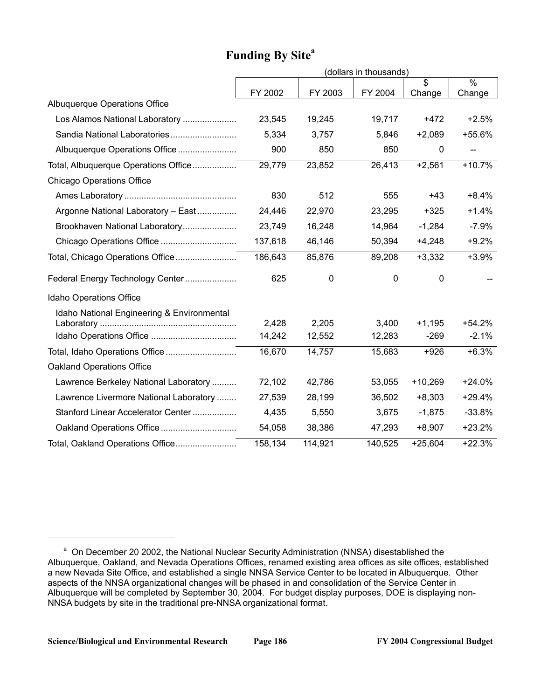# Funding By Site<sup>a</sup>

|                                            |                 |                 | (dollars in thousands) |                    |                     |
|--------------------------------------------|-----------------|-----------------|------------------------|--------------------|---------------------|
|                                            |                 |                 |                        | \$                 | $\frac{1}{2}$       |
| Albuquerque Operations Office              | FY 2002         | FY 2003         | FY 2004                | Change             | Change              |
| Los Alamos National Laboratory             | 23,545          | 19,245          | 19,717                 | $+472$             | $+2.5%$             |
| Sandia National Laboratories               | 5,334           | 3,757           | 5,846                  | $+2,089$           | +55.6%              |
| Albuquerque Operations Office              | 900             | 850             | 850                    | 0                  | $-$                 |
| Total, Albuquerque Operations Office       | 29,779          | 23,852          | 26,413                 | $+2,561$           | $+10.7%$            |
| <b>Chicago Operations Office</b>           |                 |                 |                        |                    |                     |
|                                            | 830             | 512             | 555                    | $+43$              | $+8.4%$             |
| Argonne National Laboratory - East         | 24,446          | 22,970          | 23,295                 | $+325$             | $+1.4%$             |
| Brookhaven National Laboratory             | 23,749          | 16,248          | 14,964                 | $-1,284$           | $-7.9%$             |
|                                            | 137,618         | 46,146          | 50,394                 | $+4,248$           | $+9.2%$             |
| Total, Chicago Operations Office           | 186,643         | 85,876          | 89,208                 | $+3,332$           | $+3.9%$             |
| Federal Energy Technology Center           | 625             | 0               | 0                      | 0                  |                     |
| Idaho Operations Office                    |                 |                 |                        |                    |                     |
| Idaho National Engineering & Environmental |                 |                 |                        |                    |                     |
|                                            | 2,428<br>14,242 | 2,205<br>12,552 | 3,400<br>12,283        | $+1,195$<br>$-269$ | $+54.2%$<br>$-2.1%$ |
|                                            | 16,670          | 14,757          | 15,683                 | $+926$             | $+6.3%$             |
| <b>Oakland Operations Office</b>           |                 |                 |                        |                    |                     |
|                                            |                 |                 |                        |                    |                     |
| Lawrence Berkeley National Laboratory      | 72,102          | 42,786          | 53,055                 | $+10,269$          | $+24.0%$            |
| Lawrence Livermore National Laboratory     | 27,539          | 28,199          | 36,502                 | $+8,303$           | $+29.4%$            |
| Stanford Linear Accelerator Center         | 4,435           | 5,550           | 3,675                  | $-1,875$           | $-33.8%$            |
|                                            | 54,058          | 38,386          | 47,293                 | $+8,907$           | $+23.2%$            |
| Total, Oakland Operations Office           | 158, 134        | 114,921         | 140,525                | $+25,604$          | $+22.3%$            |

<sup>&</sup>lt;sup>a</sup> On December 20 2002, the National Nuclear Security Administration (NNSA) disestablished the Albuquerque, Oakland, and Nevada Operations Offices, renamed existing area offices as site offices, established a new Nevada Site Office, and established a single NNSA Service Center to be located in Albuquerque. Other aspects of the NNSA organizational changes will be phased in and consolidation of the Service Center in Albuquerque will be completed by September 30, 2004. For budget display purposes, DOE is displaying non-NNSA budgets by site in the traditional pre-NNSA organizational format.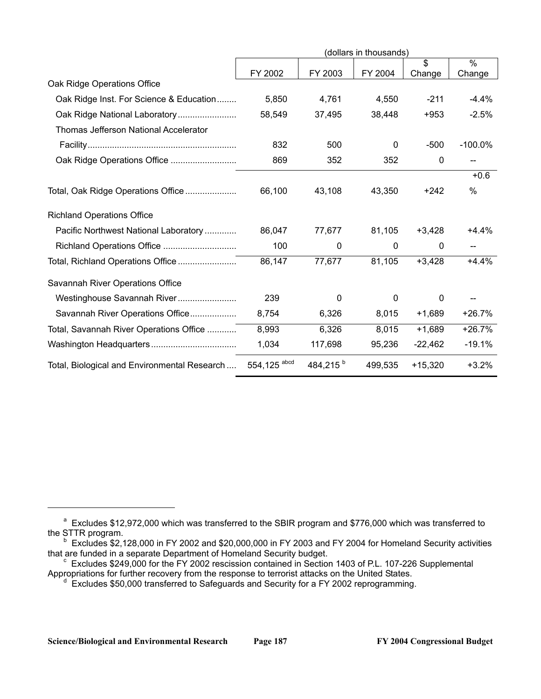|                                              |              |                      | (dollars in thousands) |               |               |
|----------------------------------------------|--------------|----------------------|------------------------|---------------|---------------|
|                                              |              |                      |                        | $\mathbf{\$}$ | $\frac{0}{0}$ |
|                                              | FY 2002      | FY 2003              | FY 2004                | Change        | Change        |
| Oak Ridge Operations Office                  |              |                      |                        |               |               |
| Oak Ridge Inst. For Science & Education      | 5,850        | 4,761                | 4,550                  | $-211$        | $-4.4%$       |
|                                              | 58,549       | 37,495               | 38,448                 | $+953$        | $-2.5%$       |
| <b>Thomas Jefferson National Accelerator</b> |              |                      |                        |               |               |
|                                              | 832          | 500                  | 0                      | $-500$        | $-100.0\%$    |
|                                              | 869          | 352                  | 352                    | $\mathbf 0$   |               |
|                                              |              |                      |                        |               | $+0.6$        |
| Total, Oak Ridge Operations Office           | 66,100       | 43,108               | 43,350                 | +242          | $\%$          |
| <b>Richland Operations Office</b>            |              |                      |                        |               |               |
| Pacific Northwest National Laboratory        | 86,047       | 77,677               | 81,105                 | $+3,428$      | +4.4%         |
|                                              | 100          | 0                    | $\mathbf{0}$           | 0             |               |
| Total, Richland Operations Office            | 86,147       | 77,677               | 81,105                 | $+3,428$      | $+4.4%$       |
| Savannah River Operations Office             |              |                      |                        |               |               |
| Westinghouse Savannah River                  | 239          | 0                    | 0                      | 0             |               |
| Savannah River Operations Office             | 8,754        | 6,326                | 8,015                  | $+1,689$      | +26.7%        |
| Total, Savannah River Operations Office      | 8,993        | 6,326                | 8,015                  | $+1,689$      | $+26.7%$      |
|                                              | 1,034        | 117,698              | 95,236                 | $-22,462$     | $-19.1%$      |
| Total, Biological and Environmental Research | 554,125 abcd | 484,215 <sup>b</sup> | 499,535                | $+15,320$     | $+3.2%$       |

<sup>&</sup>lt;sup>a</sup> Excludes \$12,972,000 which was transferred to the SBIR program and \$776,000 which was transferred to the STTR program.

 $b$  Excludes \$2,128,000 in FY 2002 and \$20,000,000 in FY 2003 and FY 2004 for Homeland Security activities that are funded in a separate Department of Homeland Security budget.

that are funded in a separate Department of Homeland Security budget.<br><sup>c</sup> Excludes \$249,000 for the FY 2002 rescission contained in Section 1403 of P.L. 107-226 Supplemental Appropriations for further recovery from the response to terrorist attacks on the United States.

 $d$  Excludes \$50,000 transferred to Safeguards and Security for a FY 2002 reprogramming.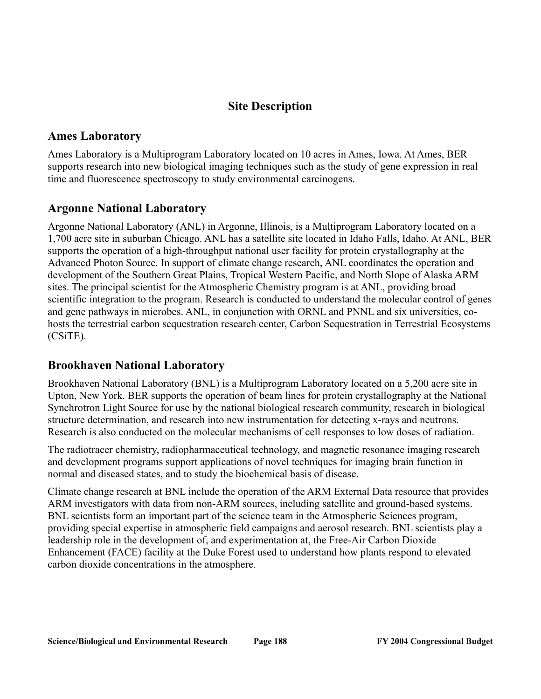# **Site Description**

## **Ames Laboratory**

Ames Laboratory is a Multiprogram Laboratory located on 10 acres in Ames, Iowa. At Ames, BER supports research into new biological imaging techniques such as the study of gene expression in real time and fluorescence spectroscopy to study environmental carcinogens.

# **Argonne National Laboratory**

Argonne National Laboratory (ANL) in Argonne, Illinois, is a Multiprogram Laboratory located on a 1,700 acre site in suburban Chicago. ANL has a satellite site located in Idaho Falls, Idaho. At ANL, BER supports the operation of a high-throughput national user facility for protein crystallography at the Advanced Photon Source. In support of climate change research, ANL coordinates the operation and development of the Southern Great Plains, Tropical Western Pacific, and North Slope of Alaska ARM sites. The principal scientist for the Atmospheric Chemistry program is at ANL, providing broad scientific integration to the program. Research is conducted to understand the molecular control of genes and gene pathways in microbes. ANL, in conjunction with ORNL and PNNL and six universities, cohosts the terrestrial carbon sequestration research center, Carbon Sequestration in Terrestrial Ecosystems (CSiTE).

# **Brookhaven National Laboratory**

Brookhaven National Laboratory (BNL) is a Multiprogram Laboratory located on a 5,200 acre site in Upton, New York. BER supports the operation of beam lines for protein crystallography at the National Synchrotron Light Source for use by the national biological research community, research in biological structure determination, and research into new instrumentation for detecting x-rays and neutrons. Research is also conducted on the molecular mechanisms of cell responses to low doses of radiation.

The radiotracer chemistry, radiopharmaceutical technology, and magnetic resonance imaging research and development programs support applications of novel techniques for imaging brain function in normal and diseased states, and to study the biochemical basis of disease.

Climate change research at BNL include the operation of the ARM External Data resource that provides ARM investigators with data from non-ARM sources, including satellite and ground-based systems. BNL scientists form an important part of the science team in the Atmospheric Sciences program, providing special expertise in atmospheric field campaigns and aerosol research. BNL scientists play a leadership role in the development of, and experimentation at, the Free-Air Carbon Dioxide Enhancement (FACE) facility at the Duke Forest used to understand how plants respond to elevated carbon dioxide concentrations in the atmosphere.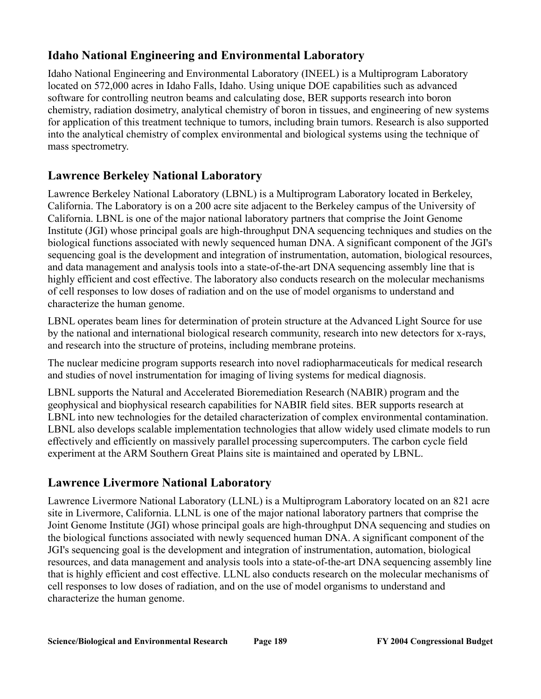# **Idaho National Engineering and Environmental Laboratory**

Idaho National Engineering and Environmental Laboratory (INEEL) is a Multiprogram Laboratory located on 572,000 acres in Idaho Falls, Idaho. Using unique DOE capabilities such as advanced software for controlling neutron beams and calculating dose, BER supports research into boron chemistry, radiation dosimetry, analytical chemistry of boron in tissues, and engineering of new systems for application of this treatment technique to tumors, including brain tumors. Research is also supported into the analytical chemistry of complex environmental and biological systems using the technique of mass spectrometry.

# **Lawrence Berkeley National Laboratory**

Lawrence Berkeley National Laboratory (LBNL) is a Multiprogram Laboratory located in Berkeley, California. The Laboratory is on a 200 acre site adjacent to the Berkeley campus of the University of California. LBNL is one of the major national laboratory partners that comprise the Joint Genome Institute (JGI) whose principal goals are high-throughput DNA sequencing techniques and studies on the biological functions associated with newly sequenced human DNA. A significant component of the JGI's sequencing goal is the development and integration of instrumentation, automation, biological resources, and data management and analysis tools into a state-of-the-art DNA sequencing assembly line that is highly efficient and cost effective. The laboratory also conducts research on the molecular mechanisms of cell responses to low doses of radiation and on the use of model organisms to understand and characterize the human genome.

LBNL operates beam lines for determination of protein structure at the Advanced Light Source for use by the national and international biological research community, research into new detectors for x-rays, and research into the structure of proteins, including membrane proteins.

The nuclear medicine program supports research into novel radiopharmaceuticals for medical research and studies of novel instrumentation for imaging of living systems for medical diagnosis.

LBNL supports the Natural and Accelerated Bioremediation Research (NABIR) program and the geophysical and biophysical research capabilities for NABIR field sites. BER supports research at LBNL into new technologies for the detailed characterization of complex environmental contamination. LBNL also develops scalable implementation technologies that allow widely used climate models to run effectively and efficiently on massively parallel processing supercomputers. The carbon cycle field experiment at the ARM Southern Great Plains site is maintained and operated by LBNL.

# **Lawrence Livermore National Laboratory**

Lawrence Livermore National Laboratory (LLNL) is a Multiprogram Laboratory located on an 821 acre site in Livermore, California. LLNL is one of the major national laboratory partners that comprise the Joint Genome Institute (JGI) whose principal goals are high-throughput DNA sequencing and studies on the biological functions associated with newly sequenced human DNA. A significant component of the JGI's sequencing goal is the development and integration of instrumentation, automation, biological resources, and data management and analysis tools into a state-of-the-art DNA sequencing assembly line that is highly efficient and cost effective. LLNL also conducts research on the molecular mechanisms of cell responses to low doses of radiation, and on the use of model organisms to understand and characterize the human genome.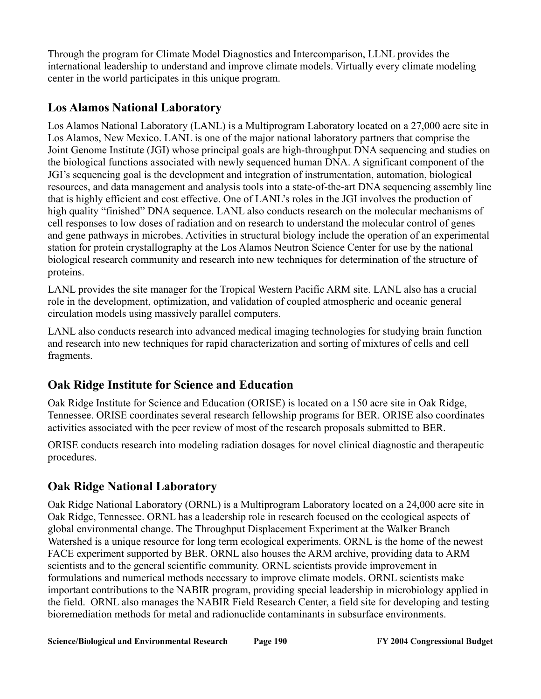Through the program for Climate Model Diagnostics and Intercomparison, LLNL provides the international leadership to understand and improve climate models. Virtually every climate modeling center in the world participates in this unique program.

# **Los Alamos National Laboratory**

Los Alamos National Laboratory (LANL) is a Multiprogram Laboratory located on a 27,000 acre site in Los Alamos, New Mexico. LANL is one of the major national laboratory partners that comprise the Joint Genome Institute (JGI) whose principal goals are high-throughput DNA sequencing and studies on the biological functions associated with newly sequenced human DNA. A significant component of the JGI's sequencing goal is the development and integration of instrumentation, automation, biological resources, and data management and analysis tools into a state-of-the-art DNA sequencing assembly line that is highly efficient and cost effective. One of LANL's roles in the JGI involves the production of high quality "finished" DNA sequence. LANL also conducts research on the molecular mechanisms of cell responses to low doses of radiation and on research to understand the molecular control of genes and gene pathways in microbes. Activities in structural biology include the operation of an experimental station for protein crystallography at the Los Alamos Neutron Science Center for use by the national biological research community and research into new techniques for determination of the structure of proteins.

LANL provides the site manager for the Tropical Western Pacific ARM site. LANL also has a crucial role in the development, optimization, and validation of coupled atmospheric and oceanic general circulation models using massively parallel computers.

LANL also conducts research into advanced medical imaging technologies for studying brain function and research into new techniques for rapid characterization and sorting of mixtures of cells and cell fragments.

# **Oak Ridge Institute for Science and Education**

Oak Ridge Institute for Science and Education (ORISE) is located on a 150 acre site in Oak Ridge, Tennessee. ORISE coordinates several research fellowship programs for BER. ORISE also coordinates activities associated with the peer review of most of the research proposals submitted to BER.

ORISE conducts research into modeling radiation dosages for novel clinical diagnostic and therapeutic procedures.

# **Oak Ridge National Laboratory**

Oak Ridge National Laboratory (ORNL) is a Multiprogram Laboratory located on a 24,000 acre site in Oak Ridge, Tennessee. ORNL has a leadership role in research focused on the ecological aspects of global environmental change. The Throughput Displacement Experiment at the Walker Branch Watershed is a unique resource for long term ecological experiments. ORNL is the home of the newest FACE experiment supported by BER. ORNL also houses the ARM archive, providing data to ARM scientists and to the general scientific community. ORNL scientists provide improvement in formulations and numerical methods necessary to improve climate models. ORNL scientists make important contributions to the NABIR program, providing special leadership in microbiology applied in the field. ORNL also manages the NABIR Field Research Center, a field site for developing and testing bioremediation methods for metal and radionuclide contaminants in subsurface environments.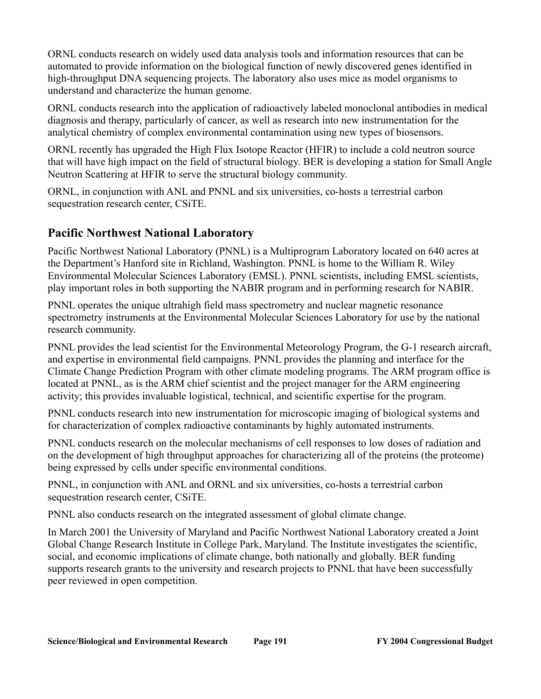ORNL conducts research on widely used data analysis tools and information resources that can be automated to provide information on the biological function of newly discovered genes identified in high-throughput DNA sequencing projects. The laboratory also uses mice as model organisms to understand and characterize the human genome.

ORNL conducts research into the application of radioactively labeled monoclonal antibodies in medical diagnosis and therapy, particularly of cancer, as well as research into new instrumentation for the analytical chemistry of complex environmental contamination using new types of biosensors.

ORNL recently has upgraded the High Flux Isotope Reactor (HFIR) to include a cold neutron source that will have high impact on the field of structural biology. BER is developing a station for Small Angle Neutron Scattering at HFIR to serve the structural biology community.

ORNL, in conjunction with ANL and PNNL and six universities, co-hosts a terrestrial carbon sequestration research center, CSiTE.

# **Pacific Northwest National Laboratory**

Pacific Northwest National Laboratory (PNNL) is a Multiprogram Laboratory located on 640 acres at the Department's Hanford site in Richland, Washington. PNNL is home to the William R. Wiley Environmental Molecular Sciences Laboratory (EMSL). PNNL scientists, including EMSL scientists, play important roles in both supporting the NABIR program and in performing research for NABIR.

PNNL operates the unique ultrahigh field mass spectrometry and nuclear magnetic resonance spectrometry instruments at the Environmental Molecular Sciences Laboratory for use by the national research community.

PNNL provides the lead scientist for the Environmental Meteorology Program, the G-1 research aircraft, and expertise in environmental field campaigns. PNNL provides the planning and interface for the Climate Change Prediction Program with other climate modeling programs. The ARM program office is located at PNNL, as is the ARM chief scientist and the project manager for the ARM engineering activity; this provides invaluable logistical, technical, and scientific expertise for the program.

PNNL conducts research into new instrumentation for microscopic imaging of biological systems and for characterization of complex radioactive contaminants by highly automated instruments.

PNNL conducts research on the molecular mechanisms of cell responses to low doses of radiation and on the development of high throughput approaches for characterizing all of the proteins (the proteome) being expressed by cells under specific environmental conditions.

PNNL, in conjunction with ANL and ORNL and six universities, co-hosts a terrestrial carbon sequestration research center, CSiTE.

PNNL also conducts research on the integrated assessment of global climate change.

In March 2001 the University of Maryland and Pacific Northwest National Laboratory created a Joint Global Change Research Institute in College Park, Maryland. The Institute investigates the scientific, social, and economic implications of climate change, both nationally and globally. BER funding supports research grants to the university and research projects to PNNL that have been successfully peer reviewed in open competition.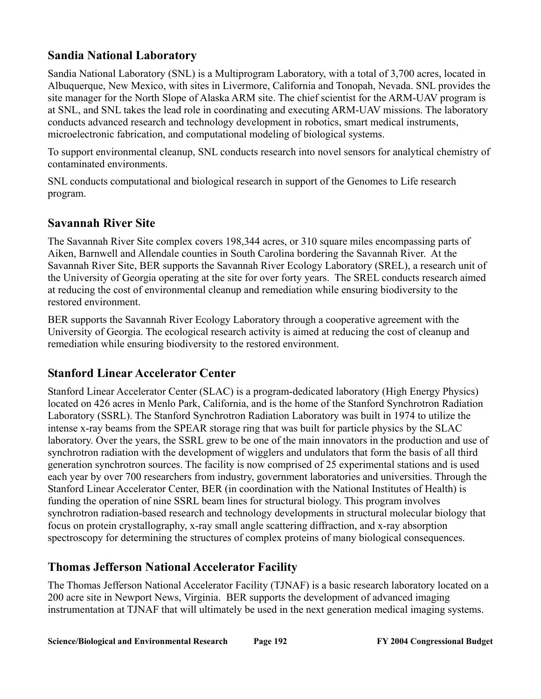# **Sandia National Laboratory**

Sandia National Laboratory (SNL) is a Multiprogram Laboratory, with a total of 3,700 acres, located in Albuquerque, New Mexico, with sites in Livermore, California and Tonopah, Nevada. SNL provides the site manager for the North Slope of Alaska ARM site. The chief scientist for the ARM-UAV program is at SNL, and SNL takes the lead role in coordinating and executing ARM-UAV missions. The laboratory conducts advanced research and technology development in robotics, smart medical instruments, microelectronic fabrication, and computational modeling of biological systems.

To support environmental cleanup, SNL conducts research into novel sensors for analytical chemistry of contaminated environments.

SNL conducts computational and biological research in support of the Genomes to Life research program.

# **Savannah River Site**

The Savannah River Site complex covers 198,344 acres, or 310 square miles encompassing parts of Aiken, Barnwell and Allendale counties in South Carolina bordering the Savannah River. At the Savannah River Site, BER supports the Savannah River Ecology Laboratory (SREL), a research unit of the University of Georgia operating at the site for over forty years. The SREL conducts research aimed at reducing the cost of environmental cleanup and remediation while ensuring biodiversity to the restored environment.

BER supports the Savannah River Ecology Laboratory through a cooperative agreement with the University of Georgia. The ecological research activity is aimed at reducing the cost of cleanup and remediation while ensuring biodiversity to the restored environment.

# **Stanford Linear Accelerator Center**

Stanford Linear Accelerator Center (SLAC) is a program-dedicated laboratory (High Energy Physics) located on 426 acres in Menlo Park, California, and is the home of the Stanford Synchrotron Radiation Laboratory (SSRL). The Stanford Synchrotron Radiation Laboratory was built in 1974 to utilize the intense x-ray beams from the SPEAR storage ring that was built for particle physics by the SLAC laboratory. Over the years, the SSRL grew to be one of the main innovators in the production and use of synchrotron radiation with the development of wigglers and undulators that form the basis of all third generation synchrotron sources. The facility is now comprised of 25 experimental stations and is used each year by over 700 researchers from industry, government laboratories and universities. Through the Stanford Linear Accelerator Center, BER (in coordination with the National Institutes of Health) is funding the operation of nine SSRL beam lines for structural biology. This program involves synchrotron radiation-based research and technology developments in structural molecular biology that focus on protein crystallography, x-ray small angle scattering diffraction, and x-ray absorption spectroscopy for determining the structures of complex proteins of many biological consequences.

# **Thomas Jefferson National Accelerator Facility**

The Thomas Jefferson National Accelerator Facility (TJNAF) is a basic research laboratory located on a 200 acre site in Newport News, Virginia. BER supports the development of advanced imaging instrumentation at TJNAF that will ultimately be used in the next generation medical imaging systems.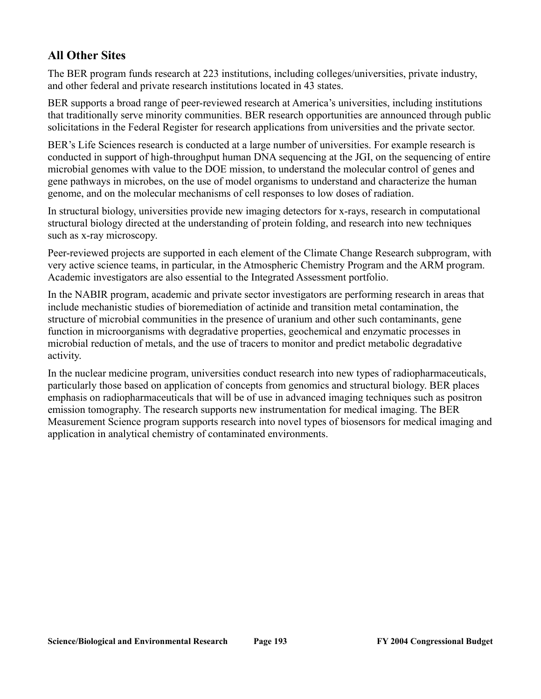# **All Other Sites**

The BER program funds research at 223 institutions, including colleges/universities, private industry, and other federal and private research institutions located in 43 states.

BER supports a broad range of peer-reviewed research at America's universities, including institutions that traditionally serve minority communities. BER research opportunities are announced through public solicitations in the Federal Register for research applications from universities and the private sector.

BER's Life Sciences research is conducted at a large number of universities. For example research is conducted in support of high-throughput human DNA sequencing at the JGI, on the sequencing of entire microbial genomes with value to the DOE mission, to understand the molecular control of genes and gene pathways in microbes, on the use of model organisms to understand and characterize the human genome, and on the molecular mechanisms of cell responses to low doses of radiation.

In structural biology, universities provide new imaging detectors for x-rays, research in computational structural biology directed at the understanding of protein folding, and research into new techniques such as x-ray microscopy.

Peer-reviewed projects are supported in each element of the Climate Change Research subprogram, with very active science teams, in particular, in the Atmospheric Chemistry Program and the ARM program. Academic investigators are also essential to the Integrated Assessment portfolio.

In the NABIR program, academic and private sector investigators are performing research in areas that include mechanistic studies of bioremediation of actinide and transition metal contamination, the structure of microbial communities in the presence of uranium and other such contaminants, gene function in microorganisms with degradative properties, geochemical and enzymatic processes in microbial reduction of metals, and the use of tracers to monitor and predict metabolic degradative activity.

In the nuclear medicine program, universities conduct research into new types of radiopharmaceuticals, particularly those based on application of concepts from genomics and structural biology. BER places emphasis on radiopharmaceuticals that will be of use in advanced imaging techniques such as positron emission tomography. The research supports new instrumentation for medical imaging. The BER Measurement Science program supports research into novel types of biosensors for medical imaging and application in analytical chemistry of contaminated environments.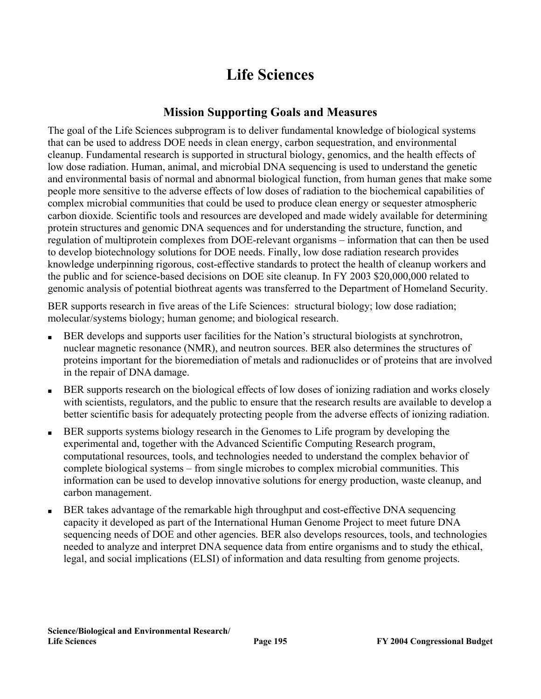# **Life Sciences**

## **Mission Supporting Goals and Measures**

The goal of the Life Sciences subprogram is to deliver fundamental knowledge of biological systems that can be used to address DOE needs in clean energy, carbon sequestration, and environmental cleanup. Fundamental research is supported in structural biology, genomics, and the health effects of low dose radiation. Human, animal, and microbial DNA sequencing is used to understand the genetic and environmental basis of normal and abnormal biological function, from human genes that make some people more sensitive to the adverse effects of low doses of radiation to the biochemical capabilities of complex microbial communities that could be used to produce clean energy or sequester atmospheric carbon dioxide. Scientific tools and resources are developed and made widely available for determining protein structures and genomic DNA sequences and for understanding the structure, function, and regulation of multiprotein complexes from DOE-relevant organisms – information that can then be used to develop biotechnology solutions for DOE needs. Finally, low dose radiation research provides knowledge underpinning rigorous, cost-effective standards to protect the health of cleanup workers and the public and for science-based decisions on DOE site cleanup. In FY 2003 \$20,000,000 related to genomic analysis of potential biothreat agents was transferred to the Department of Homeland Security.

BER supports research in five areas of the Life Sciences: structural biology; low dose radiation; molecular/systems biology; human genome; and biological research.

- BER develops and supports user facilities for the Nation's structural biologists at synchrotron, nuclear magnetic resonance (NMR), and neutron sources. BER also determines the structures of proteins important for the bioremediation of metals and radionuclides or of proteins that are involved in the repair of DNA damage.
- BER supports research on the biological effects of low doses of ionizing radiation and works closely with scientists, regulators, and the public to ensure that the research results are available to develop a better scientific basis for adequately protecting people from the adverse effects of ionizing radiation.
- BER supports systems biology research in the Genomes to Life program by developing the experimental and, together with the Advanced Scientific Computing Research program, computational resources, tools, and technologies needed to understand the complex behavior of complete biological systems – from single microbes to complex microbial communities. This information can be used to develop innovative solutions for energy production, waste cleanup, and carbon management.
- BER takes advantage of the remarkable high throughput and cost-effective DNA sequencing capacity it developed as part of the International Human Genome Project to meet future DNA sequencing needs of DOE and other agencies. BER also develops resources, tools, and technologies needed to analyze and interpret DNA sequence data from entire organisms and to study the ethical, legal, and social implications (ELSI) of information and data resulting from genome projects.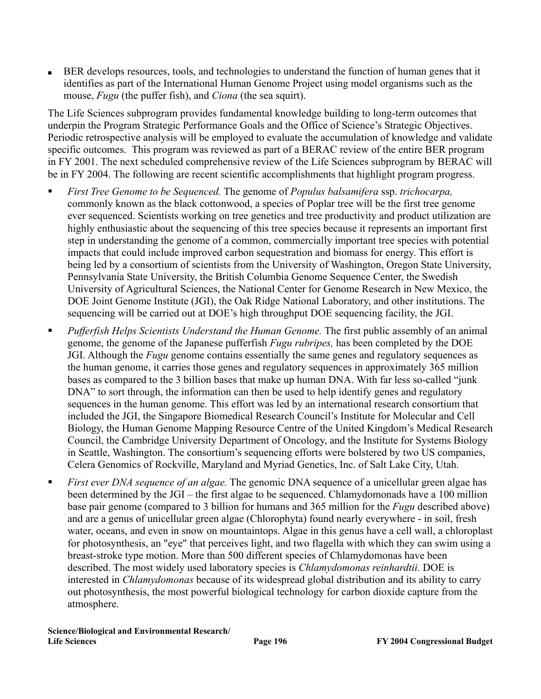BER develops resources, tools, and technologies to understand the function of human genes that it identifies as part of the International Human Genome Project using model organisms such as the mouse, *Fugu* (the puffer fish), and *Ciona* (the sea squirt).

The Life Sciences subprogram provides fundamental knowledge building to long-term outcomes that underpin the Program Strategic Performance Goals and the Office of Science's Strategic Objectives. Periodic retrospective analysis will be employed to evaluate the accumulation of knowledge and validate specific outcomes. This program was reviewed as part of a BERAC review of the entire BER program in FY 2001. The next scheduled comprehensive review of the Life Sciences subprogram by BERAC will be in FY 2004. The following are recent scientific accomplishments that highlight program progress.

- *First Tree Genome to be Sequenced.* The genome of *Populus balsamifera* ssp. *trichocarpa,*  commonly known as the black cottonwood, a species of Poplar tree will be the first tree genome ever sequenced. Scientists working on tree genetics and tree productivity and product utilization are highly enthusiastic about the sequencing of this tree species because it represents an important first step in understanding the genome of a common, commercially important tree species with potential impacts that could include improved carbon sequestration and biomass for energy. This effort is being led by a consortium of scientists from the University of Washington, Oregon State University, Pennsylvania State University, the British Columbia Genome Sequence Center, the Swedish University of Agricultural Sciences, the National Center for Genome Research in New Mexico, the DOE Joint Genome Institute (JGI), the Oak Ridge National Laboratory, and other institutions. The sequencing will be carried out at DOE's high throughput DOE sequencing facility, the JGI.
- *Pufferfish Helps Scientists Understand the Human Genome.* The first public assembly of an animal genome, the genome of the Japanese pufferfish *Fugu rubripes,* has been completed by the DOE JGI. Although the *Fugu* genome contains essentially the same genes and regulatory sequences as the human genome, it carries those genes and regulatory sequences in approximately 365 million bases as compared to the 3 billion bases that make up human DNA. With far less so-called "junk DNA" to sort through, the information can then be used to help identify genes and regulatory sequences in the human genome. This effort was led by an international research consortium that included the JGI, the Singapore Biomedical Research Council's Institute for Molecular and Cell Biology, the Human Genome Mapping Resource Centre of the United Kingdom's Medical Research Council, the Cambridge University Department of Oncology, and the Institute for Systems Biology in Seattle, Washington. The consortium's sequencing efforts were bolstered by two US companies, Celera Genomics of Rockville, Maryland and Myriad Genetics, Inc. of Salt Lake City, Utah.
- *First ever DNA sequence of an algae.* The genomic DNA sequence of a unicellular green algae has been determined by the JGI – the first algae to be sequenced. Chlamydomonads have a 100 million base pair genome (compared to 3 billion for humans and 365 million for the *Fugu* described above) and are a genus of unicellular green algae (Chlorophyta) found nearly everywhere - in soil, fresh water, oceans, and even in snow on mountaintops. Algae in this genus have a cell wall, a chloroplast for photosynthesis, an "eye" that perceives light, and two flagella with which they can swim using a breast-stroke type motion. More than 500 different species of Chlamydomonas have been described. The most widely used laboratory species is *Chlamydomonas reinhardtii.* DOE is interested in *Chlamydomonas* because of its widespread global distribution and its ability to carry out photosynthesis, the most powerful biological technology for carbon dioxide capture from the atmosphere.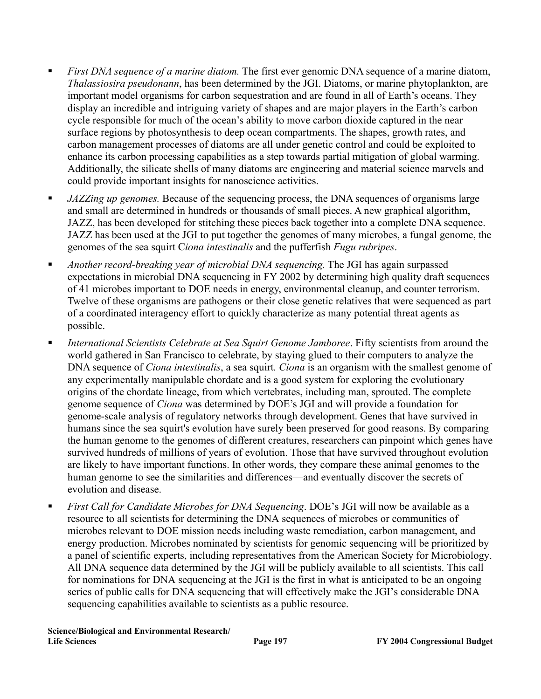- *First DNA sequence of a marine diatom.* The first ever genomic DNA sequence of a marine diatom, *Thalassiosira pseudonann*, has been determined by the JGI. Diatoms, or marine phytoplankton, are important model organisms for carbon sequestration and are found in all of Earth's oceans. They display an incredible and intriguing variety of shapes and are major players in the Earth's carbon cycle responsible for much of the ocean's ability to move carbon dioxide captured in the near surface regions by photosynthesis to deep ocean compartments. The shapes, growth rates, and carbon management processes of diatoms are all under genetic control and could be exploited to enhance its carbon processing capabilities as a step towards partial mitigation of global warming. Additionally, the silicate shells of many diatoms are engineering and material science marvels and could provide important insights for nanoscience activities.
- *JAZZing up genomes.* Because of the sequencing process, the DNA sequences of organisms large and small are determined in hundreds or thousands of small pieces. A new graphical algorithm, JAZZ, has been developed for stitching these pieces back together into a complete DNA sequence. JAZZ has been used at the JGI to put together the genomes of many microbes, a fungal genome, the genomes of the sea squirt C*iona intestinalis* and the pufferfish *Fugu rubripes*.
- *Another record-breaking year of microbial DNA sequencing.* The JGI has again surpassed expectations in microbial DNA sequencing in FY 2002 by determining high quality draft sequences of 41 microbes important to DOE needs in energy, environmental cleanup, and counter terrorism. Twelve of these organisms are pathogens or their close genetic relatives that were sequenced as part of a coordinated interagency effort to quickly characterize as many potential threat agents as possible.
- *International Scientists Celebrate at Sea Squirt Genome Jamboree*. Fifty scientists from around the world gathered in San Francisco to celebrate, by staying glued to their computers to analyze the DNA sequence of *Ciona intestinalis*, a sea squirt*. Ciona* is an organism with the smallest genome of any experimentally manipulable chordate and is a good system for exploring the evolutionary origins of the chordate lineage, from which vertebrates, including man, sprouted. The complete genome sequence of *Ciona* was determined by DOE's JGI and will provide a foundation for genome-scale analysis of regulatory networks through development. Genes that have survived in humans since the sea squirt's evolution have surely been preserved for good reasons. By comparing the human genome to the genomes of different creatures, researchers can pinpoint which genes have survived hundreds of millions of years of evolution. Those that have survived throughout evolution are likely to have important functions. In other words, they compare these animal genomes to the human genome to see the similarities and differences—and eventually discover the secrets of evolution and disease.
- *First Call for Candidate Microbes for DNA Sequencing*. DOE's JGI will now be available as a resource to all scientists for determining the DNA sequences of microbes or communities of microbes relevant to DOE mission needs including waste remediation, carbon management, and energy production. Microbes nominated by scientists for genomic sequencing will be prioritized by a panel of scientific experts, including representatives from the American Society for Microbiology. All DNA sequence data determined by the JGI will be publicly available to all scientists. This call for nominations for DNA sequencing at the JGI is the first in what is anticipated to be an ongoing series of public calls for DNA sequencing that will effectively make the JGI's considerable DNA sequencing capabilities available to scientists as a public resource.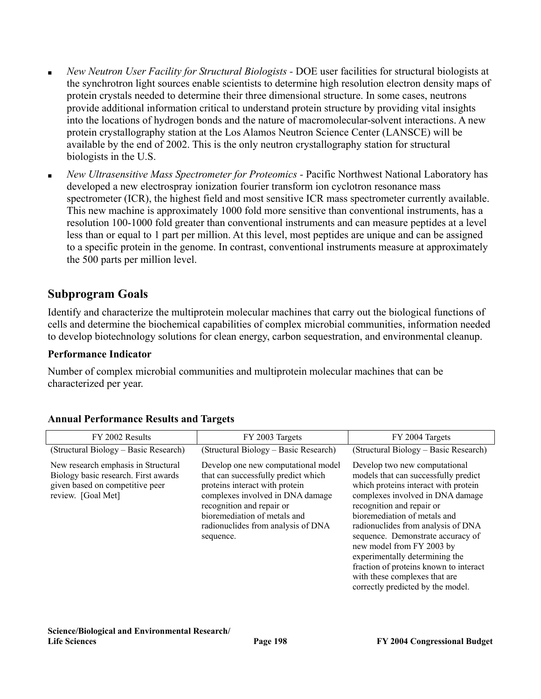- *New Neutron User Facility for Structural Biologists -* DOE user facilities for structural biologists at the synchrotron light sources enable scientists to determine high resolution electron density maps of protein crystals needed to determine their three dimensional structure. In some cases, neutrons provide additional information critical to understand protein structure by providing vital insights into the locations of hydrogen bonds and the nature of macromolecular-solvent interactions. A new protein crystallography station at the Los Alamos Neutron Science Center (LANSCE) will be available by the end of 2002. This is the only neutron crystallography station for structural biologists in the U.S.
- *New Ultrasensitive Mass Spectrometer for Proteomics -* Pacific Northwest National Laboratory has developed a new electrospray ionization fourier transform ion cyclotron resonance mass spectrometer (ICR), the highest field and most sensitive ICR mass spectrometer currently available. This new machine is approximately 1000 fold more sensitive than conventional instruments, has a resolution 100-1000 fold greater than conventional instruments and can measure peptides at a level less than or equal to 1 part per million. At this level, most peptides are unique and can be assigned to a specific protein in the genome. In contrast, conventional instruments measure at approximately the 500 parts per million level.

## **Subprogram Goals**

Identify and characterize the multiprotein molecular machines that carry out the biological functions of cells and determine the biochemical capabilities of complex microbial communities, information needed to develop biotechnology solutions for clean energy, carbon sequestration, and environmental cleanup.

### **Performance Indicator**

Number of complex microbial communities and multiprotein molecular machines that can be characterized per year.

| FY 2002 Results                                                                                                                      | FY 2003 Targets                                                                                                                                                                                                                                                  | FY 2004 Targets                                                                                                                                                                                                                                                                                                                                                                                                                                                          |
|--------------------------------------------------------------------------------------------------------------------------------------|------------------------------------------------------------------------------------------------------------------------------------------------------------------------------------------------------------------------------------------------------------------|--------------------------------------------------------------------------------------------------------------------------------------------------------------------------------------------------------------------------------------------------------------------------------------------------------------------------------------------------------------------------------------------------------------------------------------------------------------------------|
| (Structural Biology – Basic Research)                                                                                                | (Structural Biology – Basic Research)                                                                                                                                                                                                                            | (Structural Biology – Basic Research)                                                                                                                                                                                                                                                                                                                                                                                                                                    |
| New research emphasis in Structural<br>Biology basic research. First awards<br>given based on competitive peer<br>review. [Goal Met] | Develop one new computational model<br>that can successfully predict which<br>proteins interact with protein<br>complexes involved in DNA damage<br>recognition and repair or<br>bioremediation of metals and<br>radionuclides from analysis of DNA<br>sequence. | Develop two new computational<br>models that can successfully predict<br>which proteins interact with protein<br>complexes involved in DNA damage<br>recognition and repair or<br>bioremediation of metals and<br>radionuclides from analysis of DNA<br>sequence. Demonstrate accuracy of<br>new model from FY 2003 by<br>experimentally determining the<br>fraction of proteins known to interact<br>with these complexes that are<br>correctly predicted by the model. |

### **Annual Performance Results and Targets**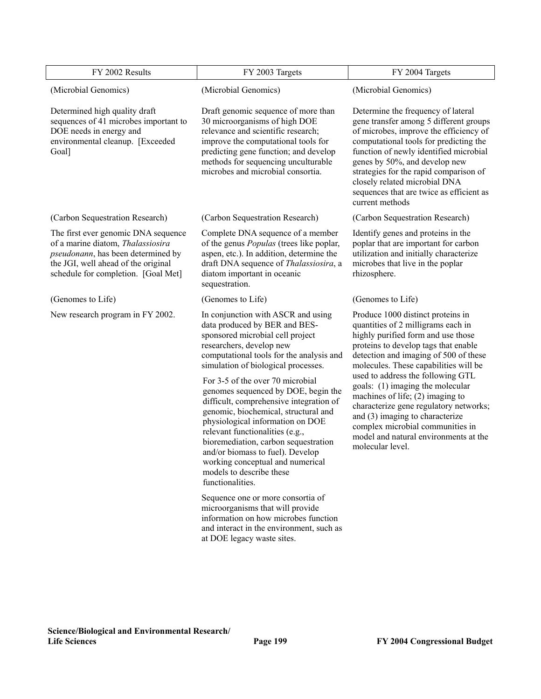| FY 2002 Results                                                                                                                                                                              | FY 2003 Targets                                                                                                                                                                                                                                                                                                                                                                      |                                                                                                                                                                                                                                                                                                                                                                                                                                     |
|----------------------------------------------------------------------------------------------------------------------------------------------------------------------------------------------|--------------------------------------------------------------------------------------------------------------------------------------------------------------------------------------------------------------------------------------------------------------------------------------------------------------------------------------------------------------------------------------|-------------------------------------------------------------------------------------------------------------------------------------------------------------------------------------------------------------------------------------------------------------------------------------------------------------------------------------------------------------------------------------------------------------------------------------|
| (Microbial Genomics)                                                                                                                                                                         | (Microbial Genomics)                                                                                                                                                                                                                                                                                                                                                                 | (Microbial Genomics)                                                                                                                                                                                                                                                                                                                                                                                                                |
| Determined high quality draft<br>sequences of 41 microbes important to<br>DOE needs in energy and<br>environmental cleanup. [Exceeded<br>Goal]                                               | Draft genomic sequence of more than<br>30 microorganisms of high DOE<br>relevance and scientific research;<br>improve the computational tools for<br>predicting gene function; and develop<br>methods for sequencing unculturable<br>microbes and microbial consortia.                                                                                                               | Determine the frequency of lateral<br>gene transfer among 5 different groups<br>of microbes, improve the efficiency of<br>computational tools for predicting the<br>function of newly identified microbial<br>genes by 50%, and develop new<br>strategies for the rapid comparison of<br>closely related microbial DNA<br>sequences that are twice as efficient as<br>current methods                                               |
| (Carbon Sequestration Research)                                                                                                                                                              | (Carbon Sequestration Research)                                                                                                                                                                                                                                                                                                                                                      | (Carbon Sequestration Research)                                                                                                                                                                                                                                                                                                                                                                                                     |
| The first ever genomic DNA sequence<br>of a marine diatom, Thalassiosira<br>pseudonann, has been determined by<br>the JGI, well ahead of the original<br>schedule for completion. [Goal Met] | Complete DNA sequence of a member<br>of the genus <i>Populas</i> (trees like poplar,<br>aspen, etc.). In addition, determine the<br>draft DNA sequence of <i>Thalassiosira</i> , a<br>diatom important in oceanic<br>sequestration.                                                                                                                                                  | Identify genes and proteins in the<br>poplar that are important for carbon<br>utilization and initially characterize<br>microbes that live in the poplar<br>rhizosphere.                                                                                                                                                                                                                                                            |
| (Genomes to Life)                                                                                                                                                                            | (Genomes to Life)                                                                                                                                                                                                                                                                                                                                                                    | (Genomes to Life)                                                                                                                                                                                                                                                                                                                                                                                                                   |
| New research program in FY 2002.                                                                                                                                                             | In conjunction with ASCR and using<br>data produced by BER and BES-<br>sponsored microbial cell project<br>researchers, develop new<br>computational tools for the analysis and<br>simulation of biological processes.<br>For 3-5 of the over 70 microbial<br>genomes sequenced by DOE, begin the<br>difficult, comprehensive integration of<br>genomic, biochemical, structural and | Produce 1000 distinct proteins in<br>quantities of 2 milligrams each in<br>highly purified form and use those<br>proteins to develop tags that enable<br>detection and imaging of 500 of these<br>molecules. These capabilities will be<br>used to address the following GTL<br>goals: (1) imaging the molecular<br>machines of life; $(2)$ imaging to<br>characterize gene regulatory networks;<br>and (3) imaging to characterize |
|                                                                                                                                                                                              | physiological information on DOE<br>relevant functionalities (e.g.,<br>bioremediation, carbon sequestration<br>and/or biomass to fuel). Develop<br>working conceptual and numerical<br>models to describe these<br>functionalities.                                                                                                                                                  | complex microbial communities in<br>model and natural environments at the<br>molecular level.                                                                                                                                                                                                                                                                                                                                       |
|                                                                                                                                                                                              | Sequence one or more consortia of<br>microorganisms that will provide<br>information on how microbes function<br>and interact in the environment, such as<br>at DOE legacy waste sites.                                                                                                                                                                                              |                                                                                                                                                                                                                                                                                                                                                                                                                                     |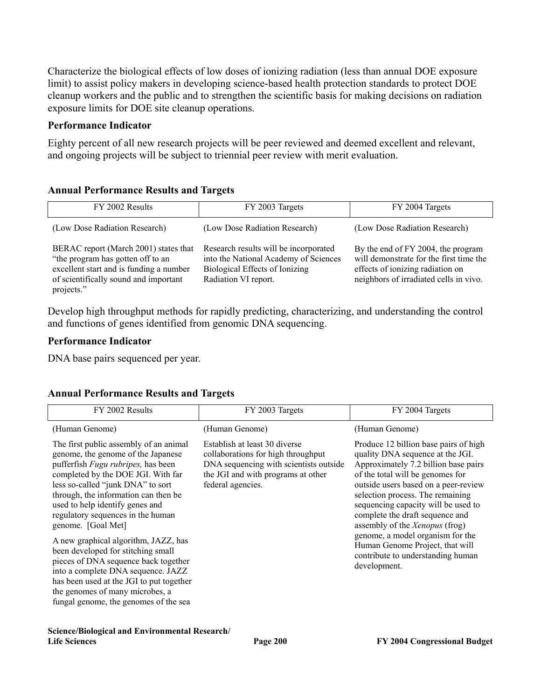Characterize the biological effects of low doses of ionizing radiation (less than annual DOE exposure limit) to assist policy makers in developing science-based health protection standards to protect DOE cleanup workers and the public and to strengthen the scientific basis for making decisions on radiation exposure limits for DOE site cleanup operations.

### **Performance Indicator**

Eighty percent of all new research projects will be peer reviewed and deemed excellent and relevant, and ongoing projects will be subject to triennial peer review with merit evaluation.

### **Annual Performance Results and Targets**

| FY 2002 Results                                                                                                                                                              | FY 2003 Targets                                                                                                                          | FY 2004 Targets                                                                                                                                             |
|------------------------------------------------------------------------------------------------------------------------------------------------------------------------------|------------------------------------------------------------------------------------------------------------------------------------------|-------------------------------------------------------------------------------------------------------------------------------------------------------------|
| (Low Dose Radiation Research)                                                                                                                                                | (Low Dose Radiation Research)                                                                                                            | (Low Dose Radiation Research)                                                                                                                               |
| BERAC report (March 2001) states that<br>"the program has gotten off to an<br>excellent start and is funding a number<br>of scientifically sound and important<br>projects." | Research results will be incorporated<br>into the National Academy of Sciences<br>Biological Effects of Ionizing<br>Radiation VI report. | By the end of FY 2004, the program<br>will demonstrate for the first time the<br>effects of ionizing radiation on<br>neighbors of irradiated cells in vivo. |

Develop high throughput methods for rapidly predicting, characterizing, and understanding the control and functions of genes identified from genomic DNA sequencing.

### **Performance Indicator**

DNA base pairs sequenced per year.

### **Annual Performance Results and Targets**

| FY 2002 Results                                                                                                                                                                                                                                                                                                                                                                                                                                                                                                                                                                                                                 | FY 2003 Targets                                                                                                                                                          | FY 2004 Targets                                                                                                                                                                                                                                                                                                                                                                                                                                                                  |
|---------------------------------------------------------------------------------------------------------------------------------------------------------------------------------------------------------------------------------------------------------------------------------------------------------------------------------------------------------------------------------------------------------------------------------------------------------------------------------------------------------------------------------------------------------------------------------------------------------------------------------|--------------------------------------------------------------------------------------------------------------------------------------------------------------------------|----------------------------------------------------------------------------------------------------------------------------------------------------------------------------------------------------------------------------------------------------------------------------------------------------------------------------------------------------------------------------------------------------------------------------------------------------------------------------------|
| (Human Genome)                                                                                                                                                                                                                                                                                                                                                                                                                                                                                                                                                                                                                  | (Human Genome)                                                                                                                                                           | (Human Genome)                                                                                                                                                                                                                                                                                                                                                                                                                                                                   |
| The first public assembly of an animal<br>genome, the genome of the Japanese<br>pufferfish <i>Fugu rubripes</i> , has been<br>completed by the DOE JGI. With far<br>less so-called "junk DNA" to sort<br>through, the information can then be<br>used to help identify genes and<br>regulatory sequences in the human<br>genome. [Goal Met]<br>A new graphical algorithm, JAZZ, has<br>been developed for stitching small<br>pieces of DNA sequence back together<br>into a complete DNA sequence. JAZZ<br>has been used at the JGI to put together<br>the genomes of many microbes, a<br>fungal genome, the genomes of the sea | Establish at least 30 diverse<br>collaborations for high throughput<br>DNA sequencing with scientists outside<br>the JGI and with programs at other<br>federal agencies. | Produce 12 billion base pairs of high<br>quality DNA sequence at the JGI.<br>Approximately 7.2 billion base pairs<br>of the total will be genomes for<br>outside users based on a peer-review<br>selection process. The remaining<br>sequencing capacity will be used to<br>complete the draft sequence and<br>assembly of the <i>Xenopus</i> (frog)<br>genome, a model organism for the<br>Human Genome Project, that will<br>contribute to understanding human<br>development. |

#### **Science/Biological and Environmental Research/ Life Sciences Page 200 FY 2004 Congressional Budget**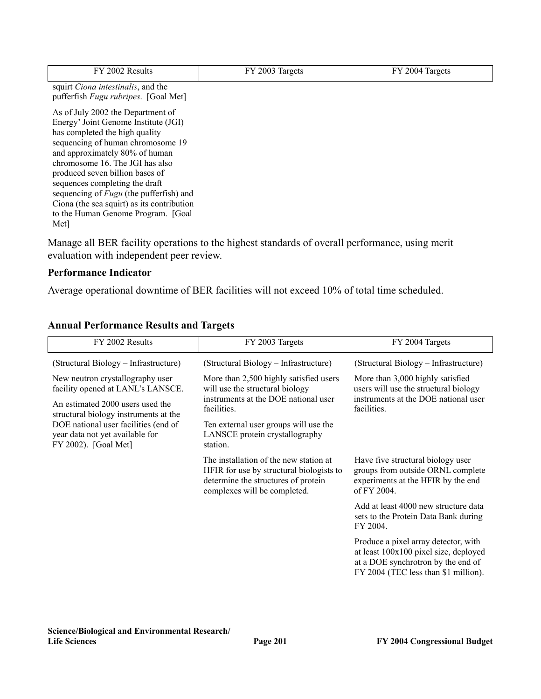| FY 2002 Results                                                                                                                                                                                                                                                                                                                                                                                                                           | FY 2003 Targets | FY 2004 Targets |
|-------------------------------------------------------------------------------------------------------------------------------------------------------------------------------------------------------------------------------------------------------------------------------------------------------------------------------------------------------------------------------------------------------------------------------------------|-----------------|-----------------|
| squirt <i>Ciona intestinalis</i> , and the<br>pufferfish Fugu rubripes. [Goal Met]                                                                                                                                                                                                                                                                                                                                                        |                 |                 |
| As of July 2002 the Department of<br>Energy' Joint Genome Institute (JGI)<br>has completed the high quality<br>sequencing of human chromosome 19<br>and approximately 80% of human<br>chromosome 16. The JGI has also<br>produced seven billion bases of<br>sequences completing the draft<br>sequencing of <i>Fugu</i> (the pufferfish) and<br>Ciona (the sea squirt) as its contribution<br>to the Human Genome Program. [Goal]<br>Met] |                 |                 |
|                                                                                                                                                                                                                                                                                                                                                                                                                                           |                 |                 |

Manage all BER facility operations to the highest standards of overall performance, using merit evaluation with independent peer review.

## **Performance Indicator**

Average operational downtime of BER facilities will not exceed 10% of total time scheduled.

| FY 2002 Results                                                                                 | FY 2003 Targets                                                                                                                                           | FY 2004 Targets                                                                                                                                             |
|-------------------------------------------------------------------------------------------------|-----------------------------------------------------------------------------------------------------------------------------------------------------------|-------------------------------------------------------------------------------------------------------------------------------------------------------------|
| (Structural Biology – Infrastructure)                                                           | (Structural Biology – Infrastructure)                                                                                                                     | (Structural Biology – Infrastructure)                                                                                                                       |
| New neutron crystallography user<br>facility opened at LANL's LANSCE.                           | More than 2,500 highly satisfied users<br>will use the structural biology                                                                                 | More than 3,000 highly satisfied<br>users will use the structural biology                                                                                   |
| An estimated 2000 users used the<br>structural biology instruments at the                       | instruments at the DOE national user<br>facilities.                                                                                                       | instruments at the DOE national user<br>facilities.                                                                                                         |
| DOE national user facilities (end of<br>year data not yet available for<br>FY 2002). [Goal Met] | Ten external user groups will use the<br>LANSCE protein crystallography<br>station.                                                                       |                                                                                                                                                             |
|                                                                                                 | The installation of the new station at<br>HFIR for use by structural biologists to<br>determine the structures of protein<br>complexes will be completed. | Have five structural biology user<br>groups from outside ORNL complete<br>experiments at the HFIR by the end<br>of FY 2004.                                 |
|                                                                                                 |                                                                                                                                                           | Add at least 4000 new structure data<br>sets to the Protein Data Bank during<br>FY 2004.                                                                    |
|                                                                                                 |                                                                                                                                                           | Produce a pixel array detector, with<br>at least 100x100 pixel size, deployed<br>at a DOE synchrotron by the end of<br>FY 2004 (TEC less than \$1 million). |

## **Annual Performance Results and Targets**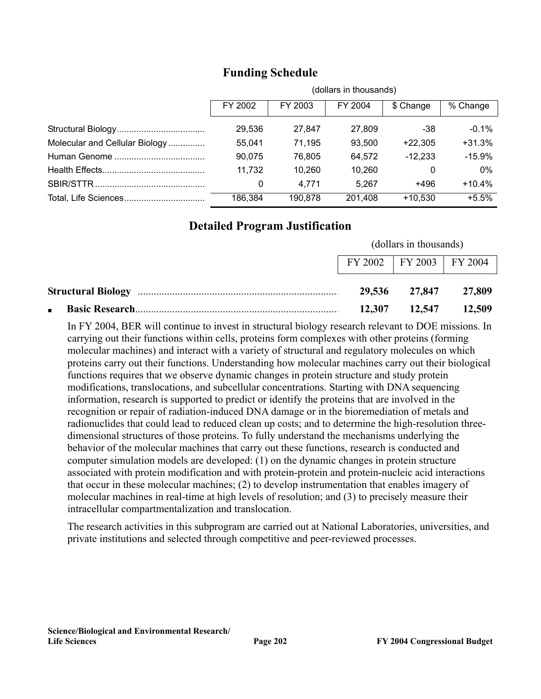|                                | (dollars in thousands) |         |         |           |          |
|--------------------------------|------------------------|---------|---------|-----------|----------|
|                                | FY 2002                | FY 2003 | FY 2004 | \$ Change | % Change |
|                                | 29,536                 | 27.847  | 27,809  | -38       | $-0.1\%$ |
| Molecular and Cellular Biology | 55,041                 | 71,195  | 93,500  | $+22,305$ | $+31.3%$ |
|                                | 90,075                 | 76,805  | 64,572  | $-12,233$ | $-15.9%$ |
|                                | 11,732                 | 10,260  | 10,260  | 0         | 0%       |
|                                | 0                      | 4,771   | 5.267   | +496      | $+10.4%$ |
|                                | 186,384                | 190,878 | 201.408 | $+10,530$ | $+5.5%$  |

# **Funding Schedule**

# **Detailed Program Justification**

|                             | (dollars in thousands) |                            |
|-----------------------------|------------------------|----------------------------|
| FY 2002   FY 2003   FY 2004 |                        |                            |
|                             |                        | 29,536 27,847 27,809       |
|                             |                        | $12,307$ $12,547$ $12,509$ |

In FY 2004, BER will continue to invest in structural biology research relevant to DOE missions. In carrying out their functions within cells, proteins form complexes with other proteins (forming molecular machines) and interact with a variety of structural and regulatory molecules on which proteins carry out their functions. Understanding how molecular machines carry out their biological functions requires that we observe dynamic changes in protein structure and study protein modifications, translocations, and subcellular concentrations. Starting with DNA sequencing information, research is supported to predict or identify the proteins that are involved in the recognition or repair of radiation-induced DNA damage or in the bioremediation of metals and radionuclides that could lead to reduced clean up costs; and to determine the high-resolution threedimensional structures of those proteins. To fully understand the mechanisms underlying the behavior of the molecular machines that carry out these functions, research is conducted and computer simulation models are developed: (1) on the dynamic changes in protein structure associated with protein modification and with protein-protein and protein-nucleic acid interactions that occur in these molecular machines; (2) to develop instrumentation that enables imagery of molecular machines in real-time at high levels of resolution; and (3) to precisely measure their intracellular compartmentalization and translocation.

The research activities in this subprogram are carried out at National Laboratories, universities, and private institutions and selected through competitive and peer-reviewed processes.

 $(1, 11, \ldots, 1, 1)$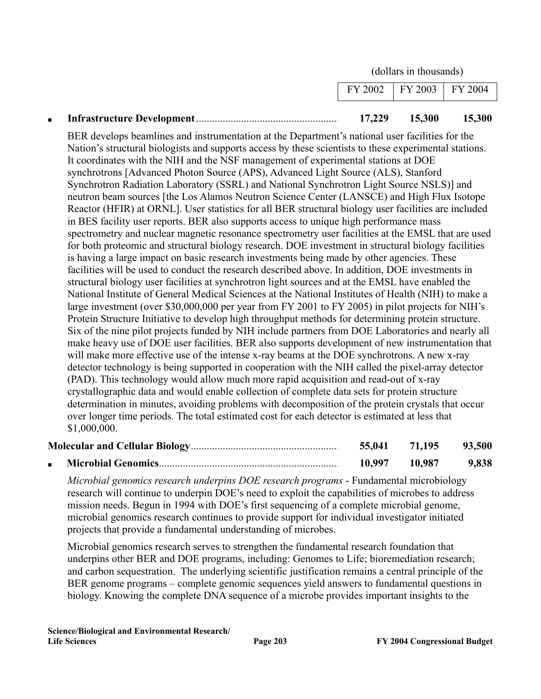(dollars in thousands)

|  | 17,229                        | 15,300 | 15,300 |
|--|-------------------------------|--------|--------|
|  | $FY 2002$   FY 2003   FY 2004 |        |        |

BER develops beamlines and instrumentation at the Department's national user facilities for the Nation's structural biologists and supports access by these scientists to these experimental stations. It coordinates with the NIH and the NSF management of experimental stations at DOE synchrotrons [Advanced Photon Source (APS), Advanced Light Source (ALS), Stanford Synchrotron Radiation Laboratory (SSRL) and National Synchrotron Light Source NSLS)] and neutron beam sources [the Los Alamos Neutron Science Center (LANSCE) and High Flux Isotope Reactor (HFIR) at ORNL]. User statistics for all BER structural biology user facilities are included in BES facility user reports. BER also supports access to unique high performance mass spectrometry and nuclear magnetic resonance spectrometry user facilities at the EMSL that are used for both proteomic and structural biology research. DOE investment in structural biology facilities is having a large impact on basic research investments being made by other agencies. These facilities will be used to conduct the research described above. In addition, DOE investments in structural biology user facilities at synchrotron light sources and at the EMSL have enabled the National Institute of General Medical Sciences at the National Institutes of Health (NIH) to make a large investment (over \$30,000,000 per year from FY 2001 to FY 2005) in pilot projects for NIH's Protein Structure Initiative to develop high throughput methods for determining protein structure. Six of the nine pilot projects funded by NIH include partners from DOE Laboratories and nearly all make heavy use of DOE user facilities. BER also supports development of new instrumentation that will make more effective use of the intense x-ray beams at the DOE synchrotrons. A new x-ray detector technology is being supported in cooperation with the NIH called the pixel-array detector (PAD). This technology would allow much more rapid acquisition and read-out of x-ray crystallographic data and would enable collection of complete data sets for protein structure determination in minutes, avoiding problems with decomposition of the protein crystals that occur over longer time periods. The total estimated cost for each detector is estimated at less that \$1,000,000.

|  | 55,041        | 71.195 | 93,500 |
|--|---------------|--------|--------|
|  | 10,997 10,987 |        | 9,838  |

*Microbial genomics research underpins DOE research programs* - Fundamental microbiology research will continue to underpin DOE's need to exploit the capabilities of microbes to address mission needs. Begun in 1994 with DOE's first sequencing of a complete microbial genome, microbial genomics research continues to provide support for individual investigator initiated projects that provide a fundamental understanding of microbes.

Microbial genomics research serves to strengthen the fundamental research foundation that underpins other BER and DOE programs, including: Genomes to Life; bioremediation research; and carbon sequestration. The underlying scientific justification remains a central principle of the BER genome programs – complete genomic sequences yield answers to fundamental questions in biology. Knowing the complete DNA sequence of a microbe provides important insights to the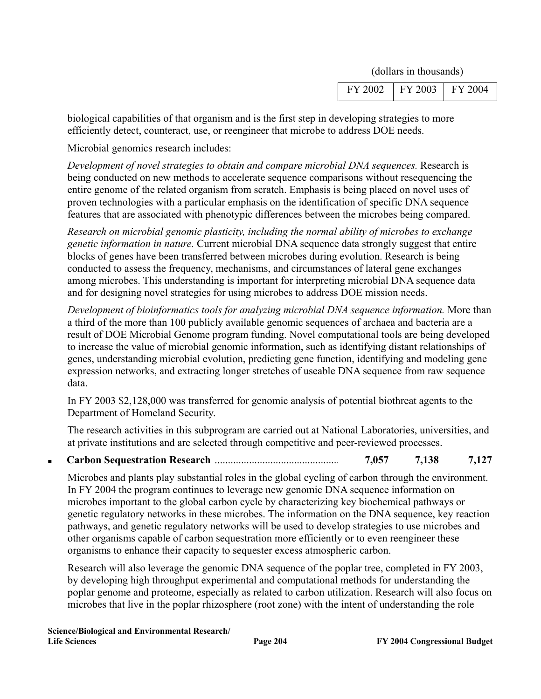(dollars in thousands)

| 103<br>ы |
|----------|
|----------|

biological capabilities of that organism and is the first step in developing strategies to more efficiently detect, counteract, use, or reengineer that microbe to address DOE needs.

Microbial genomics research includes:

*Development of novel strategies to obtain and compare microbial DNA sequences.* Research is being conducted on new methods to accelerate sequence comparisons without resequencing the entire genome of the related organism from scratch. Emphasis is being placed on novel uses of proven technologies with a particular emphasis on the identification of specific DNA sequence features that are associated with phenotypic differences between the microbes being compared.

*Research on microbial genomic plasticity, including the normal ability of microbes to exchange genetic information in nature.* Current microbial DNA sequence data strongly suggest that entire blocks of genes have been transferred between microbes during evolution. Research is being conducted to assess the frequency, mechanisms, and circumstances of lateral gene exchanges among microbes. This understanding is important for interpreting microbial DNA sequence data and for designing novel strategies for using microbes to address DOE mission needs.

*Development of bioinformatics tools for analyzing microbial DNA sequence information.* More than a third of the more than 100 publicly available genomic sequences of archaea and bacteria are a result of DOE Microbial Genome program funding. Novel computational tools are being developed to increase the value of microbial genomic information, such as identifying distant relationships of genes, understanding microbial evolution, predicting gene function, identifying and modeling gene expression networks, and extracting longer stretches of useable DNA sequence from raw sequence data.

In FY 2003 \$2,128,000 was transferred for genomic analysis of potential biothreat agents to the Department of Homeland Security.

The research activities in this subprogram are carried out at National Laboratories, universities, and at private institutions and are selected through competitive and peer-reviewed processes.

■ **Carbon Sequestration Research** ............................................... **7,057 7,138 7,127**

Microbes and plants play substantial roles in the global cycling of carbon through the environment. In FY 2004 the program continues to leverage new genomic DNA sequence information on microbes important to the global carbon cycle by characterizing key biochemical pathways or genetic regulatory networks in these microbes. The information on the DNA sequence, key reaction pathways, and genetic regulatory networks will be used to develop strategies to use microbes and other organisms capable of carbon sequestration more efficiently or to even reengineer these organisms to enhance their capacity to sequester excess atmospheric carbon.

Research will also leverage the genomic DNA sequence of the poplar tree, completed in FY 2003, by developing high throughput experimental and computational methods for understanding the poplar genome and proteome, especially as related to carbon utilization. Research will also focus on microbes that live in the poplar rhizosphere (root zone) with the intent of understanding the role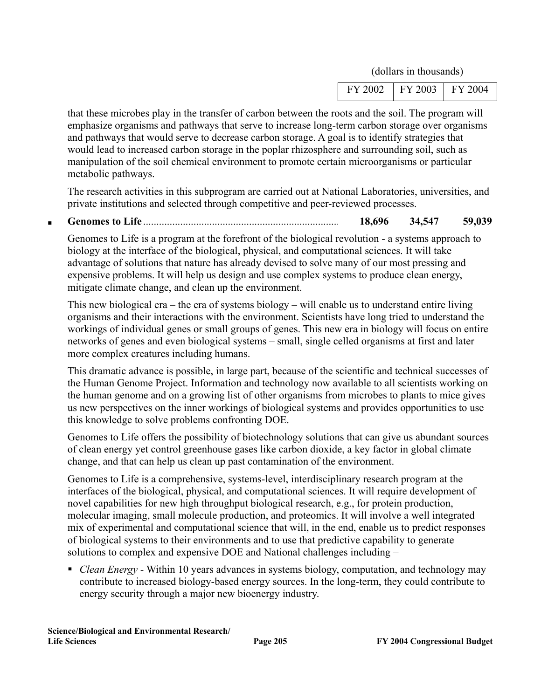(dollars in thousands)

| HE. | v |
|-----|---|
|     |   |

that these microbes play in the transfer of carbon between the roots and the soil. The program will emphasize organisms and pathways that serve to increase long-term carbon storage over organisms and pathways that would serve to decrease carbon storage. A goal is to identify strategies that would lead to increased carbon storage in the poplar rhizosphere and surrounding soil, such as manipulation of the soil chemical environment to promote certain microorganisms or particular metabolic pathways.

The research activities in this subprogram are carried out at National Laboratories, universities, and private institutions and selected through competitive and peer-reviewed processes.

■ **Genomes to Life** .......................................................................... **18,696 34,547 59,039**

Genomes to Life is a program at the forefront of the biological revolution - a systems approach to biology at the interface of the biological, physical, and computational sciences. It will take advantage of solutions that nature has already devised to solve many of our most pressing and expensive problems. It will help us design and use complex systems to produce clean energy, mitigate climate change, and clean up the environment.

This new biological era – the era of systems biology – will enable us to understand entire living organisms and their interactions with the environment. Scientists have long tried to understand the workings of individual genes or small groups of genes. This new era in biology will focus on entire networks of genes and even biological systems – small, single celled organisms at first and later more complex creatures including humans.

This dramatic advance is possible, in large part, because of the scientific and technical successes of the Human Genome Project. Information and technology now available to all scientists working on the human genome and on a growing list of other organisms from microbes to plants to mice gives us new perspectives on the inner workings of biological systems and provides opportunities to use this knowledge to solve problems confronting DOE.

Genomes to Life offers the possibility of biotechnology solutions that can give us abundant sources of clean energy yet control greenhouse gases like carbon dioxide, a key factor in global climate change, and that can help us clean up past contamination of the environment.

Genomes to Life is a comprehensive, systems-level, interdisciplinary research program at the interfaces of the biological, physical, and computational sciences. It will require development of novel capabilities for new high throughput biological research, e.g., for protein production, molecular imaging, small molecule production, and proteomics. It will involve a well integrated mix of experimental and computational science that will, in the end, enable us to predict responses of biological systems to their environments and to use that predictive capability to generate solutions to complex and expensive DOE and National challenges including –

■ *Clean Energy* - Within 10 years advances in systems biology, computation, and technology may contribute to increased biology-based energy sources. In the long-term, they could contribute to energy security through a major new bioenergy industry.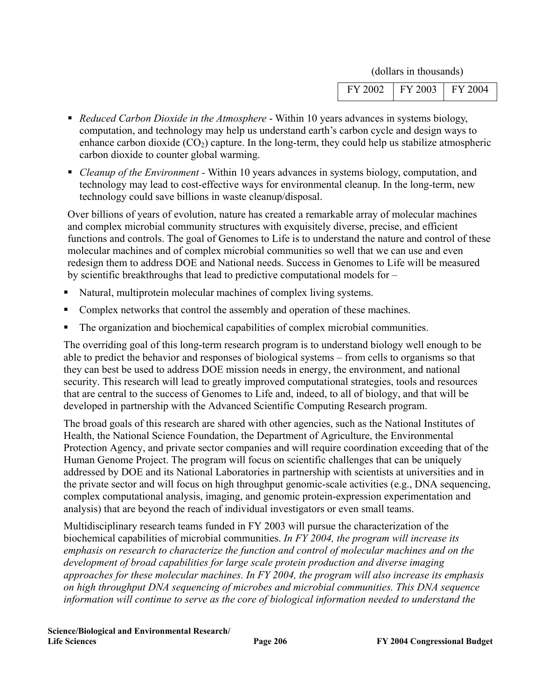| 103<br>١Δ<br>ı<br>и<br>- |  |  |  |
|--------------------------|--|--|--|
|--------------------------|--|--|--|

- *Reduced Carbon Dioxide in the Atmosphere* Within 10 years advances in systems biology, computation, and technology may help us understand earth's carbon cycle and design ways to enhance carbon dioxide  $(CO_2)$  capture. In the long-term, they could help us stabilize atmospheric carbon dioxide to counter global warming.
- *Cleanup of the Environment* Within 10 years advances in systems biology, computation, and technology may lead to cost-effective ways for environmental cleanup. In the long-term, new technology could save billions in waste cleanup/disposal.

Over billions of years of evolution, nature has created a remarkable array of molecular machines and complex microbial community structures with exquisitely diverse, precise, and efficient functions and controls. The goal of Genomes to Life is to understand the nature and control of these molecular machines and of complex microbial communities so well that we can use and even redesign them to address DOE and National needs. Success in Genomes to Life will be measured by scientific breakthroughs that lead to predictive computational models for –

- Natural, multiprotein molecular machines of complex living systems.
- Complex networks that control the assembly and operation of these machines.
- The organization and biochemical capabilities of complex microbial communities.

The overriding goal of this long-term research program is to understand biology well enough to be able to predict the behavior and responses of biological systems – from cells to organisms so that they can best be used to address DOE mission needs in energy, the environment, and national security. This research will lead to greatly improved computational strategies, tools and resources that are central to the success of Genomes to Life and, indeed, to all of biology, and that will be developed in partnership with the Advanced Scientific Computing Research program.

The broad goals of this research are shared with other agencies, such as the National Institutes of Health, the National Science Foundation, the Department of Agriculture, the Environmental Protection Agency, and private sector companies and will require coordination exceeding that of the Human Genome Project. The program will focus on scientific challenges that can be uniquely addressed by DOE and its National Laboratories in partnership with scientists at universities and in the private sector and will focus on high throughput genomic-scale activities (e.g., DNA sequencing, complex computational analysis, imaging, and genomic protein-expression experimentation and analysis) that are beyond the reach of individual investigators or even small teams.

Multidisciplinary research teams funded in FY 2003 will pursue the characterization of the biochemical capabilities of microbial communities. *In FY 2004, the program will increase its emphasis on research to characterize the function and control of molecular machines and on the development of broad capabilities for large scale protein production and diverse imaging approaches for these molecular machines. In FY 2004, the program will also increase its emphasis on high throughput DNA sequencing of microbes and microbial communities. This DNA sequence information will continue to serve as the core of biological information needed to understand the* 

**Science/Biological and Environmental Research/ Life Sciences Page 206 FY 2004 Congressional Budget**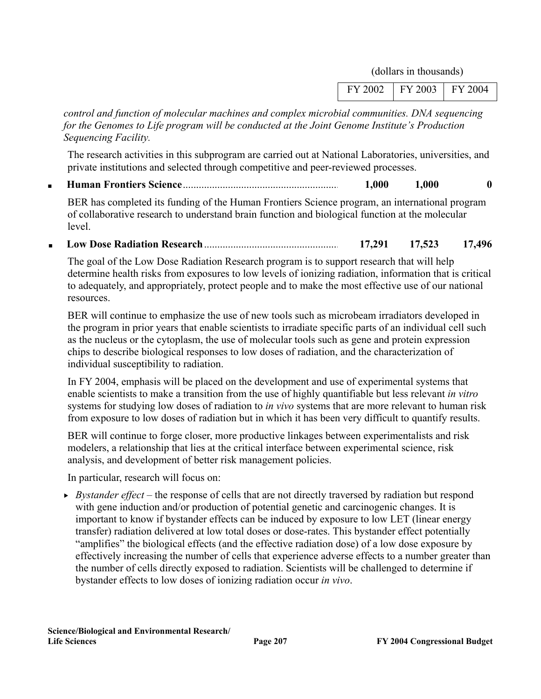| 2002 | 2003<br>Y<br>F | 104<br>Y |
|------|----------------|----------|
|      |                |          |

*control and function of molecular machines and complex microbial communities. DNA sequencing for the Genomes to Life program will be conducted at the Joint Genome Institute's Production Sequencing Facility.* 

The research activities in this subprogram are carried out at National Laboratories, universities, and private institutions and selected through competitive and peer-reviewed processes.

■ **Human Frontiers Science**........................................................... **1,000 1,000 0**

BER has completed its funding of the Human Frontiers Science program, an international program of collaborative research to understand brain function and biological function at the molecular level.

■ **Low Dose Radiation Research**................................................... **17,291 17,523 17,496**

The goal of the Low Dose Radiation Research program is to support research that will help determine health risks from exposures to low levels of ionizing radiation, information that is critical to adequately, and appropriately, protect people and to make the most effective use of our national resources.

BER will continue to emphasize the use of new tools such as microbeam irradiators developed in the program in prior years that enable scientists to irradiate specific parts of an individual cell such as the nucleus or the cytoplasm, the use of molecular tools such as gene and protein expression chips to describe biological responses to low doses of radiation, and the characterization of individual susceptibility to radiation.

In FY 2004, emphasis will be placed on the development and use of experimental systems that enable scientists to make a transition from the use of highly quantifiable but less relevant *in vitro* systems for studying low doses of radiation to *in vivo* systems that are more relevant to human risk from exposure to low doses of radiation but in which it has been very difficult to quantify results.

BER will continue to forge closer, more productive linkages between experimentalists and risk modelers, a relationship that lies at the critical interface between experimental science, risk analysis, and development of better risk management policies.

In particular, research will focus on:

 $\rightarrow$  *Bystander effect* – the response of cells that are not directly traversed by radiation but respond with gene induction and/or production of potential genetic and carcinogenic changes. It is important to know if bystander effects can be induced by exposure to low LET (linear energy transfer) radiation delivered at low total doses or dose-rates. This bystander effect potentially "amplifies" the biological effects (and the effective radiation dose) of a low dose exposure by effectively increasing the number of cells that experience adverse effects to a number greater than the number of cells directly exposed to radiation. Scientists will be challenged to determine if bystander effects to low doses of ionizing radiation occur *in vivo*.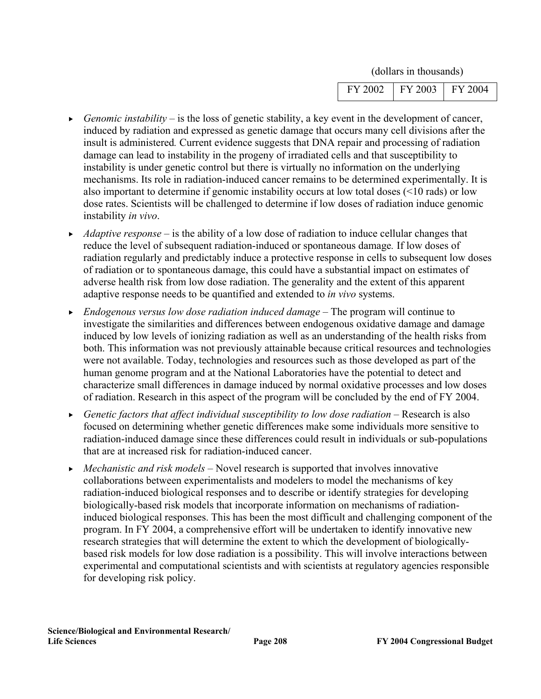| ∩∩∩<br>۲ | - | Δ |
|----------|---|---|
|          |   |   |

- *F* Genomic instability is the loss of genetic stability, a key event in the development of cancer, induced by radiation and expressed as genetic damage that occurs many cell divisions after the insult is administered*.* Current evidence suggests that DNA repair and processing of radiation damage can lead to instability in the progeny of irradiated cells and that susceptibility to instability is under genetic control but there is virtually no information on the underlying mechanisms. Its role in radiation-induced cancer remains to be determined experimentally. It is also important to determine if genomic instability occurs at low total doses (<10 rads) or low dose rates. Scientists will be challenged to determine if low doses of radiation induce genomic instability *in vivo*.
- *Adaptive response* is the ability of a low dose of radiation to induce cellular changes that reduce the level of subsequent radiation-induced or spontaneous damage*.* If low doses of radiation regularly and predictably induce a protective response in cells to subsequent low doses of radiation or to spontaneous damage, this could have a substantial impact on estimates of adverse health risk from low dose radiation. The generality and the extent of this apparent adaptive response needs to be quantified and extended to *in vivo* systems.
- <sup>f</sup>*Endogenous versus low dose radiation induced damage* The program will continue to investigate the similarities and differences between endogenous oxidative damage and damage induced by low levels of ionizing radiation as well as an understanding of the health risks from both. This information was not previously attainable because critical resources and technologies were not available. Today, technologies and resources such as those developed as part of the human genome program and at the National Laboratories have the potential to detect and characterize small differences in damage induced by normal oxidative processes and low doses of radiation. Research in this aspect of the program will be concluded by the end of FY 2004.
- <sup>f</sup>*Genetic factors that affect individual susceptibility to low dose radiation* Research is also focused on determining whether genetic differences make some individuals more sensitive to radiation-induced damage since these differences could result in individuals or sub-populations that are at increased risk for radiation-induced cancer.
- <sup>f</sup>*Mechanistic and risk models* Novel research is supported that involves innovative collaborations between experimentalists and modelers to model the mechanisms of key radiation-induced biological responses and to describe or identify strategies for developing biologically-based risk models that incorporate information on mechanisms of radiationinduced biological responses. This has been the most difficult and challenging component of the program. In FY 2004, a comprehensive effort will be undertaken to identify innovative new research strategies that will determine the extent to which the development of biologicallybased risk models for low dose radiation is a possibility. This will involve interactions between experimental and computational scientists and with scientists at regulatory agencies responsible for developing risk policy.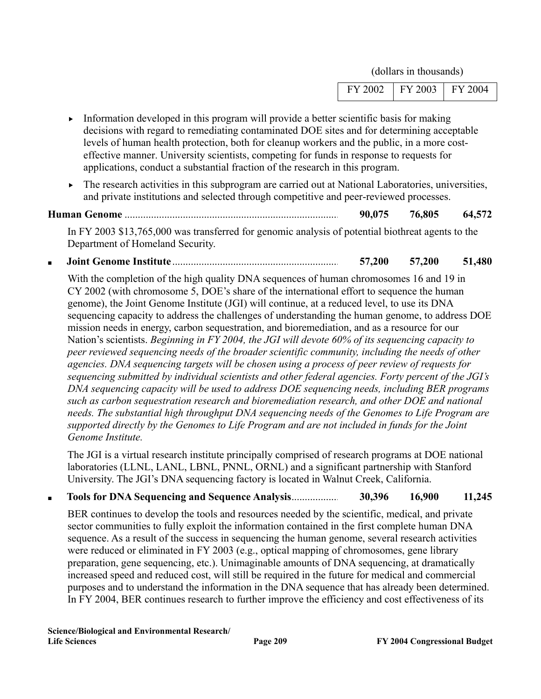| 103<br>١4<br>Y |
|----------------|
|----------------|

- $\blacktriangleright$  Information developed in this program will provide a better scientific basis for making decisions with regard to remediating contaminated DOE sites and for determining acceptable levels of human health protection, both for cleanup workers and the public, in a more costeffective manner. University scientists, competing for funds in response to requests for applications, conduct a substantial fraction of the research in this program.
- $\blacktriangleright$  The research activities in this subprogram are carried out at National Laboratories, universities, and private institutions and selected through competitive and peer-reviewed processes.

**Human Genome** ................................................................................. **90,075 76,805 64,572**

In FY 2003 \$13,765,000 was transferred for genomic analysis of potential biothreat agents to the Department of Homeland Security.

■ **Joint Genome Institute** ............................................................... **57,200 57,200 51,480**

With the completion of the high quality DNA sequences of human chromosomes 16 and 19 in CY 2002 (with chromosome 5, DOE's share of the international effort to sequence the human genome), the Joint Genome Institute (JGI) will continue, at a reduced level, to use its DNA sequencing capacity to address the challenges of understanding the human genome, to address DOE mission needs in energy, carbon sequestration, and bioremediation, and as a resource for our Nation's scientists. *Beginning in FY 2004, the JGI will devote 60% of its sequencing capacity to peer reviewed sequencing needs of the broader scientific community, including the needs of other agencies. DNA sequencing targets will be chosen using a process of peer review of requests for sequencing submitted by individual scientists and other federal agencies. Forty percent of the JGI's DNA sequencing capacity will be used to address DOE sequencing needs, including BER programs such as carbon sequestration research and bioremediation research, and other DOE and national needs. The substantial high throughput DNA sequencing needs of the Genomes to Life Program are supported directly by the Genomes to Life Program and are not included in funds for the Joint Genome Institute.* 

The JGI is a virtual research institute principally comprised of research programs at DOE national laboratories (LLNL, LANL, LBNL, PNNL, ORNL) and a significant partnership with Stanford University. The JGI's DNA sequencing factory is located in Walnut Creek, California.

■ **Tools for DNA Sequencing and Sequence Analysis**.................. **30,396 16,900 11,245**

BER continues to develop the tools and resources needed by the scientific, medical, and private sector communities to fully exploit the information contained in the first complete human DNA sequence. As a result of the success in sequencing the human genome, several research activities were reduced or eliminated in FY 2003 (e.g., optical mapping of chromosomes, gene library preparation, gene sequencing, etc.). Unimaginable amounts of DNA sequencing, at dramatically increased speed and reduced cost, will still be required in the future for medical and commercial purposes and to understand the information in the DNA sequence that has already been determined. In FY 2004, BER continues research to further improve the efficiency and cost effectiveness of its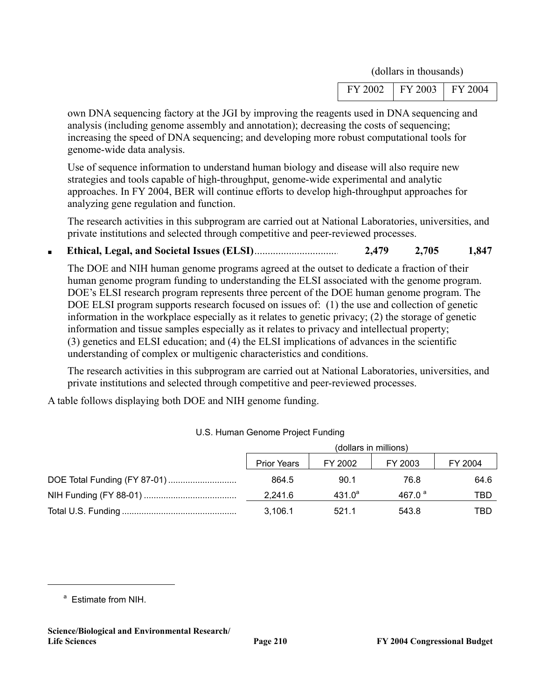| FΥ<br>мr | 2003<br>F | ١Δ<br>Y |
|----------|-----------|---------|
|          |           |         |

own DNA sequencing factory at the JGI by improving the reagents used in DNA sequencing and analysis (including genome assembly and annotation); decreasing the costs of sequencing; increasing the speed of DNA sequencing; and developing more robust computational tools for genome-wide data analysis.

Use of sequence information to understand human biology and disease will also require new strategies and tools capable of high-throughput, genome-wide experimental and analytic approaches. In FY 2004, BER will continue efforts to develop high-throughput approaches for analyzing gene regulation and function.

The research activities in this subprogram are carried out at National Laboratories, universities, and private institutions and selected through competitive and peer-reviewed processes.

■ **Ethical, Legal, and Societal Issues (ELSI)**................................ **2,479 2,705 1,847**

The DOE and NIH human genome programs agreed at the outset to dedicate a fraction of their human genome program funding to understanding the ELSI associated with the genome program. DOE's ELSI research program represents three percent of the DOE human genome program. The DOE ELSI program supports research focused on issues of: (1) the use and collection of genetic information in the workplace especially as it relates to genetic privacy; (2) the storage of genetic information and tissue samples especially as it relates to privacy and intellectual property; (3) genetics and ELSI education; and (4) the ELSI implications of advances in the scientific understanding of complex or multigenic characteristics and conditions.

The research activities in this subprogram are carried out at National Laboratories, universities, and private institutions and selected through competitive and peer-reviewed processes.

A table follows displaying both DOE and NIH genome funding.

| (dollars in millions) |           |              |         |
|-----------------------|-----------|--------------|---------|
| <b>Prior Years</b>    | FY 2002   | FY 2003      | FY 2004 |
| 864.5                 | 90.1      | 76.8         | 64.6    |
| 2.241.6               | $431.0^4$ | 467.0 $^{a}$ | TBD     |
| 3.106.1               | 521.1     | 543.8        | TBD     |

#### U.S. Human Genome Project Funding

<sup>a</sup> Estimate from NIH.

 $\overline{a}$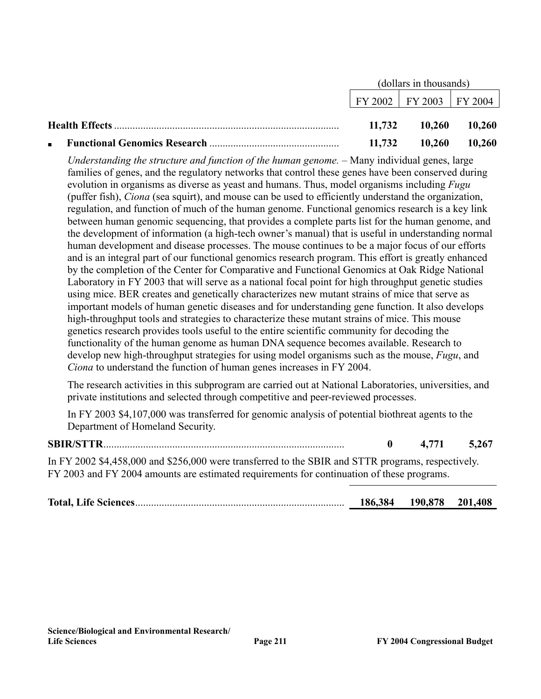|  |        | (dollars in thousands)      |        |
|--|--------|-----------------------------|--------|
|  |        | FY 2002   FY 2003   FY 2004 |        |
|  | 11,732 | 10,260                      | 10,260 |
|  | 11,732 | 10,260                      | 10,260 |

*Understanding the structure and function of the human genome.* – Many individual genes, large families of genes, and the regulatory networks that control these genes have been conserved during evolution in organisms as diverse as yeast and humans. Thus, model organisms including *Fugu* (puffer fish), *Ciona* (sea squirt), and mouse can be used to efficiently understand the organization, regulation, and function of much of the human genome. Functional genomics research is a key link between human genomic sequencing, that provides a complete parts list for the human genome, and the development of information (a high-tech owner's manual) that is useful in understanding normal human development and disease processes. The mouse continues to be a major focus of our efforts and is an integral part of our functional genomics research program. This effort is greatly enhanced by the completion of the Center for Comparative and Functional Genomics at Oak Ridge National Laboratory in FY 2003 that will serve as a national focal point for high throughput genetic studies using mice. BER creates and genetically characterizes new mutant strains of mice that serve as important models of human genetic diseases and for understanding gene function. It also develops high-throughput tools and strategies to characterize these mutant strains of mice. This mouse genetics research provides tools useful to the entire scientific community for decoding the functionality of the human genome as human DNA sequence becomes available. Research to develop new high-throughput strategies for using model organisms such as the mouse, *Fugu*, and *Ciona* to understand the function of human genes increases in FY 2004.

The research activities in this subprogram are carried out at National Laboratories, universities, and private institutions and selected through competitive and peer-reviewed processes.

In FY 2003 \$4,107,000 was transferred for genomic analysis of potential biothreat agents to the Department of Homeland Security.

#### **SBIR/STTR**........................................................................................... **0 4,771 5,267**

In FY 2002 \$4,458,000 and \$256,000 were transferred to the SBIR and STTR programs, respectively. FY 2003 and FY 2004 amounts are estimated requirements for continuation of these programs.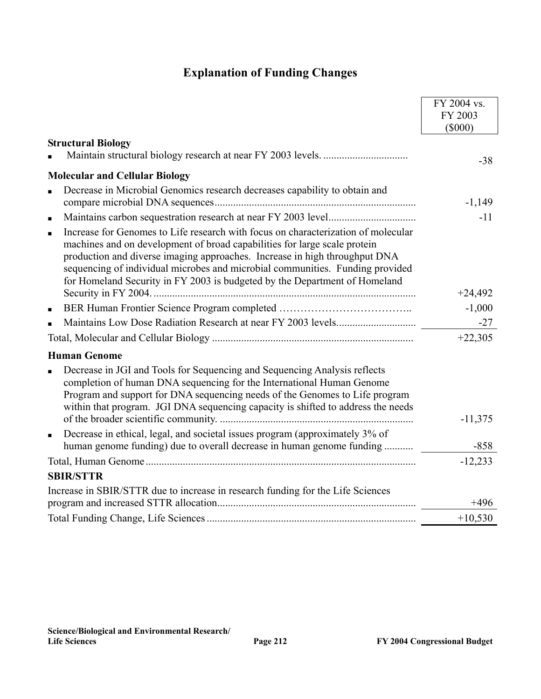## **Explanation of Funding Changes**

|                                                                                                                                                                                                                                                                                                                                                                                                                               | FY 2004 vs.          |
|-------------------------------------------------------------------------------------------------------------------------------------------------------------------------------------------------------------------------------------------------------------------------------------------------------------------------------------------------------------------------------------------------------------------------------|----------------------|
|                                                                                                                                                                                                                                                                                                                                                                                                                               | FY 2003<br>$(\$000)$ |
| <b>Structural Biology</b>                                                                                                                                                                                                                                                                                                                                                                                                     |                      |
|                                                                                                                                                                                                                                                                                                                                                                                                                               | $-38$                |
| <b>Molecular and Cellular Biology</b>                                                                                                                                                                                                                                                                                                                                                                                         |                      |
| Decrease in Microbial Genomics research decreases capability to obtain and<br>$\blacksquare$                                                                                                                                                                                                                                                                                                                                  | $-1,149$             |
| $\blacksquare$                                                                                                                                                                                                                                                                                                                                                                                                                | $-11$                |
| Increase for Genomes to Life research with focus on characterization of molecular<br>$\blacksquare$<br>machines and on development of broad capabilities for large scale protein<br>production and diverse imaging approaches. Increase in high throughput DNA<br>sequencing of individual microbes and microbial communities. Funding provided<br>for Homeland Security in FY 2003 is budgeted by the Department of Homeland |                      |
|                                                                                                                                                                                                                                                                                                                                                                                                                               | $+24,492$            |
| $\blacksquare$                                                                                                                                                                                                                                                                                                                                                                                                                | $-1,000$             |
| $\blacksquare$                                                                                                                                                                                                                                                                                                                                                                                                                | $-27$                |
|                                                                                                                                                                                                                                                                                                                                                                                                                               | $+22,305$            |
| <b>Human Genome</b>                                                                                                                                                                                                                                                                                                                                                                                                           |                      |
| Decrease in JGI and Tools for Sequencing and Sequencing Analysis reflects<br>$\blacksquare$<br>completion of human DNA sequencing for the International Human Genome<br>Program and support for DNA sequencing needs of the Genomes to Life program<br>within that program. JGI DNA sequencing capacity is shifted to address the needs                                                                                       | $-11,375$            |
| Decrease in ethical, legal, and societal issues program (approximately 3% of                                                                                                                                                                                                                                                                                                                                                  |                      |
| $\blacksquare$<br>human genome funding) due to overall decrease in human genome funding                                                                                                                                                                                                                                                                                                                                       | $-858$               |
|                                                                                                                                                                                                                                                                                                                                                                                                                               | $-12,233$            |
| <b>SBIR/STTR</b>                                                                                                                                                                                                                                                                                                                                                                                                              |                      |
| Increase in SBIR/STTR due to increase in research funding for the Life Sciences                                                                                                                                                                                                                                                                                                                                               | $+496$               |
|                                                                                                                                                                                                                                                                                                                                                                                                                               | $+10,530$            |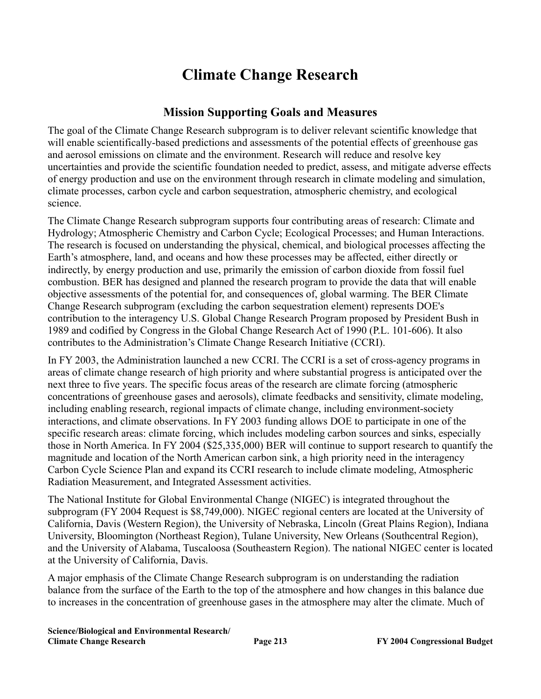# **Climate Change Research**

#### **Mission Supporting Goals and Measures**

The goal of the Climate Change Research subprogram is to deliver relevant scientific knowledge that will enable scientifically-based predictions and assessments of the potential effects of greenhouse gas and aerosol emissions on climate and the environment. Research will reduce and resolve key uncertainties and provide the scientific foundation needed to predict, assess, and mitigate adverse effects of energy production and use on the environment through research in climate modeling and simulation, climate processes, carbon cycle and carbon sequestration, atmospheric chemistry, and ecological science.

The Climate Change Research subprogram supports four contributing areas of research: Climate and Hydrology; Atmospheric Chemistry and Carbon Cycle; Ecological Processes; and Human Interactions. The research is focused on understanding the physical, chemical, and biological processes affecting the Earth's atmosphere, land, and oceans and how these processes may be affected, either directly or indirectly, by energy production and use, primarily the emission of carbon dioxide from fossil fuel combustion. BER has designed and planned the research program to provide the data that will enable objective assessments of the potential for, and consequences of, global warming. The BER Climate Change Research subprogram (excluding the carbon sequestration element) represents DOE's contribution to the interagency U.S. Global Change Research Program proposed by President Bush in 1989 and codified by Congress in the Global Change Research Act of 1990 (P.L. 101-606). It also contributes to the Administration's Climate Change Research Initiative (CCRI).

In FY 2003, the Administration launched a new CCRI. The CCRI is a set of cross-agency programs in areas of climate change research of high priority and where substantial progress is anticipated over the next three to five years. The specific focus areas of the research are climate forcing (atmospheric concentrations of greenhouse gases and aerosols), climate feedbacks and sensitivity, climate modeling, including enabling research, regional impacts of climate change, including environment-society interactions, and climate observations. In FY 2003 funding allows DOE to participate in one of the specific research areas: climate forcing, which includes modeling carbon sources and sinks, especially those in North America. In FY 2004 (\$25,335,000) BER will continue to support research to quantify the magnitude and location of the North American carbon sink, a high priority need in the interagency Carbon Cycle Science Plan and expand its CCRI research to include climate modeling, Atmospheric Radiation Measurement, and Integrated Assessment activities.

The National Institute for Global Environmental Change (NIGEC) is integrated throughout the subprogram (FY 2004 Request is \$8,749,000). NIGEC regional centers are located at the University of California, Davis (Western Region), the University of Nebraska, Lincoln (Great Plains Region), Indiana University, Bloomington (Northeast Region), Tulane University, New Orleans (Southcentral Region), and the University of Alabama, Tuscaloosa (Southeastern Region). The national NIGEC center is located at the University of California, Davis.

A major emphasis of the Climate Change Research subprogram is on understanding the radiation balance from the surface of the Earth to the top of the atmosphere and how changes in this balance due to increases in the concentration of greenhouse gases in the atmosphere may alter the climate. Much of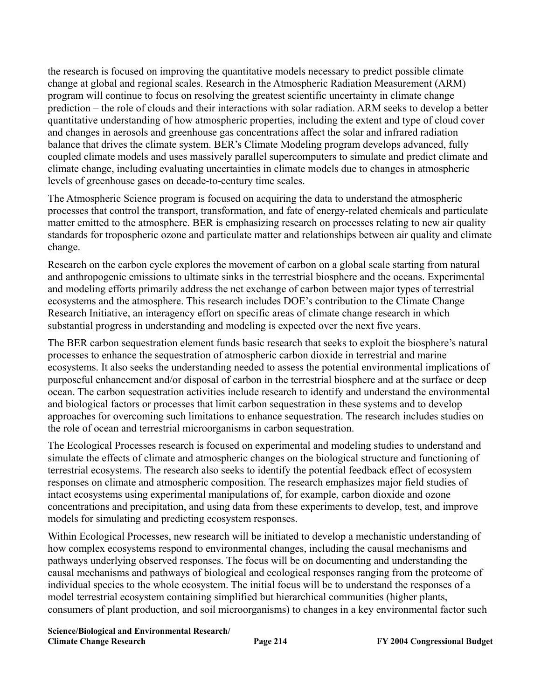the research is focused on improving the quantitative models necessary to predict possible climate change at global and regional scales. Research in the Atmospheric Radiation Measurement (ARM) program will continue to focus on resolving the greatest scientific uncertainty in climate change prediction – the role of clouds and their interactions with solar radiation. ARM seeks to develop a better quantitative understanding of how atmospheric properties, including the extent and type of cloud cover and changes in aerosols and greenhouse gas concentrations affect the solar and infrared radiation balance that drives the climate system. BER's Climate Modeling program develops advanced, fully coupled climate models and uses massively parallel supercomputers to simulate and predict climate and climate change, including evaluating uncertainties in climate models due to changes in atmospheric levels of greenhouse gases on decade-to-century time scales.

The Atmospheric Science program is focused on acquiring the data to understand the atmospheric processes that control the transport, transformation, and fate of energy-related chemicals and particulate matter emitted to the atmosphere. BER is emphasizing research on processes relating to new air quality standards for tropospheric ozone and particulate matter and relationships between air quality and climate change.

Research on the carbon cycle explores the movement of carbon on a global scale starting from natural and anthropogenic emissions to ultimate sinks in the terrestrial biosphere and the oceans. Experimental and modeling efforts primarily address the net exchange of carbon between major types of terrestrial ecosystems and the atmosphere. This research includes DOE's contribution to the Climate Change Research Initiative, an interagency effort on specific areas of climate change research in which substantial progress in understanding and modeling is expected over the next five years.

The BER carbon sequestration element funds basic research that seeks to exploit the biosphere's natural processes to enhance the sequestration of atmospheric carbon dioxide in terrestrial and marine ecosystems. It also seeks the understanding needed to assess the potential environmental implications of purposeful enhancement and/or disposal of carbon in the terrestrial biosphere and at the surface or deep ocean. The carbon sequestration activities include research to identify and understand the environmental and biological factors or processes that limit carbon sequestration in these systems and to develop approaches for overcoming such limitations to enhance sequestration. The research includes studies on the role of ocean and terrestrial microorganisms in carbon sequestration.

The Ecological Processes research is focused on experimental and modeling studies to understand and simulate the effects of climate and atmospheric changes on the biological structure and functioning of terrestrial ecosystems. The research also seeks to identify the potential feedback effect of ecosystem responses on climate and atmospheric composition. The research emphasizes major field studies of intact ecosystems using experimental manipulations of, for example, carbon dioxide and ozone concentrations and precipitation, and using data from these experiments to develop, test, and improve models for simulating and predicting ecosystem responses.

Within Ecological Processes, new research will be initiated to develop a mechanistic understanding of how complex ecosystems respond to environmental changes, including the causal mechanisms and pathways underlying observed responses. The focus will be on documenting and understanding the causal mechanisms and pathways of biological and ecological responses ranging from the proteome of individual species to the whole ecosystem. The initial focus will be to understand the responses of a model terrestrial ecosystem containing simplified but hierarchical communities (higher plants, consumers of plant production, and soil microorganisms) to changes in a key environmental factor such

**Science/Biological and Environmental Research/ Climate Change Research Page 214 FY 2004 Congressional Budget**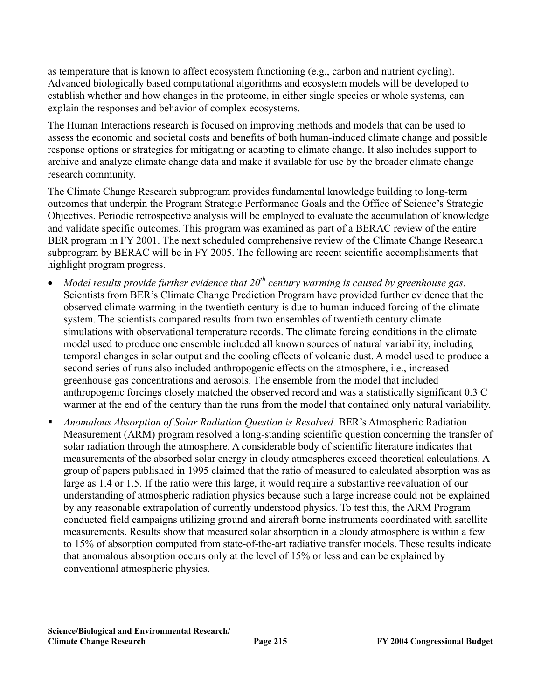as temperature that is known to affect ecosystem functioning (e.g., carbon and nutrient cycling). Advanced biologically based computational algorithms and ecosystem models will be developed to establish whether and how changes in the proteome, in either single species or whole systems, can explain the responses and behavior of complex ecosystems.

The Human Interactions research is focused on improving methods and models that can be used to assess the economic and societal costs and benefits of both human-induced climate change and possible response options or strategies for mitigating or adapting to climate change. It also includes support to archive and analyze climate change data and make it available for use by the broader climate change research community.

The Climate Change Research subprogram provides fundamental knowledge building to long-term outcomes that underpin the Program Strategic Performance Goals and the Office of Science's Strategic Objectives. Periodic retrospective analysis will be employed to evaluate the accumulation of knowledge and validate specific outcomes. This program was examined as part of a BERAC review of the entire BER program in FY 2001. The next scheduled comprehensive review of the Climate Change Research subprogram by BERAC will be in FY 2005. The following are recent scientific accomplishments that highlight program progress.

- *Model results provide further evidence that 20<sup>th</sup> century warming is caused by greenhouse gas.* Scientists from BER's Climate Change Prediction Program have provided further evidence that the observed climate warming in the twentieth century is due to human induced forcing of the climate system. The scientists compared results from two ensembles of twentieth century climate simulations with observational temperature records. The climate forcing conditions in the climate model used to produce one ensemble included all known sources of natural variability, including temporal changes in solar output and the cooling effects of volcanic dust. A model used to produce a second series of runs also included anthropogenic effects on the atmosphere, i.e., increased greenhouse gas concentrations and aerosols. The ensemble from the model that included anthropogenic forcings closely matched the observed record and was a statistically significant 0.3 C warmer at the end of the century than the runs from the model that contained only natural variability.
- *Anomalous Absorption of Solar Radiation Question is Resolved.* BER's Atmospheric Radiation Measurement (ARM) program resolved a long-standing scientific question concerning the transfer of solar radiation through the atmosphere. A considerable body of scientific literature indicates that measurements of the absorbed solar energy in cloudy atmospheres exceed theoretical calculations. A group of papers published in 1995 claimed that the ratio of measured to calculated absorption was as large as 1.4 or 1.5. If the ratio were this large, it would require a substantive reevaluation of our understanding of atmospheric radiation physics because such a large increase could not be explained by any reasonable extrapolation of currently understood physics. To test this, the ARM Program conducted field campaigns utilizing ground and aircraft borne instruments coordinated with satellite measurements. Results show that measured solar absorption in a cloudy atmosphere is within a few to 15% of absorption computed from state-of-the-art radiative transfer models. These results indicate that anomalous absorption occurs only at the level of 15% or less and can be explained by conventional atmospheric physics.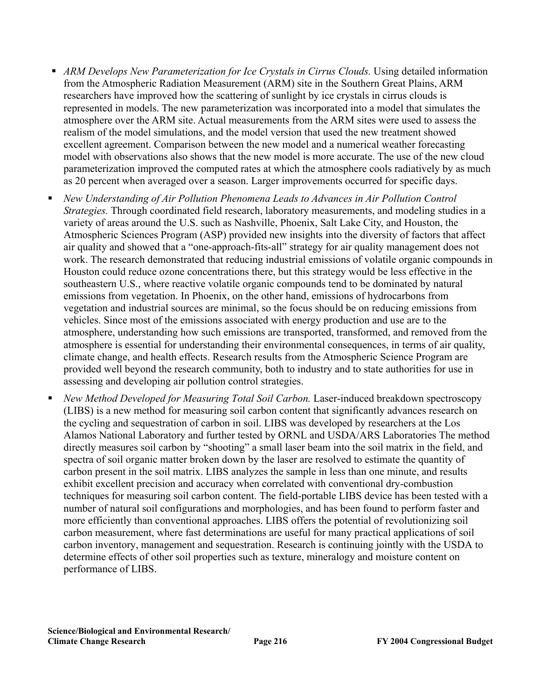- **•** ARM Develops New Parameterization for Ice Crystals in Cirrus Clouds. Using detailed information from the Atmospheric Radiation Measurement (ARM) site in the Southern Great Plains, ARM researchers have improved how the scattering of sunlight by ice crystals in cirrus clouds is represented in models. The new parameterization was incorporated into a model that simulates the atmosphere over the ARM site. Actual measurements from the ARM sites were used to assess the realism of the model simulations, and the model version that used the new treatment showed excellent agreement. Comparison between the new model and a numerical weather forecasting model with observations also shows that the new model is more accurate. The use of the new cloud parameterization improved the computed rates at which the atmosphere cools radiatively by as much as 20 percent when averaged over a season. Larger improvements occurred for specific days.
- *New Understanding of Air Pollution Phenomena Leads to Advances in Air Pollution Control Strategies.* Through coordinated field research, laboratory measurements, and modeling studies in a variety of areas around the U.S. such as Nashville, Phoenix, Salt Lake City, and Houston, the Atmospheric Sciences Program (ASP) provided new insights into the diversity of factors that affect air quality and showed that a "one-approach-fits-all" strategy for air quality management does not work. The research demonstrated that reducing industrial emissions of volatile organic compounds in Houston could reduce ozone concentrations there, but this strategy would be less effective in the southeastern U.S., where reactive volatile organic compounds tend to be dominated by natural emissions from vegetation. In Phoenix, on the other hand, emissions of hydrocarbons from vegetation and industrial sources are minimal, so the focus should be on reducing emissions from vehicles. Since most of the emissions associated with energy production and use are to the atmosphere, understanding how such emissions are transported, transformed, and removed from the atmosphere is essential for understanding their environmental consequences, in terms of air quality, climate change, and health effects. Research results from the Atmospheric Science Program are provided well beyond the research community, both to industry and to state authorities for use in assessing and developing air pollution control strategies.
- *New Method Developed for Measuring Total Soil Carbon.* Laser-induced breakdown spectroscopy (LIBS) is a new method for measuring soil carbon content that significantly advances research on the cycling and sequestration of carbon in soil. LIBS was developed by researchers at the Los Alamos National Laboratory and further tested by ORNL and USDA/ARS Laboratories The method directly measures soil carbon by "shooting" a small laser beam into the soil matrix in the field, and spectra of soil organic matter broken down by the laser are resolved to estimate the quantity of carbon present in the soil matrix. LIBS analyzes the sample in less than one minute, and results exhibit excellent precision and accuracy when correlated with conventional dry-combustion techniques for measuring soil carbon content. The field-portable LIBS device has been tested with a number of natural soil configurations and morphologies, and has been found to perform faster and more efficiently than conventional approaches. LIBS offers the potential of revolutionizing soil carbon measurement, where fast determinations are useful for many practical applications of soil carbon inventory, management and sequestration. Research is continuing jointly with the USDA to determine effects of other soil properties such as texture, mineralogy and moisture content on performance of LIBS.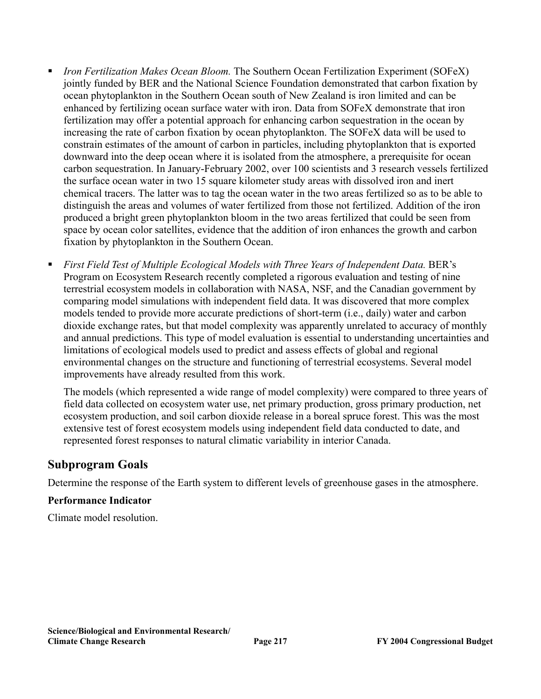- *Iron Fertilization Makes Ocean Bloom.* The Southern Ocean Fertilization Experiment (SOFeX) jointly funded by BER and the National Science Foundation demonstrated that carbon fixation by ocean phytoplankton in the Southern Ocean south of New Zealand is iron limited and can be enhanced by fertilizing ocean surface water with iron. Data from SOFeX demonstrate that iron fertilization may offer a potential approach for enhancing carbon sequestration in the ocean by increasing the rate of carbon fixation by ocean phytoplankton. The SOFeX data will be used to constrain estimates of the amount of carbon in particles, including phytoplankton that is exported downward into the deep ocean where it is isolated from the atmosphere, a prerequisite for ocean carbon sequestration. In January-February 2002, over 100 scientists and 3 research vessels fertilized the surface ocean water in two 15 square kilometer study areas with dissolved iron and inert chemical tracers. The latter was to tag the ocean water in the two areas fertilized so as to be able to distinguish the areas and volumes of water fertilized from those not fertilized. Addition of the iron produced a bright green phytoplankton bloom in the two areas fertilized that could be seen from space by ocean color satellites, evidence that the addition of iron enhances the growth and carbon fixation by phytoplankton in the Southern Ocean.
- *First Field Test of Multiple Ecological Models with Three Years of Independent Data. BER's* Program on Ecosystem Research recently completed a rigorous evaluation and testing of nine terrestrial ecosystem models in collaboration with NASA, NSF, and the Canadian government by comparing model simulations with independent field data. It was discovered that more complex models tended to provide more accurate predictions of short-term (i.e., daily) water and carbon dioxide exchange rates, but that model complexity was apparently unrelated to accuracy of monthly and annual predictions. This type of model evaluation is essential to understanding uncertainties and limitations of ecological models used to predict and assess effects of global and regional environmental changes on the structure and functioning of terrestrial ecosystems. Several model improvements have already resulted from this work.

The models (which represented a wide range of model complexity) were compared to three years of field data collected on ecosystem water use, net primary production, gross primary production, net ecosystem production, and soil carbon dioxide release in a boreal spruce forest. This was the most extensive test of forest ecosystem models using independent field data conducted to date, and represented forest responses to natural climatic variability in interior Canada.

#### **Subprogram Goals**

Determine the response of the Earth system to different levels of greenhouse gases in the atmosphere.

#### **Performance Indicator**

Climate model resolution.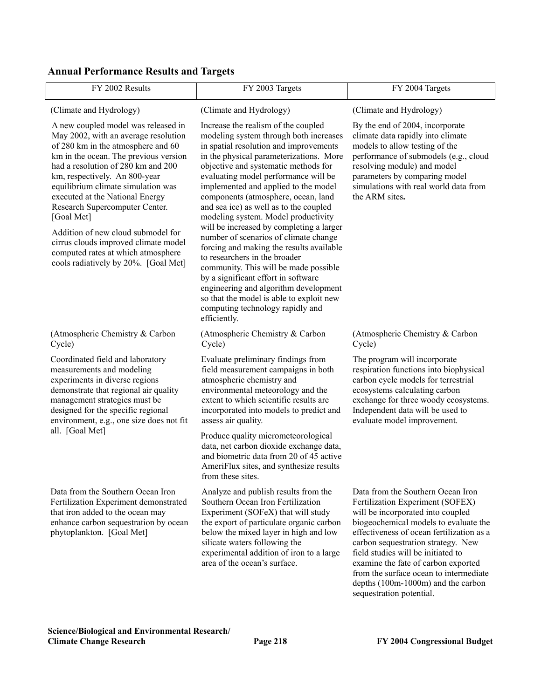#### **Annual Performance Results and Targets**

| FY 2002 Results                                                                                                                                                                                                                                                                                                                                                                                                                                                                                                        | FY 2003 Targets                                                                                                                                                                                                                                                                                                                                                                                                                                                                                                                                                                                                                                                                                                                                                                                               | FY 2004 Targets                                                                                                                                                                                                                                                                                                                                                                                                                 |
|------------------------------------------------------------------------------------------------------------------------------------------------------------------------------------------------------------------------------------------------------------------------------------------------------------------------------------------------------------------------------------------------------------------------------------------------------------------------------------------------------------------------|---------------------------------------------------------------------------------------------------------------------------------------------------------------------------------------------------------------------------------------------------------------------------------------------------------------------------------------------------------------------------------------------------------------------------------------------------------------------------------------------------------------------------------------------------------------------------------------------------------------------------------------------------------------------------------------------------------------------------------------------------------------------------------------------------------------|---------------------------------------------------------------------------------------------------------------------------------------------------------------------------------------------------------------------------------------------------------------------------------------------------------------------------------------------------------------------------------------------------------------------------------|
| (Climate and Hydrology)                                                                                                                                                                                                                                                                                                                                                                                                                                                                                                | (Climate and Hydrology)                                                                                                                                                                                                                                                                                                                                                                                                                                                                                                                                                                                                                                                                                                                                                                                       | (Climate and Hydrology)                                                                                                                                                                                                                                                                                                                                                                                                         |
| A new coupled model was released in<br>May 2002, with an average resolution<br>of 280 km in the atmosphere and 60<br>km in the ocean. The previous version<br>had a resolution of 280 km and 200<br>km, respectively. An 800-year<br>equilibrium climate simulation was<br>executed at the National Energy<br>Research Supercomputer Center.<br>[Goal Met]<br>Addition of new cloud submodel for<br>cirrus clouds improved climate model<br>computed rates at which atmosphere<br>cools radiatively by 20%. [Goal Met] | Increase the realism of the coupled<br>modeling system through both increases<br>in spatial resolution and improvements<br>in the physical parameterizations. More<br>objective and systematic methods for<br>evaluating model performance will be<br>implemented and applied to the model<br>components (atmosphere, ocean, land<br>and sea ice) as well as to the coupled<br>modeling system. Model productivity<br>will be increased by completing a larger<br>number of scenarios of climate change<br>forcing and making the results available<br>to researchers in the broader<br>community. This will be made possible<br>by a significant effort in software<br>engineering and algorithm development<br>so that the model is able to exploit new<br>computing technology rapidly and<br>efficiently. | By the end of 2004, incorporate<br>climate data rapidly into climate<br>models to allow testing of the<br>performance of submodels (e.g., cloud<br>resolving module) and model<br>parameters by comparing model<br>simulations with real world data from<br>the ARM sites.                                                                                                                                                      |
| (Atmospheric Chemistry & Carbon<br>Cycle)                                                                                                                                                                                                                                                                                                                                                                                                                                                                              | (Atmospheric Chemistry & Carbon<br>Cycle)                                                                                                                                                                                                                                                                                                                                                                                                                                                                                                                                                                                                                                                                                                                                                                     | (Atmospheric Chemistry & Carbon<br>Cycle)                                                                                                                                                                                                                                                                                                                                                                                       |
| Coordinated field and laboratory<br>measurements and modeling<br>experiments in diverse regions<br>demonstrate that regional air quality<br>management strategies must be<br>designed for the specific regional<br>environment, e.g., one size does not fit                                                                                                                                                                                                                                                            | Evaluate preliminary findings from<br>field measurement campaigns in both<br>atmospheric chemistry and<br>environmental meteorology and the<br>extent to which scientific results are<br>incorporated into models to predict and<br>assess air quality.                                                                                                                                                                                                                                                                                                                                                                                                                                                                                                                                                       | The program will incorporate<br>respiration functions into biophysical<br>carbon cycle models for terrestrial<br>ecosystems calculating carbon<br>exchange for three woody ecosystems.<br>Independent data will be used to<br>evaluate model improvement.                                                                                                                                                                       |
| all. [Goal Met]                                                                                                                                                                                                                                                                                                                                                                                                                                                                                                        | Produce quality micrometeorological<br>data, net carbon dioxide exchange data,<br>and biometric data from 20 of 45 active<br>AmeriFlux sites, and synthesize results<br>from these sites.                                                                                                                                                                                                                                                                                                                                                                                                                                                                                                                                                                                                                     |                                                                                                                                                                                                                                                                                                                                                                                                                                 |
| Data from the Southern Ocean Iron<br>Fertilization Experiment demonstrated<br>that iron added to the ocean may<br>enhance carbon sequestration by ocean<br>phytoplankton. [Goal Met]                                                                                                                                                                                                                                                                                                                                   | Analyze and publish results from the<br>Southern Ocean Iron Fertilization<br>Experiment (SOFeX) that will study<br>the export of particulate organic carbon<br>below the mixed layer in high and low<br>silicate waters following the<br>experimental addition of iron to a large<br>area of the ocean's surface.                                                                                                                                                                                                                                                                                                                                                                                                                                                                                             | Data from the Southern Ocean Iron<br>Fertilization Experiment (SOFEX)<br>will be incorporated into coupled<br>biogeochemical models to evaluate the<br>effectiveness of ocean fertilization as a<br>carbon sequestration strategy. New<br>field studies will be initiated to<br>examine the fate of carbon exported<br>from the surface ocean to intermediate<br>depths (100m-1000m) and the carbon<br>sequestration potential. |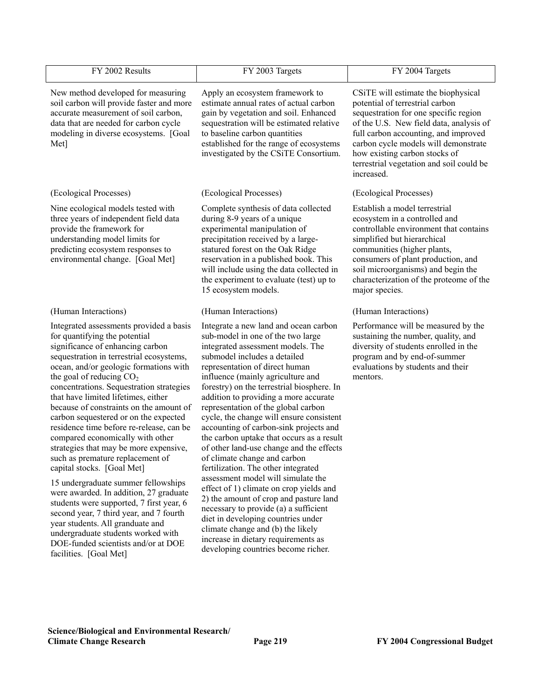| FY 2002 Results                                                                                                                                                                                                                                                                                                                                                                                                                                                                                                                                                                                                                                                                                                                                                                                                                                                                                                        | FY 2003 Targets                                                                                                                                                                                                                                                                                                                                                                                                                                                                                                                                                                                                                                                                                                                                                                                                                                                                                                                         | FY 2004 Targets                                                                                                                                                                                                                                                                                                                       |
|------------------------------------------------------------------------------------------------------------------------------------------------------------------------------------------------------------------------------------------------------------------------------------------------------------------------------------------------------------------------------------------------------------------------------------------------------------------------------------------------------------------------------------------------------------------------------------------------------------------------------------------------------------------------------------------------------------------------------------------------------------------------------------------------------------------------------------------------------------------------------------------------------------------------|-----------------------------------------------------------------------------------------------------------------------------------------------------------------------------------------------------------------------------------------------------------------------------------------------------------------------------------------------------------------------------------------------------------------------------------------------------------------------------------------------------------------------------------------------------------------------------------------------------------------------------------------------------------------------------------------------------------------------------------------------------------------------------------------------------------------------------------------------------------------------------------------------------------------------------------------|---------------------------------------------------------------------------------------------------------------------------------------------------------------------------------------------------------------------------------------------------------------------------------------------------------------------------------------|
| New method developed for measuring<br>soil carbon will provide faster and more<br>accurate measurement of soil carbon,<br>data that are needed for carbon cycle<br>modeling in diverse ecosystems. [Goal<br>Met]                                                                                                                                                                                                                                                                                                                                                                                                                                                                                                                                                                                                                                                                                                       | Apply an ecosystem framework to<br>estimate annual rates of actual carbon<br>gain by vegetation and soil. Enhanced<br>sequestration will be estimated relative<br>to baseline carbon quantities<br>established for the range of ecosystems<br>investigated by the CSiTE Consortium.                                                                                                                                                                                                                                                                                                                                                                                                                                                                                                                                                                                                                                                     | CSiTE will estimate the biophysical<br>potential of terrestrial carbon<br>sequestration for one specific region<br>of the U.S. New field data, analysis of<br>full carbon accounting, and improved<br>carbon cycle models will demonstrate<br>how existing carbon stocks of<br>terrestrial vegetation and soil could be<br>increased. |
| (Ecological Processes)                                                                                                                                                                                                                                                                                                                                                                                                                                                                                                                                                                                                                                                                                                                                                                                                                                                                                                 | (Ecological Processes)                                                                                                                                                                                                                                                                                                                                                                                                                                                                                                                                                                                                                                                                                                                                                                                                                                                                                                                  | (Ecological Processes)                                                                                                                                                                                                                                                                                                                |
| Nine ecological models tested with<br>three years of independent field data<br>provide the framework for<br>understanding model limits for<br>predicting ecosystem responses to<br>environmental change. [Goal Met]                                                                                                                                                                                                                                                                                                                                                                                                                                                                                                                                                                                                                                                                                                    | Complete synthesis of data collected<br>during 8-9 years of a unique<br>experimental manipulation of<br>precipitation received by a large-<br>statured forest on the Oak Ridge<br>reservation in a published book. This<br>will include using the data collected in<br>the experiment to evaluate (test) up to<br>15 ecosystem models.                                                                                                                                                                                                                                                                                                                                                                                                                                                                                                                                                                                                  | Establish a model terrestrial<br>ecosystem in a controlled and<br>controllable environment that contains<br>simplified but hierarchical<br>communities (higher plants,<br>consumers of plant production, and<br>soil microorganisms) and begin the<br>characterization of the proteome of the<br>major species.                       |
| (Human Interactions)                                                                                                                                                                                                                                                                                                                                                                                                                                                                                                                                                                                                                                                                                                                                                                                                                                                                                                   | (Human Interactions)                                                                                                                                                                                                                                                                                                                                                                                                                                                                                                                                                                                                                                                                                                                                                                                                                                                                                                                    | (Human Interactions)                                                                                                                                                                                                                                                                                                                  |
| Integrated assessments provided a basis<br>for quantifying the potential<br>significance of enhancing carbon<br>sequestration in terrestrial ecosystems,<br>ocean, and/or geologic formations with<br>the goal of reducing $CO2$<br>concentrations. Sequestration strategies<br>that have limited lifetimes, either<br>because of constraints on the amount of<br>carbon sequestered or on the expected<br>residence time before re-release, can be<br>compared economically with other<br>strategies that may be more expensive,<br>such as premature replacement of<br>capital stocks. [Goal Met]<br>15 undergraduate summer fellowships<br>were awarded. In addition, 27 graduate<br>students were supported, 7 first year, 6<br>second year, 7 third year, and 7 fourth<br>year students. All granduate and<br>undergraduate students worked with<br>DOE-funded scientists and/or at DOE<br>facilities. [Goal Met] | Integrate a new land and ocean carbon<br>sub-model in one of the two large<br>integrated assessment models. The<br>submodel includes a detailed<br>representation of direct human<br>influence (mainly agriculture and<br>forestry) on the terrestrial biosphere. In<br>addition to providing a more accurate<br>representation of the global carbon<br>cycle, the change will ensure consistent<br>accounting of carbon-sink projects and<br>the carbon uptake that occurs as a result<br>of other land-use change and the effects<br>of climate change and carbon<br>fertilization. The other integrated<br>assessment model will simulate the<br>effect of 1) climate on crop yields and<br>2) the amount of crop and pasture land<br>necessary to provide (a) a sufficient<br>diet in developing countries under<br>climate change and (b) the likely<br>increase in dietary requirements as<br>developing countries become richer. | Performance will be measured by the<br>sustaining the number, quality, and<br>diversity of students enrolled in the<br>program and by end-of-summer<br>evaluations by students and their<br>mentors.                                                                                                                                  |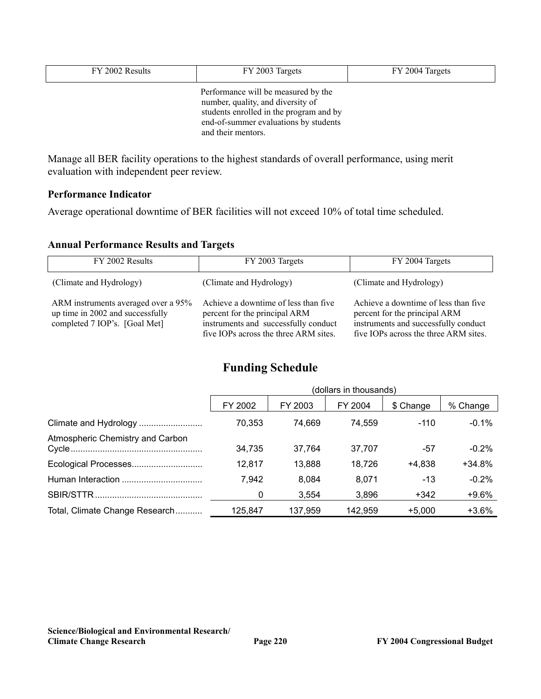| FY 2002 Results | FY 2003 Targets                                                                                                                                                                    | FY 2004 Targets |
|-----------------|------------------------------------------------------------------------------------------------------------------------------------------------------------------------------------|-----------------|
|                 | Performance will be measured by the<br>number, quality, and diversity of<br>students enrolled in the program and by<br>end-of-summer evaluations by students<br>and their mentors. |                 |

Manage all BER facility operations to the highest standards of overall performance, using merit evaluation with independent peer review.

#### **Performance Indicator**

Average operational downtime of BER facilities will not exceed 10% of total time scheduled.

#### **Annual Performance Results and Targets**

| FY 2002 Results                                                                                          | FY 2003 Targets                                                                                                                                        | FY 2004 Targets                                                                                                                                        |
|----------------------------------------------------------------------------------------------------------|--------------------------------------------------------------------------------------------------------------------------------------------------------|--------------------------------------------------------------------------------------------------------------------------------------------------------|
| (Climate and Hydrology)                                                                                  | (Climate and Hydrology)                                                                                                                                | (Climate and Hydrology)                                                                                                                                |
| ARM instruments averaged over a 95%<br>up time in 2002 and successfully<br>completed 7 IOP's. [Goal Met] | Achieve a downtime of less than five<br>percent for the principal ARM<br>instruments and successfully conduct<br>five IOPs across the three ARM sites. | Achieve a downtime of less than five<br>percent for the principal ARM<br>instruments and successfully conduct<br>five IOPs across the three ARM sites. |

### **Funding Schedule**

|                                  | (dollars in thousands) |         |         |           |          |  |
|----------------------------------|------------------------|---------|---------|-----------|----------|--|
|                                  | FY 2002                | FY 2003 | FY 2004 | \$ Change | % Change |  |
|                                  | 70,353                 | 74,669  | 74,559  | $-110$    | $-0.1\%$ |  |
| Atmospheric Chemistry and Carbon | 34,735                 | 37,764  | 37,707  | -57       | $-0.2%$  |  |
|                                  | 12,817                 | 13,888  | 18,726  | +4,838    | $+34.8%$ |  |
|                                  | 7,942                  | 8,084   | 8,071   | $-13$     | $-0.2%$  |  |
|                                  | 0                      | 3,554   | 3,896   | +342      | $+9.6%$  |  |
| Total, Climate Change Research   | 125.847                | 137,959 | 142,959 | $+5,000$  | $+3.6%$  |  |

**Science/Biological and Environmental Research/**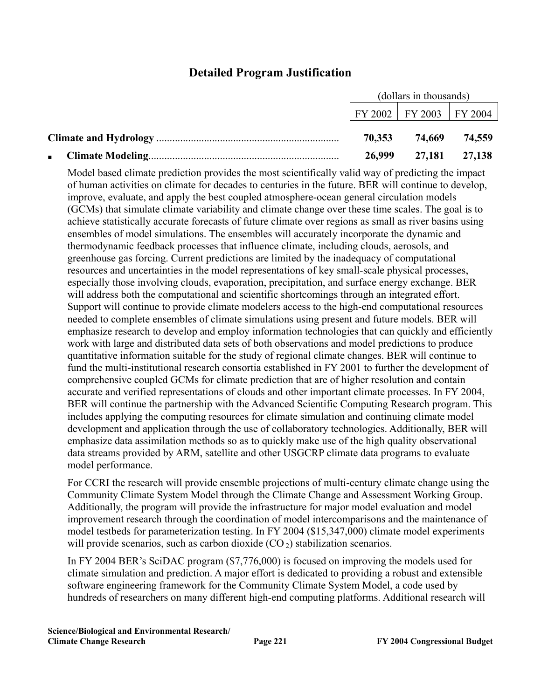### **Detailed Program Justification**

| (dollars in thousands) |                             |               |  |
|------------------------|-----------------------------|---------------|--|
|                        | FY 2002   FY 2003   FY 2004 |               |  |
| 70.353                 |                             | 74,669 74,559 |  |
| 26,999                 | 27,181 27,138               |               |  |

Model based climate prediction provides the most scientifically valid way of predicting the impact of human activities on climate for decades to centuries in the future. BER will continue to develop, improve, evaluate, and apply the best coupled atmosphere-ocean general circulation models (GCMs) that simulate climate variability and climate change over these time scales. The goal is to achieve statistically accurate forecasts of future climate over regions as small as river basins using ensembles of model simulations. The ensembles will accurately incorporate the dynamic and thermodynamic feedback processes that influence climate, including clouds, aerosols, and greenhouse gas forcing. Current predictions are limited by the inadequacy of computational resources and uncertainties in the model representations of key small-scale physical processes, especially those involving clouds, evaporation, precipitation, and surface energy exchange. BER will address both the computational and scientific shortcomings through an integrated effort. Support will continue to provide climate modelers access to the high-end computational resources needed to complete ensembles of climate simulations using present and future models. BER will emphasize research to develop and employ information technologies that can quickly and efficiently work with large and distributed data sets of both observations and model predictions to produce quantitative information suitable for the study of regional climate changes. BER will continue to fund the multi-institutional research consortia established in FY 2001 to further the development of comprehensive coupled GCMs for climate prediction that are of higher resolution and contain accurate and verified representations of clouds and other important climate processes. In FY 2004, BER will continue the partnership with the Advanced Scientific Computing Research program. This includes applying the computing resources for climate simulation and continuing climate model development and application through the use of collaboratory technologies. Additionally, BER will emphasize data assimilation methods so as to quickly make use of the high quality observational data streams provided by ARM, satellite and other USGCRP climate data programs to evaluate model performance.

For CCRI the research will provide ensemble projections of multi-century climate change using the Community Climate System Model through the Climate Change and Assessment Working Group. Additionally, the program will provide the infrastructure for major model evaluation and model improvement research through the coordination of model intercomparisons and the maintenance of model testbeds for parameterization testing. In FY 2004 (\$15,347,000) climate model experiments will provide scenarios, such as carbon dioxide  $(CO_2)$  stabilization scenarios.

In FY 2004 BER's SciDAC program (\$7,776,000) is focused on improving the models used for climate simulation and prediction. A major effort is dedicated to providing a robust and extensible software engineering framework for the Community Climate System Model, a code used by hundreds of researchers on many different high-end computing platforms. Additional research will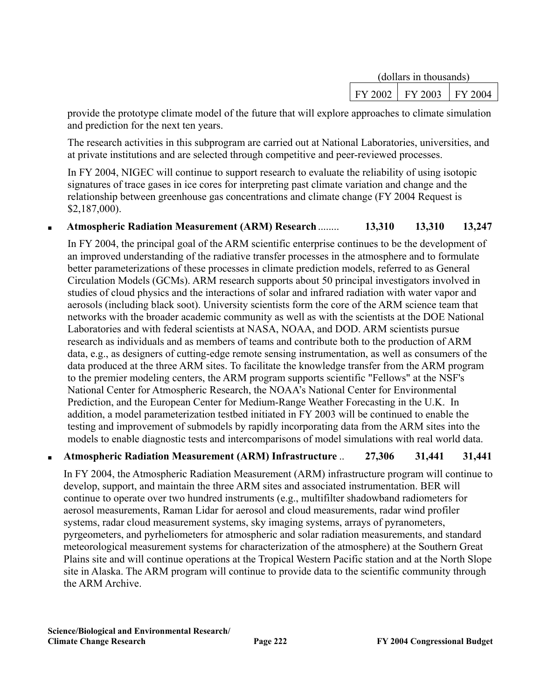| (dollars in thousands) |         |           |  |
|------------------------|---------|-----------|--|
| FY 2002                | FY 2003 | 1 FY 2004 |  |

provide the prototype climate model of the future that will explore approaches to climate simulation and prediction for the next ten years.

The research activities in this subprogram are carried out at National Laboratories, universities, and at private institutions and are selected through competitive and peer-reviewed processes.

In FY 2004, NIGEC will continue to support research to evaluate the reliability of using isotopic signatures of trace gases in ice cores for interpreting past climate variation and change and the relationship between greenhouse gas concentrations and climate change (FY 2004 Request is \$2,187,000).

#### ■ **Atmospheric Radiation Measurement (ARM) Research**........ **13,310 13,310 13,247**

In FY 2004, the principal goal of the ARM scientific enterprise continues to be the development of an improved understanding of the radiative transfer processes in the atmosphere and to formulate better parameterizations of these processes in climate prediction models, referred to as General Circulation Models (GCMs). ARM research supports about 50 principal investigators involved in studies of cloud physics and the interactions of solar and infrared radiation with water vapor and aerosols (including black soot). University scientists form the core of the ARM science team that networks with the broader academic community as well as with the scientists at the DOE National Laboratories and with federal scientists at NASA, NOAA, and DOD. ARM scientists pursue research as individuals and as members of teams and contribute both to the production of ARM data, e.g., as designers of cutting-edge remote sensing instrumentation, as well as consumers of the data produced at the three ARM sites. To facilitate the knowledge transfer from the ARM program to the premier modeling centers, the ARM program supports scientific "Fellows" at the NSF's National Center for Atmospheric Research, the NOAA's National Center for Environmental Prediction, and the European Center for Medium-Range Weather Forecasting in the U.K. In addition, a model parameterization testbed initiated in FY 2003 will be continued to enable the testing and improvement of submodels by rapidly incorporating data from the ARM sites into the models to enable diagnostic tests and intercomparisons of model simulations with real world data.

#### ■ **Atmospheric Radiation Measurement (ARM) Infrastructure** .. **27,306 31,441 31,441**

In FY 2004, the Atmospheric Radiation Measurement (ARM) infrastructure program will continue to develop, support, and maintain the three ARM sites and associated instrumentation. BER will continue to operate over two hundred instruments (e.g., multifilter shadowband radiometers for aerosol measurements, Raman Lidar for aerosol and cloud measurements, radar wind profiler systems, radar cloud measurement systems, sky imaging systems, arrays of pyranometers, pyrgeometers, and pyrheliometers for atmospheric and solar radiation measurements, and standard meteorological measurement systems for characterization of the atmosphere) at the Southern Great Plains site and will continue operations at the Tropical Western Pacific station and at the North Slope site in Alaska. The ARM program will continue to provide data to the scientific community through the ARM Archive.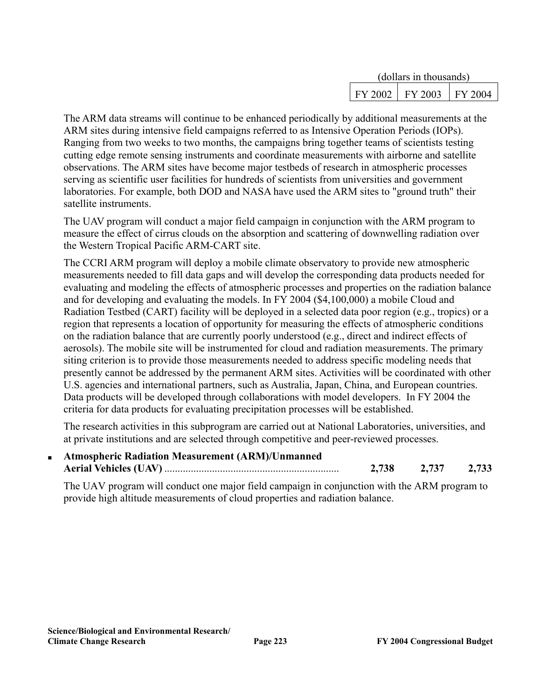| (dollars in thousands) |         |           |  |
|------------------------|---------|-----------|--|
| $FY$ 2002              | FY 2003 | + FY 2004 |  |

The ARM data streams will continue to be enhanced periodically by additional measurements at the ARM sites during intensive field campaigns referred to as Intensive Operation Periods (IOPs). Ranging from two weeks to two months, the campaigns bring together teams of scientists testing cutting edge remote sensing instruments and coordinate measurements with airborne and satellite observations. The ARM sites have become major testbeds of research in atmospheric processes serving as scientific user facilities for hundreds of scientists from universities and government laboratories. For example, both DOD and NASA have used the ARM sites to "ground truth" their satellite instruments.

The UAV program will conduct a major field campaign in conjunction with the ARM program to measure the effect of cirrus clouds on the absorption and scattering of downwelling radiation over the Western Tropical Pacific ARM-CART site.

The CCRI ARM program will deploy a mobile climate observatory to provide new atmospheric measurements needed to fill data gaps and will develop the corresponding data products needed for evaluating and modeling the effects of atmospheric processes and properties on the radiation balance and for developing and evaluating the models. In FY 2004 (\$4,100,000) a mobile Cloud and Radiation Testbed (CART) facility will be deployed in a selected data poor region (e.g., tropics) or a region that represents a location of opportunity for measuring the effects of atmospheric conditions on the radiation balance that are currently poorly understood (e.g., direct and indirect effects of aerosols). The mobile site will be instrumented for cloud and radiation measurements. The primary siting criterion is to provide those measurements needed to address specific modeling needs that presently cannot be addressed by the permanent ARM sites. Activities will be coordinated with other U.S. agencies and international partners, such as Australia, Japan, China, and European countries. Data products will be developed through collaborations with model developers. In FY 2004 the criteria for data products for evaluating precipitation processes will be established.

The research activities in this subprogram are carried out at National Laboratories, universities, and at private institutions and are selected through competitive and peer-reviewed processes.

■ **Atmospheric Radiation Measurement (ARM)/Unmanned Aerial Vehicles (UAV)** .................................................................. **2,738 2,737 2,733**

The UAV program will conduct one major field campaign in conjunction with the ARM program to provide high altitude measurements of cloud properties and radiation balance.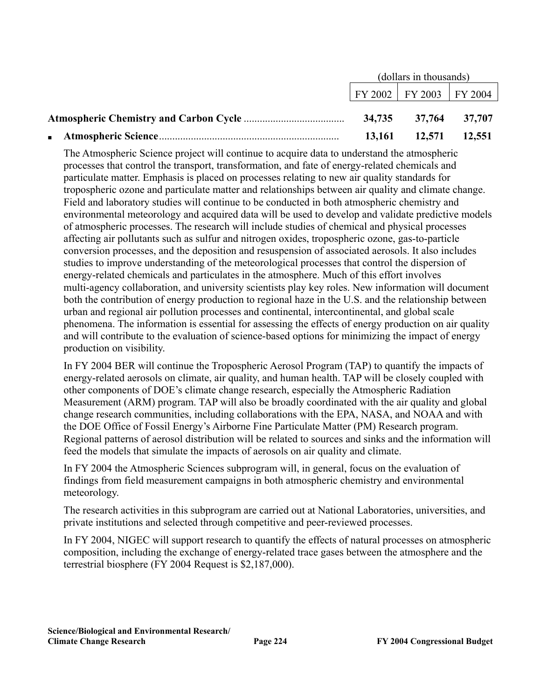| (dollars in thousands) |                                |  |  |
|------------------------|--------------------------------|--|--|
|                        | $\mid$ FY 2002 FY 2003 FY 2004 |  |  |
|                        |                                |  |  |
|                        | $13,161$ $12,571$ $12,551$     |  |  |

The Atmospheric Science project will continue to acquire data to understand the atmospheric processes that control the transport, transformation, and fate of energy-related chemicals and particulate matter. Emphasis is placed on processes relating to new air quality standards for tropospheric ozone and particulate matter and relationships between air quality and climate change. Field and laboratory studies will continue to be conducted in both atmospheric chemistry and environmental meteorology and acquired data will be used to develop and validate predictive models of atmospheric processes. The research will include studies of chemical and physical processes affecting air pollutants such as sulfur and nitrogen oxides, tropospheric ozone, gas-to-particle conversion processes, and the deposition and resuspension of associated aerosols. It also includes studies to improve understanding of the meteorological processes that control the dispersion of energy-related chemicals and particulates in the atmosphere. Much of this effort involves multi-agency collaboration, and university scientists play key roles. New information will document both the contribution of energy production to regional haze in the U.S. and the relationship between urban and regional air pollution processes and continental, intercontinental, and global scale phenomena. The information is essential for assessing the effects of energy production on air quality and will contribute to the evaluation of science-based options for minimizing the impact of energy production on visibility.

In FY 2004 BER will continue the Tropospheric Aerosol Program (TAP) to quantify the impacts of energy-related aerosols on climate, air quality, and human health. TAP will be closely coupled with other components of DOE's climate change research, especially the Atmospheric Radiation Measurement (ARM) program. TAP will also be broadly coordinated with the air quality and global change research communities, including collaborations with the EPA, NASA, and NOAA and with the DOE Office of Fossil Energy's Airborne Fine Particulate Matter (PM) Research program. Regional patterns of aerosol distribution will be related to sources and sinks and the information will feed the models that simulate the impacts of aerosols on air quality and climate.

In FY 2004 the Atmospheric Sciences subprogram will, in general, focus on the evaluation of findings from field measurement campaigns in both atmospheric chemistry and environmental meteorology.

The research activities in this subprogram are carried out at National Laboratories, universities, and private institutions and selected through competitive and peer-reviewed processes.

In FY 2004, NIGEC will support research to quantify the effects of natural processes on atmospheric composition, including the exchange of energy-related trace gases between the atmosphere and the terrestrial biosphere (FY 2004 Request is \$2,187,000).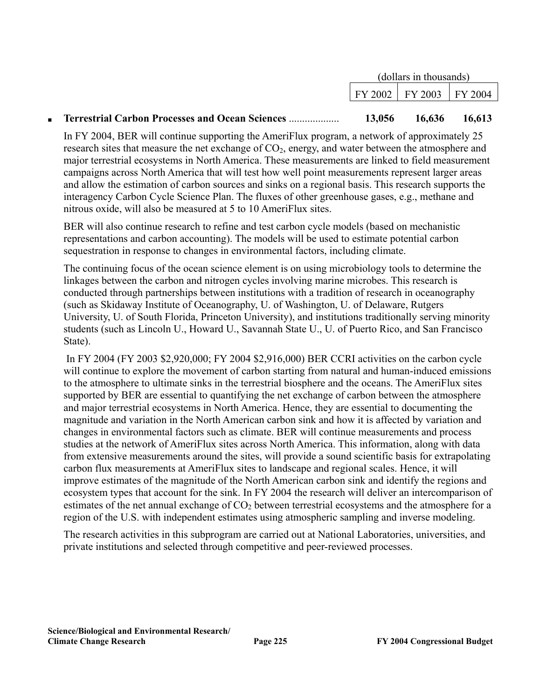|                                                                         | (dollars in thousands)      |                             |   |
|-------------------------------------------------------------------------|-----------------------------|-----------------------------|---|
|                                                                         |                             | FY 2002   FY 2003   FY 2004 |   |
| $\sim$ $\sim$ $\sim$ $\sim$ $\sim$<br>$\sim$<br>$\sim$ $\sim$<br>$\sim$ | $\sim$ $\sim$ $\sim$ $\sim$ | $\sim$ $\sim$ $\sim$ $\sim$ | . |

#### ■ **Terrestrial Carbon Processes and Ocean Sciences** ................... **13,056 16,636 16,613**

In FY 2004, BER will continue supporting the AmeriFlux program, a network of approximately 25 research sites that measure the net exchange of  $CO<sub>2</sub>$ , energy, and water between the atmosphere and major terrestrial ecosystems in North America. These measurements are linked to field measurement campaigns across North America that will test how well point measurements represent larger areas and allow the estimation of carbon sources and sinks on a regional basis. This research supports the interagency Carbon Cycle Science Plan. The fluxes of other greenhouse gases, e.g., methane and nitrous oxide, will also be measured at 5 to 10 AmeriFlux sites.

BER will also continue research to refine and test carbon cycle models (based on mechanistic representations and carbon accounting). The models will be used to estimate potential carbon sequestration in response to changes in environmental factors, including climate.

The continuing focus of the ocean science element is on using microbiology tools to determine the linkages between the carbon and nitrogen cycles involving marine microbes. This research is conducted through partnerships between institutions with a tradition of research in oceanography (such as Skidaway Institute of Oceanography, U. of Washington, U. of Delaware, Rutgers University, U. of South Florida, Princeton University), and institutions traditionally serving minority students (such as Lincoln U., Howard U., Savannah State U., U. of Puerto Rico, and San Francisco State).

 In FY 2004 (FY 2003 \$2,920,000; FY 2004 \$2,916,000) BER CCRI activities on the carbon cycle will continue to explore the movement of carbon starting from natural and human-induced emissions to the atmosphere to ultimate sinks in the terrestrial biosphere and the oceans. The AmeriFlux sites supported by BER are essential to quantifying the net exchange of carbon between the atmosphere and major terrestrial ecosystems in North America. Hence, they are essential to documenting the magnitude and variation in the North American carbon sink and how it is affected by variation and changes in environmental factors such as climate. BER will continue measurements and process studies at the network of AmeriFlux sites across North America. This information, along with data from extensive measurements around the sites, will provide a sound scientific basis for extrapolating carbon flux measurements at AmeriFlux sites to landscape and regional scales. Hence, it will improve estimates of the magnitude of the North American carbon sink and identify the regions and ecosystem types that account for the sink. In FY 2004 the research will deliver an intercomparison of estimates of the net annual exchange of  $CO<sub>2</sub>$  between terrestrial ecosystems and the atmosphere for a region of the U.S. with independent estimates using atmospheric sampling and inverse modeling.

The research activities in this subprogram are carried out at National Laboratories, universities, and private institutions and selected through competitive and peer-reviewed processes.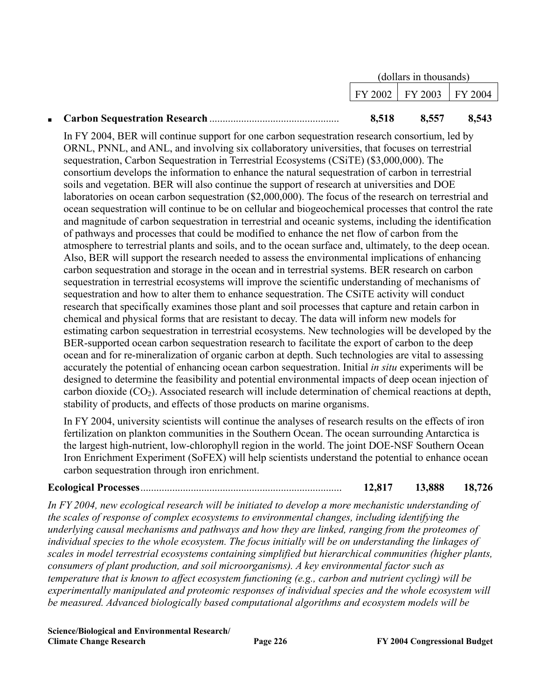| (dollars in thousands) |                             |       |
|------------------------|-----------------------------|-------|
|                        | FY 2002   FY 2003   FY 2004 |       |
| 8,518                  | 8,557                       | 8,543 |

In FY 2004, BER will continue support for one carbon sequestration research consortium, led by ORNL, PNNL, and ANL, and involving six collaboratory universities, that focuses on terrestrial sequestration, Carbon Sequestration in Terrestrial Ecosystems (CSiTE) (\$3,000,000). The consortium develops the information to enhance the natural sequestration of carbon in terrestrial soils and vegetation. BER will also continue the support of research at universities and DOE laboratories on ocean carbon sequestration (\$2,000,000). The focus of the research on terrestrial and ocean sequestration will continue to be on cellular and biogeochemical processes that control the rate and magnitude of carbon sequestration in terrestrial and oceanic systems, including the identification of pathways and processes that could be modified to enhance the net flow of carbon from the atmosphere to terrestrial plants and soils, and to the ocean surface and, ultimately, to the deep ocean. Also, BER will support the research needed to assess the environmental implications of enhancing carbon sequestration and storage in the ocean and in terrestrial systems. BER research on carbon sequestration in terrestrial ecosystems will improve the scientific understanding of mechanisms of sequestration and how to alter them to enhance sequestration. The CSiTE activity will conduct research that specifically examines those plant and soil processes that capture and retain carbon in chemical and physical forms that are resistant to decay. The data will inform new models for estimating carbon sequestration in terrestrial ecosystems. New technologies will be developed by the BER-supported ocean carbon sequestration research to facilitate the export of carbon to the deep ocean and for re-mineralization of organic carbon at depth. Such technologies are vital to assessing accurately the potential of enhancing ocean carbon sequestration. Initial *in situ* experiments will be designed to determine the feasibility and potential environmental impacts of deep ocean injection of carbon dioxide  $(CO_2)$ . Associated research will include determination of chemical reactions at depth, stability of products, and effects of those products on marine organisms.

In FY 2004, university scientists will continue the analyses of research results on the effects of iron fertilization on plankton communities in the Southern Ocean. The ocean surrounding Antarctica is the largest high-nutrient, low-chlorophyll region in the world. The joint DOE-NSF Southern Ocean Iron Enrichment Experiment (SoFEX) will help scientists understand the potential to enhance ocean carbon sequestration through iron enrichment.

#### **Ecological Processes**............................................................................ **12,817 13,888 18,726**

*In FY 2004, new ecological research will be initiated to develop a more mechanistic understanding of the scales of response of complex ecosystems to environmental changes, including identifying the underlying causal mechanisms and pathways and how they are linked, ranging from the proteomes of individual species to the whole ecosystem. The focus initially will be on understanding the linkages of scales in model terrestrial ecosystems containing simplified but hierarchical communities (higher plants, consumers of plant production, and soil microorganisms). A key environmental factor such as temperature that is known to affect ecosystem functioning (e.g., carbon and nutrient cycling) will be experimentally manipulated and proteomic responses of individual species and the whole ecosystem will be measured. Advanced biologically based computational algorithms and ecosystem models will be* 

**Science/Biological and Environmental Research/ Climate Change Research Page 226 FY 2004 Congressional Budget**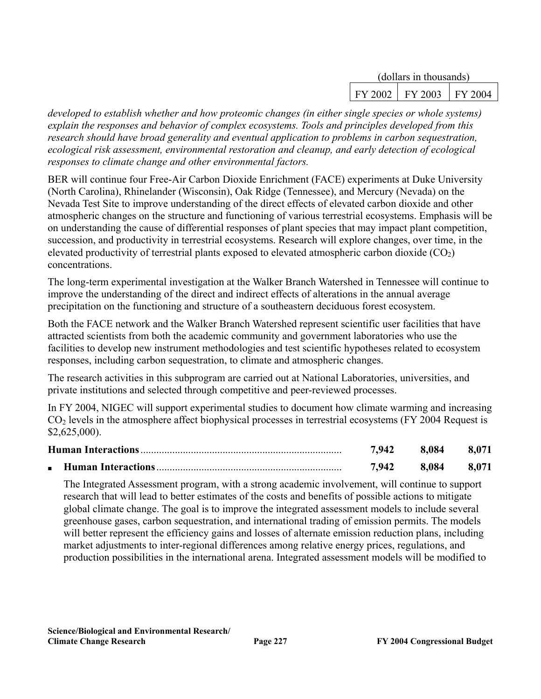| (dollars in thousands) |         |           |  |
|------------------------|---------|-----------|--|
| FY 2002                | FY 2003 | 1 FY 2004 |  |

*developed to establish whether and how proteomic changes (in either single species or whole systems) explain the responses and behavior of complex ecosystems. Tools and principles developed from this research should have broad generality and eventual application to problems in carbon sequestration, ecological risk assessment, environmental restoration and cleanup, and early detection of ecological responses to climate change and other environmental factors.* 

BER will continue four Free-Air Carbon Dioxide Enrichment (FACE) experiments at Duke University (North Carolina), Rhinelander (Wisconsin), Oak Ridge (Tennessee), and Mercury (Nevada) on the Nevada Test Site to improve understanding of the direct effects of elevated carbon dioxide and other atmospheric changes on the structure and functioning of various terrestrial ecosystems. Emphasis will be on understanding the cause of differential responses of plant species that may impact plant competition, succession, and productivity in terrestrial ecosystems. Research will explore changes, over time, in the elevated productivity of terrestrial plants exposed to elevated atmospheric carbon dioxide  $(CO<sub>2</sub>)$ concentrations.

The long-term experimental investigation at the Walker Branch Watershed in Tennessee will continue to improve the understanding of the direct and indirect effects of alterations in the annual average precipitation on the functioning and structure of a southeastern deciduous forest ecosystem.

Both the FACE network and the Walker Branch Watershed represent scientific user facilities that have attracted scientists from both the academic community and government laboratories who use the facilities to develop new instrument methodologies and test scientific hypotheses related to ecosystem responses, including carbon sequestration, to climate and atmospheric changes.

The research activities in this subprogram are carried out at National Laboratories, universities, and private institutions and selected through competitive and peer-reviewed processes.

In FY 2004, NIGEC will support experimental studies to document how climate warming and increasing CO2 levels in the atmosphere affect biophysical processes in terrestrial ecosystems (FY 2004 Request is \$2,625,000).

| 7,942 | 8.084 | 8,071 |
|-------|-------|-------|
| 7.942 | 8.084 | 8.071 |

The Integrated Assessment program, with a strong academic involvement, will continue to support research that will lead to better estimates of the costs and benefits of possible actions to mitigate global climate change. The goal is to improve the integrated assessment models to include several greenhouse gases, carbon sequestration, and international trading of emission permits. The models will better represent the efficiency gains and losses of alternate emission reduction plans, including market adjustments to inter-regional differences among relative energy prices, regulations, and production possibilities in the international arena. Integrated assessment models will be modified to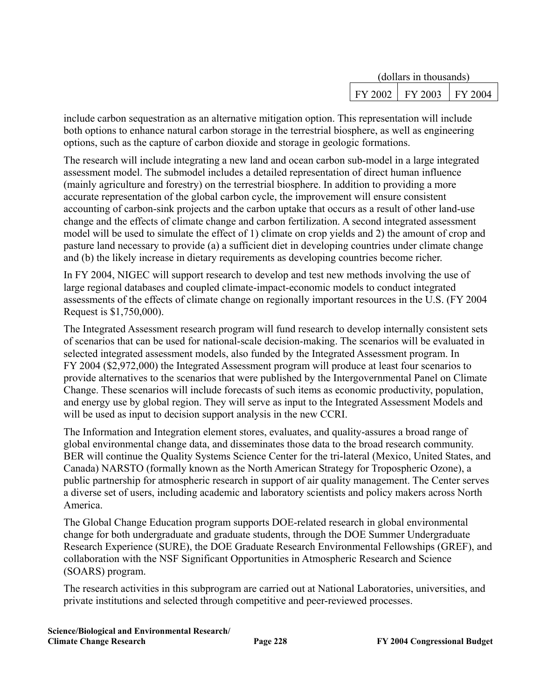| (dollars in thousands) |         |         |  |
|------------------------|---------|---------|--|
| FY 2002                | FY 2003 | FY 2004 |  |

include carbon sequestration as an alternative mitigation option. This representation will include both options to enhance natural carbon storage in the terrestrial biosphere, as well as engineering options, such as the capture of carbon dioxide and storage in geologic formations.

The research will include integrating a new land and ocean carbon sub-model in a large integrated assessment model. The submodel includes a detailed representation of direct human influence (mainly agriculture and forestry) on the terrestrial biosphere. In addition to providing a more accurate representation of the global carbon cycle, the improvement will ensure consistent accounting of carbon-sink projects and the carbon uptake that occurs as a result of other land-use change and the effects of climate change and carbon fertilization. A second integrated assessment model will be used to simulate the effect of 1) climate on crop yields and 2) the amount of crop and pasture land necessary to provide (a) a sufficient diet in developing countries under climate change and (b) the likely increase in dietary requirements as developing countries become richer.

In FY 2004, NIGEC will support research to develop and test new methods involving the use of large regional databases and coupled climate-impact-economic models to conduct integrated assessments of the effects of climate change on regionally important resources in the U.S. (FY 2004 Request is \$1,750,000).

The Integrated Assessment research program will fund research to develop internally consistent sets of scenarios that can be used for national-scale decision-making. The scenarios will be evaluated in selected integrated assessment models, also funded by the Integrated Assessment program. In FY 2004 (\$2,972,000) the Integrated Assessment program will produce at least four scenarios to provide alternatives to the scenarios that were published by the Intergovernmental Panel on Climate Change. These scenarios will include forecasts of such items as economic productivity, population, and energy use by global region. They will serve as input to the Integrated Assessment Models and will be used as input to decision support analysis in the new CCRI.

The Information and Integration element stores, evaluates, and quality-assures a broad range of global environmental change data, and disseminates those data to the broad research community. BER will continue the Quality Systems Science Center for the tri-lateral (Mexico, United States, and Canada) NARSTO (formally known as the North American Strategy for Tropospheric Ozone), a public partnership for atmospheric research in support of air quality management. The Center serves a diverse set of users, including academic and laboratory scientists and policy makers across North America.

The Global Change Education program supports DOE-related research in global environmental change for both undergraduate and graduate students, through the DOE Summer Undergraduate Research Experience (SURE), the DOE Graduate Research Environmental Fellowships (GREF), and collaboration with the NSF Significant Opportunities in Atmospheric Research and Science (SOARS) program.

The research activities in this subprogram are carried out at National Laboratories, universities, and private institutions and selected through competitive and peer-reviewed processes.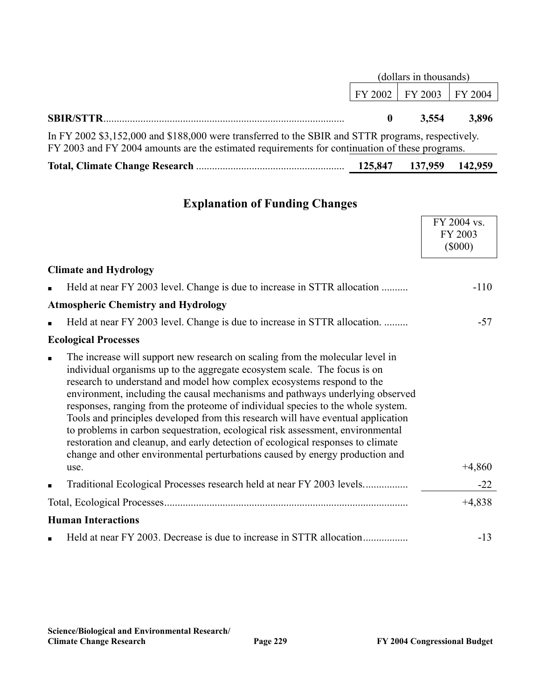|                                                                                                                                                                                                      | (dollars in thousands) |                             |       |  |  |
|------------------------------------------------------------------------------------------------------------------------------------------------------------------------------------------------------|------------------------|-----------------------------|-------|--|--|
|                                                                                                                                                                                                      |                        | FY 2002   FY 2003   FY 2004 |       |  |  |
|                                                                                                                                                                                                      |                        | 3.554                       | 3.896 |  |  |
| In FY 2002 \$3,152,000 and \$188,000 were transferred to the SBIR and STTR programs, respectively.<br>FY 2003 and FY 2004 amounts are the estimated requirements for continuation of these programs. |                        |                             |       |  |  |

|  | 125,847 137,959 142,959 |  |
|--|-------------------------|--|
|  |                         |  |

### **Explanation of Funding Changes**

|                |                                                                                                                                                                                                                                                                                                                                                                                                                                                                                                                                                                                                                                                                                                                                                           | FY 2004 vs.<br>FY 2003<br>$(\$000)$ |
|----------------|-----------------------------------------------------------------------------------------------------------------------------------------------------------------------------------------------------------------------------------------------------------------------------------------------------------------------------------------------------------------------------------------------------------------------------------------------------------------------------------------------------------------------------------------------------------------------------------------------------------------------------------------------------------------------------------------------------------------------------------------------------------|-------------------------------------|
|                | <b>Climate and Hydrology</b>                                                                                                                                                                                                                                                                                                                                                                                                                                                                                                                                                                                                                                                                                                                              |                                     |
|                | Held at near FY 2003 level. Change is due to increase in STTR allocation                                                                                                                                                                                                                                                                                                                                                                                                                                                                                                                                                                                                                                                                                  | $-110$                              |
|                | <b>Atmospheric Chemistry and Hydrology</b>                                                                                                                                                                                                                                                                                                                                                                                                                                                                                                                                                                                                                                                                                                                |                                     |
|                | Held at near FY 2003 level. Change is due to increase in STTR allocation.                                                                                                                                                                                                                                                                                                                                                                                                                                                                                                                                                                                                                                                                                 | $-57$                               |
|                | <b>Ecological Processes</b>                                                                                                                                                                                                                                                                                                                                                                                                                                                                                                                                                                                                                                                                                                                               |                                     |
| $\blacksquare$ | The increase will support new research on scaling from the molecular level in<br>individual organisms up to the aggregate ecosystem scale. The focus is on<br>research to understand and model how complex ecosystems respond to the<br>environment, including the causal mechanisms and pathways underlying observed<br>responses, ranging from the proteome of individual species to the whole system.<br>Tools and principles developed from this research will have eventual application<br>to problems in carbon sequestration, ecological risk assessment, environmental<br>restoration and cleanup, and early detection of ecological responses to climate<br>change and other environmental perturbations caused by energy production and<br>use. | $+4,860$                            |
|                | Traditional Ecological Processes research held at near FY 2003 levels                                                                                                                                                                                                                                                                                                                                                                                                                                                                                                                                                                                                                                                                                     | $-22$                               |
|                |                                                                                                                                                                                                                                                                                                                                                                                                                                                                                                                                                                                                                                                                                                                                                           | $+4,838$                            |
|                | <b>Human Interactions</b>                                                                                                                                                                                                                                                                                                                                                                                                                                                                                                                                                                                                                                                                                                                                 |                                     |
|                |                                                                                                                                                                                                                                                                                                                                                                                                                                                                                                                                                                                                                                                                                                                                                           | $-13$                               |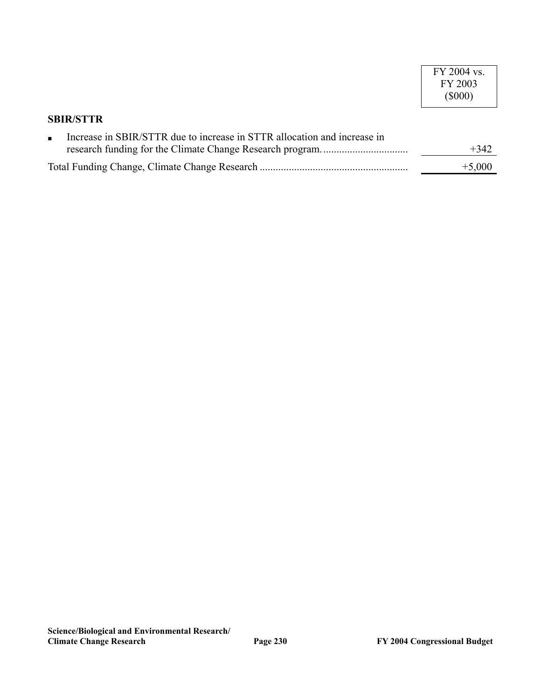|                                                                          | FY 2004 vs.<br>FY 2003<br>$($ \$000) |
|--------------------------------------------------------------------------|--------------------------------------|
| <b>SBIR/STTR</b>                                                         |                                      |
| Increase in SBIR/STTR due to increase in STTR allocation and increase in | $+342$                               |
|                                                                          | $+5,000$                             |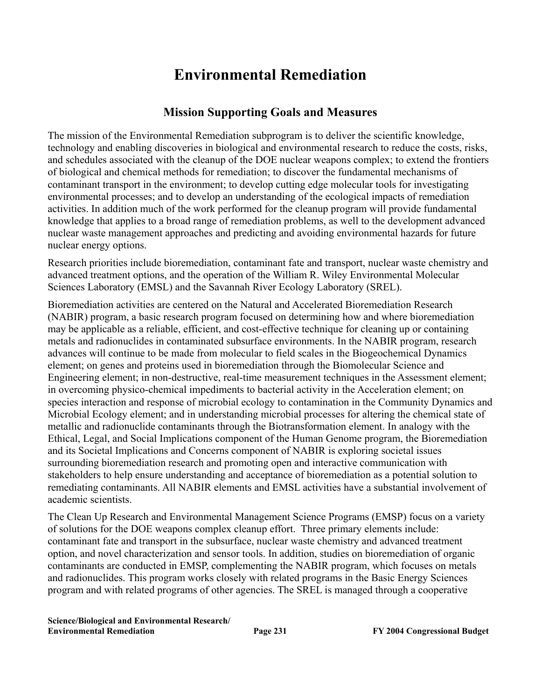# **Environmental Remediation**

#### **Mission Supporting Goals and Measures**

The mission of the Environmental Remediation subprogram is to deliver the scientific knowledge, technology and enabling discoveries in biological and environmental research to reduce the costs, risks, and schedules associated with the cleanup of the DOE nuclear weapons complex; to extend the frontiers of biological and chemical methods for remediation; to discover the fundamental mechanisms of contaminant transport in the environment; to develop cutting edge molecular tools for investigating environmental processes; and to develop an understanding of the ecological impacts of remediation activities. In addition much of the work performed for the cleanup program will provide fundamental knowledge that applies to a broad range of remediation problems, as well to the development advanced nuclear waste management approaches and predicting and avoiding environmental hazards for future nuclear energy options.

Research priorities include bioremediation, contaminant fate and transport, nuclear waste chemistry and advanced treatment options, and the operation of the William R. Wiley Environmental Molecular Sciences Laboratory (EMSL) and the Savannah River Ecology Laboratory (SREL).

Bioremediation activities are centered on the Natural and Accelerated Bioremediation Research (NABIR) program, a basic research program focused on determining how and where bioremediation may be applicable as a reliable, efficient, and cost-effective technique for cleaning up or containing metals and radionuclides in contaminated subsurface environments. In the NABIR program, research advances will continue to be made from molecular to field scales in the Biogeochemical Dynamics element; on genes and proteins used in bioremediation through the Biomolecular Science and Engineering element; in non-destructive, real-time measurement techniques in the Assessment element; in overcoming physico-chemical impediments to bacterial activity in the Acceleration element; on species interaction and response of microbial ecology to contamination in the Community Dynamics and Microbial Ecology element; and in understanding microbial processes for altering the chemical state of metallic and radionuclide contaminants through the Biotransformation element. In analogy with the Ethical, Legal, and Social Implications component of the Human Genome program, the Bioremediation and its Societal Implications and Concerns component of NABIR is exploring societal issues surrounding bioremediation research and promoting open and interactive communication with stakeholders to help ensure understanding and acceptance of bioremediation as a potential solution to remediating contaminants. All NABIR elements and EMSL activities have a substantial involvement of academic scientists.

The Clean Up Research and Environmental Management Science Programs (EMSP) focus on a variety of solutions for the DOE weapons complex cleanup effort. Three primary elements include: contaminant fate and transport in the subsurface, nuclear waste chemistry and advanced treatment option, and novel characterization and sensor tools. In addition, studies on bioremediation of organic contaminants are conducted in EMSP, complementing the NABIR program, which focuses on metals and radionuclides. This program works closely with related programs in the Basic Energy Sciences program and with related programs of other agencies. The SREL is managed through a cooperative

**Science/Biological and Environmental Research/ Environmental Remediation Page 231 FY 2004 Congressional Budget**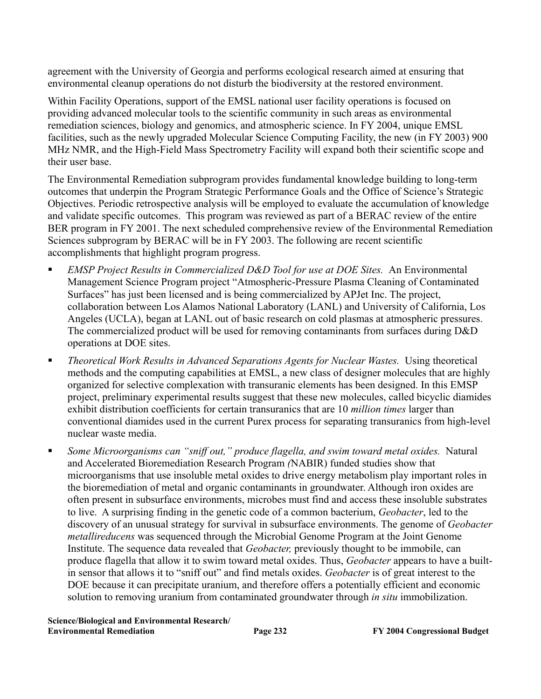agreement with the University of Georgia and performs ecological research aimed at ensuring that environmental cleanup operations do not disturb the biodiversity at the restored environment.

Within Facility Operations, support of the EMSL national user facility operations is focused on providing advanced molecular tools to the scientific community in such areas as environmental remediation sciences, biology and genomics, and atmospheric science. In FY 2004, unique EMSL facilities, such as the newly upgraded Molecular Science Computing Facility, the new (in FY 2003) 900 MHz NMR, and the High-Field Mass Spectrometry Facility will expand both their scientific scope and their user base.

The Environmental Remediation subprogram provides fundamental knowledge building to long-term outcomes that underpin the Program Strategic Performance Goals and the Office of Science's Strategic Objectives. Periodic retrospective analysis will be employed to evaluate the accumulation of knowledge and validate specific outcomes. This program was reviewed as part of a BERAC review of the entire BER program in FY 2001. The next scheduled comprehensive review of the Environmental Remediation Sciences subprogram by BERAC will be in FY 2003. The following are recent scientific accomplishments that highlight program progress.

- *EMSP Project Results in Commercialized D&D Tool for use at DOE Sites.* An Environmental Management Science Program project "Atmospheric-Pressure Plasma Cleaning of Contaminated Surfaces" has just been licensed and is being commercialized by APJet Inc. The project, collaboration between Los Alamos National Laboratory (LANL) and University of California, Los Angeles (UCLA), began at LANL out of basic research on cold plasmas at atmospheric pressures. The commercialized product will be used for removing contaminants from surfaces during D&D operations at DOE sites.
- *Theoretical Work Results in Advanced Separations Agents for Nuclear Wastes.* Using theoretical methods and the computing capabilities at EMSL, a new class of designer molecules that are highly organized for selective complexation with transuranic elements has been designed. In this EMSP project, preliminary experimental results suggest that these new molecules, called bicyclic diamides exhibit distribution coefficients for certain transuranics that are 10 *million times* larger than conventional diamides used in the current Purex process for separating transuranics from high-level nuclear waste media.
- *Some Microorganisms can "sniff out," produce flagella, and swim toward metal oxides.* Natural and Accelerated Bioremediation Research Program *(*NABIR) funded studies show that microorganisms that use insoluble metal oxides to drive energy metabolism play important roles in the bioremediation of metal and organic contaminants in groundwater. Although iron oxides are often present in subsurface environments, microbes must find and access these insoluble substrates to live. A surprising finding in the genetic code of a common bacterium, *Geobacter*, led to the discovery of an unusual strategy for survival in subsurface environments. The genome of *Geobacter metallireducens* was sequenced through the Microbial Genome Program at the Joint Genome Institute. The sequence data revealed that *Geobacter,* previously thought to be immobile, can produce flagella that allow it to swim toward metal oxides. Thus, *Geobacter* appears to have a builtin sensor that allows it to "sniff out" and find metals oxides. *Geobacter* is of great interest to the DOE because it can precipitate uranium, and therefore offers a potentially efficient and economic solution to removing uranium from contaminated groundwater through *in situ* immobilization.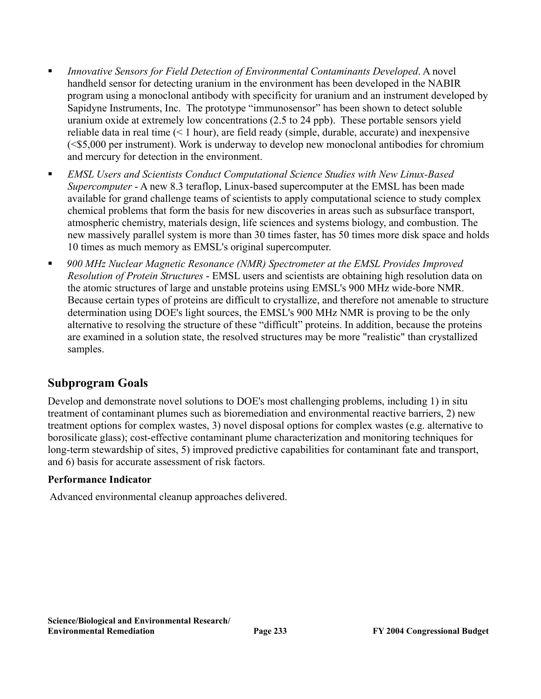- *Innovative Sensors for Field Detection of Environmental Contaminants Developed*. A novel handheld sensor for detecting uranium in the environment has been developed in the NABIR program using a monoclonal antibody with specificity for uranium and an instrument developed by Sapidyne Instruments, Inc. The prototype "immunosensor" has been shown to detect soluble uranium oxide at extremely low concentrations (2.5 to 24 ppb). These portable sensors yield reliable data in real time (< 1 hour), are field ready (simple, durable, accurate) and inexpensive (<\$5,000 per instrument). Work is underway to develop new monoclonal antibodies for chromium and mercury for detection in the environment.
- *EMSL Users and Scientists Conduct Computational Science Studies with New Linux-Based Supercomputer* - A new 8.3 teraflop, Linux-based supercomputer at the EMSL has been made available for grand challenge teams of scientists to apply computational science to study complex chemical problems that form the basis for new discoveries in areas such as subsurface transport, atmospheric chemistry, materials design, life sciences and systems biology, and combustion. The new massively parallel system is more than 30 times faster, has 50 times more disk space and holds 10 times as much memory as EMSL's original supercomputer.
- *900 MHz Nuclear Magnetic Resonance (NMR) Spectrometer at the EMSL Provides Improved Resolution of Protein Structures* - EMSL users and scientists are obtaining high resolution data on the atomic structures of large and unstable proteins using EMSL's 900 MHz wide-bore NMR. Because certain types of proteins are difficult to crystallize, and therefore not amenable to structure determination using DOE's light sources, the EMSL's 900 MHz NMR is proving to be the only alternative to resolving the structure of these "difficult" proteins. In addition, because the proteins are examined in a solution state, the resolved structures may be more "realistic" than crystallized samples.

#### **Subprogram Goals**

Develop and demonstrate novel solutions to DOE's most challenging problems, including 1) in situ treatment of contaminant plumes such as bioremediation and environmental reactive barriers, 2) new treatment options for complex wastes, 3) novel disposal options for complex wastes (e.g. alternative to borosilicate glass); cost-effective contaminant plume characterization and monitoring techniques for long-term stewardship of sites, 5) improved predictive capabilities for contaminant fate and transport, and 6) basis for accurate assessment of risk factors.

#### **Performance Indicator**

Advanced environmental cleanup approaches delivered.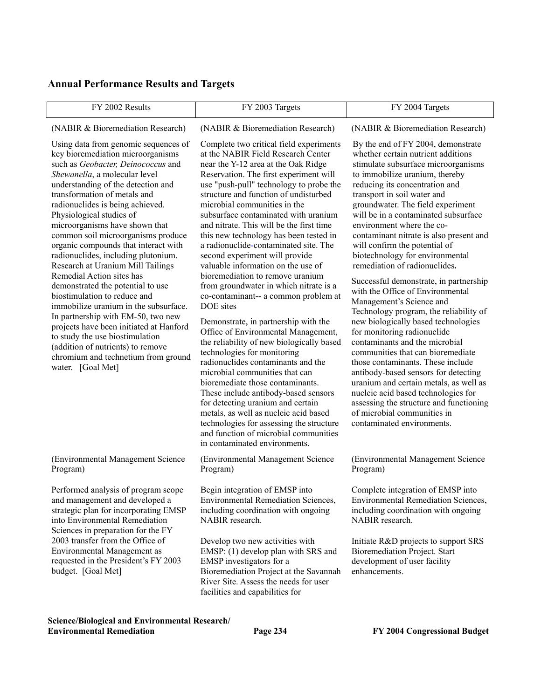#### **Annual Performance Results and Targets**

| FY 2002 Results                                                                                                                                                                                                                                                                                                                                                                                                                                                                                                                                                                                                                                                                                                                                                                                                                                    | FY 2003 Targets                                                                                                                                                                                                                                                                                                                                                                                                                                                                                                                                                                                                                                                                                                                                                                                                                                                                                                                                                                                                                                                                                                                                                                         | FY 2004 Targets                                                                                                                                                                                                                                                                                                                                                                                                                                                                                                                                                                                                                                                                                                                                                                                                                                                                                                                                                                                                                                     |
|----------------------------------------------------------------------------------------------------------------------------------------------------------------------------------------------------------------------------------------------------------------------------------------------------------------------------------------------------------------------------------------------------------------------------------------------------------------------------------------------------------------------------------------------------------------------------------------------------------------------------------------------------------------------------------------------------------------------------------------------------------------------------------------------------------------------------------------------------|-----------------------------------------------------------------------------------------------------------------------------------------------------------------------------------------------------------------------------------------------------------------------------------------------------------------------------------------------------------------------------------------------------------------------------------------------------------------------------------------------------------------------------------------------------------------------------------------------------------------------------------------------------------------------------------------------------------------------------------------------------------------------------------------------------------------------------------------------------------------------------------------------------------------------------------------------------------------------------------------------------------------------------------------------------------------------------------------------------------------------------------------------------------------------------------------|-----------------------------------------------------------------------------------------------------------------------------------------------------------------------------------------------------------------------------------------------------------------------------------------------------------------------------------------------------------------------------------------------------------------------------------------------------------------------------------------------------------------------------------------------------------------------------------------------------------------------------------------------------------------------------------------------------------------------------------------------------------------------------------------------------------------------------------------------------------------------------------------------------------------------------------------------------------------------------------------------------------------------------------------------------|
| (NABIR & Bioremediation Research)                                                                                                                                                                                                                                                                                                                                                                                                                                                                                                                                                                                                                                                                                                                                                                                                                  | (NABIR & Bioremediation Research)                                                                                                                                                                                                                                                                                                                                                                                                                                                                                                                                                                                                                                                                                                                                                                                                                                                                                                                                                                                                                                                                                                                                                       | (NABIR & Bioremediation Research)                                                                                                                                                                                                                                                                                                                                                                                                                                                                                                                                                                                                                                                                                                                                                                                                                                                                                                                                                                                                                   |
| Using data from genomic sequences of<br>key bioremediation microorganisms<br>such as Geobacter, Deinococcus and<br>Shewanella, a molecular level<br>understanding of the detection and<br>transformation of metals and<br>radionuclides is being achieved.<br>Physiological studies of<br>microorganisms have shown that<br>common soil microorganisms produce<br>organic compounds that interact with<br>radionuclides, including plutonium.<br>Research at Uranium Mill Tailings<br>Remedial Action sites has<br>demonstrated the potential to use<br>biostimulation to reduce and<br>immobilize uranium in the subsurface.<br>In partnership with EM-50, two new<br>projects have been initiated at Hanford<br>to study the use biostimulation<br>(addition of nutrients) to remove<br>chromium and technetium from ground<br>water. [Goal Met] | Complete two critical field experiments<br>at the NABIR Field Research Center<br>near the Y-12 area at the Oak Ridge<br>Reservation. The first experiment will<br>use "push-pull" technology to probe the<br>structure and function of undisturbed<br>microbial communities in the<br>subsurface contaminated with uranium<br>and nitrate. This will be the first time<br>this new technology has been tested in<br>a radionuclide-contaminated site. The<br>second experiment will provide<br>valuable information on the use of<br>bioremediation to remove uranium<br>from groundwater in which nitrate is a<br>co-contaminant-- a common problem at<br>DOE sites<br>Demonstrate, in partnership with the<br>Office of Environmental Management,<br>the reliability of new biologically based<br>technologies for monitoring<br>radionuclides contaminants and the<br>microbial communities that can<br>bioremediate those contaminants.<br>These include antibody-based sensors<br>for detecting uranium and certain<br>metals, as well as nucleic acid based<br>technologies for assessing the structure<br>and function of microbial communities<br>in contaminated environments. | By the end of FY 2004, demonstrate<br>whether certain nutrient additions<br>stimulate subsurface microorganisms<br>to immobilize uranium, thereby<br>reducing its concentration and<br>transport in soil water and<br>groundwater. The field experiment<br>will be in a contaminated subsurface<br>environment where the co-<br>contaminant nitrate is also present and<br>will confirm the potential of<br>biotechnology for environmental<br>remediation of radionuclides.<br>Successful demonstrate, in partnership<br>with the Office of Environmental<br>Management's Science and<br>Technology program, the reliability of<br>new biologically based technologies<br>for monitoring radionuclide<br>contaminants and the microbial<br>communities that can bioremediate<br>those contaminants. These include<br>antibody-based sensors for detecting<br>uranium and certain metals, as well as<br>nucleic acid based technologies for<br>assessing the structure and functioning<br>of microbial communities in<br>contaminated environments. |
| (Environmental Management Science<br>Program)                                                                                                                                                                                                                                                                                                                                                                                                                                                                                                                                                                                                                                                                                                                                                                                                      | (Environmental Management Science<br>Program)                                                                                                                                                                                                                                                                                                                                                                                                                                                                                                                                                                                                                                                                                                                                                                                                                                                                                                                                                                                                                                                                                                                                           | (Environmental Management Science<br>Program)                                                                                                                                                                                                                                                                                                                                                                                                                                                                                                                                                                                                                                                                                                                                                                                                                                                                                                                                                                                                       |
| Performed analysis of program scope<br>and management and developed a<br>strategic plan for incorporating EMSP<br>into Environmental Remediation<br>Sciences in preparation for the FY<br>2003 transfer from the Office of<br>Environmental Management as<br>requested in the President's FY 2003<br>budget. [Goal Met]                                                                                                                                                                                                                                                                                                                                                                                                                                                                                                                            | Begin integration of EMSP into<br><b>Environmental Remediation Sciences,</b><br>including coordination with ongoing<br>NABIR research.<br>Develop two new activities with<br>EMSP: (1) develop plan with SRS and<br>EMSP investigators for a<br>Bioremediation Project at the Savannah<br>River Site. Assess the needs for user<br>facilities and capabilities for                                                                                                                                                                                                                                                                                                                                                                                                                                                                                                                                                                                                                                                                                                                                                                                                                      | Complete integration of EMSP into<br><b>Environmental Remediation Sciences,</b><br>including coordination with ongoing<br>NABIR research.<br>Initiate R&D projects to support SRS<br>Bioremediation Project. Start<br>development of user facility<br>enhancements.                                                                                                                                                                                                                                                                                                                                                                                                                                                                                                                                                                                                                                                                                                                                                                                 |

**Science/Biological and Environmental Research/**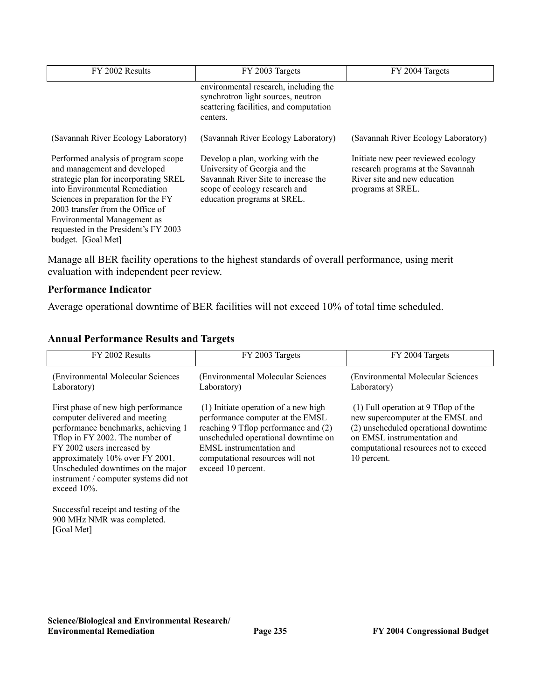| FY 2002 Results                                                                                                                                                                                                                                                                                                       | FY 2003 Targets                                                                                                                                                          | FY 2004 Targets                                                                                                              |
|-----------------------------------------------------------------------------------------------------------------------------------------------------------------------------------------------------------------------------------------------------------------------------------------------------------------------|--------------------------------------------------------------------------------------------------------------------------------------------------------------------------|------------------------------------------------------------------------------------------------------------------------------|
|                                                                                                                                                                                                                                                                                                                       | environmental research, including the<br>synchrotron light sources, neutron<br>scattering facilities, and computation<br>centers.                                        |                                                                                                                              |
| (Savannah River Ecology Laboratory)                                                                                                                                                                                                                                                                                   | (Savannah River Ecology Laboratory)                                                                                                                                      | (Savannah River Ecology Laboratory)                                                                                          |
| Performed analysis of program scope<br>and management and developed<br>strategic plan for incorporating SREL<br>into Environmental Remediation<br>Sciences in preparation for the FY<br>2003 transfer from the Office of<br>Environmental Management as<br>requested in the President's FY 2003<br>budget. [Goal Met] | Develop a plan, working with the<br>University of Georgia and the<br>Savannah River Site to increase the<br>scope of ecology research and<br>education programs at SREL. | Initiate new peer reviewed ecology<br>research programs at the Savannah<br>River site and new education<br>programs at SREL. |

Manage all BER facility operations to the highest standards of overall performance, using merit evaluation with independent peer review.

#### **Performance Indicator**

Average operational downtime of BER facilities will not exceed 10% of total time scheduled.

#### **Annual Performance Results and Targets**

| FY 2002 Results                                                                                                                                                                                                                                                                                                    | FY 2003 Targets                                                                                                                                                                                                                               | FY 2004 Targets                                                                                                                                                                                            |
|--------------------------------------------------------------------------------------------------------------------------------------------------------------------------------------------------------------------------------------------------------------------------------------------------------------------|-----------------------------------------------------------------------------------------------------------------------------------------------------------------------------------------------------------------------------------------------|------------------------------------------------------------------------------------------------------------------------------------------------------------------------------------------------------------|
| (Environmental Molecular Sciences)<br>Laboratory)                                                                                                                                                                                                                                                                  | (Environmental Molecular Sciences)<br>Laboratory)                                                                                                                                                                                             | (Environmental Molecular Sciences<br>Laboratory)                                                                                                                                                           |
| First phase of new high performance<br>computer delivered and meeting<br>performance benchmarks, achieving 1<br>Tflop in FY 2002. The number of<br>FY 2002 users increased by<br>approximately 10% over FY 2001.<br>Unscheduled downtimes on the major<br>instrument / computer systems did not<br>exceed $10\%$ . | (1) Initiate operation of a new high<br>performance computer at the EMSL<br>reaching 9 Tflop performance and (2)<br>unscheduled operational downtime on<br>EMSL instrumentation and<br>computational resources will not<br>exceed 10 percent. | $(1)$ Full operation at 9 Tflop of the<br>new supercomputer at the EMSL and<br>(2) unscheduled operational downtime<br>on EMSL instrumentation and<br>computational resources not to exceed<br>10 percent. |
| Successful receipt and testing of the<br>900 MHz NMR was completed.<br>[Goal Met]                                                                                                                                                                                                                                  |                                                                                                                                                                                                                                               |                                                                                                                                                                                                            |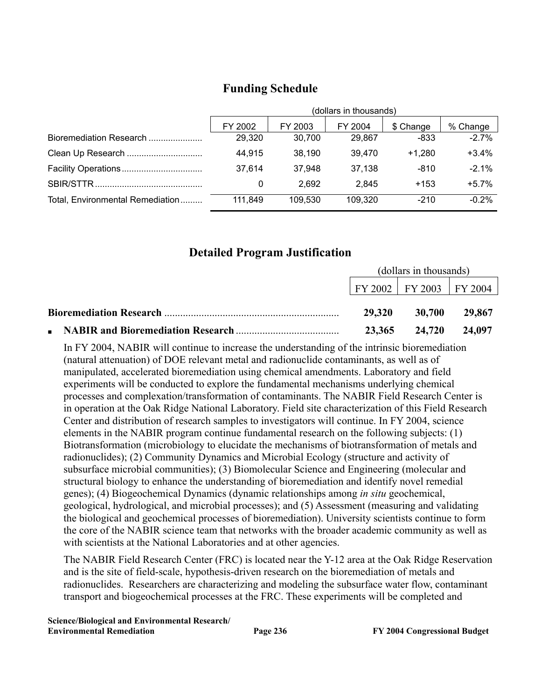|                                  |         | (dollars in thousands)                      |         |          |          |  |
|----------------------------------|---------|---------------------------------------------|---------|----------|----------|--|
|                                  | FY 2002 | % Change<br>FY 2003<br>FY 2004<br>\$ Change |         |          |          |  |
| Bioremediation Research          | 29,320  | 30.700                                      | 29.867  | -833     | $-2.7%$  |  |
| Clean Up Research                | 44,915  | 38,190                                      | 39,470  | $+1.280$ | $+3.4%$  |  |
|                                  | 37,614  | 37,948                                      | 37,138  | $-810$   | $-2.1\%$ |  |
|                                  | 0       | 2.692                                       | 2.845   | $+153$   | $+5.7%$  |  |
| Total, Environmental Remediation | 111.849 | 109.530                                     | 109,320 | $-210$   | $-0.2%$  |  |

### **Funding Schedule**

#### **Detailed Program Justification**

| (dollars in thousands) |                                              |        |
|------------------------|----------------------------------------------|--------|
|                        | $\mid$ FY 2002 $\mid$ FY 2003 $\mid$ FY 2004 |        |
| <b>29.320</b>          | <b>30,700</b>                                | 29.867 |
| 23,365                 | 24,720                                       | 24,097 |

In FY 2004, NABIR will continue to increase the understanding of the intrinsic bioremediation (natural attenuation) of DOE relevant metal and radionuclide contaminants, as well as of manipulated, accelerated bioremediation using chemical amendments. Laboratory and field experiments will be conducted to explore the fundamental mechanisms underlying chemical processes and complexation/transformation of contaminants. The NABIR Field Research Center is in operation at the Oak Ridge National Laboratory. Field site characterization of this Field Research Center and distribution of research samples to investigators will continue. In FY 2004, science elements in the NABIR program continue fundamental research on the following subjects: (1) Biotransformation (microbiology to elucidate the mechanisms of biotransformation of metals and radionuclides); (2) Community Dynamics and Microbial Ecology (structure and activity of subsurface microbial communities); (3) Biomolecular Science and Engineering (molecular and structural biology to enhance the understanding of bioremediation and identify novel remedial genes); (4) Biogeochemical Dynamics (dynamic relationships among *in situ* geochemical, geological, hydrological, and microbial processes); and (5) Assessment (measuring and validating the biological and geochemical processes of bioremediation). University scientists continue to form the core of the NABIR science team that networks with the broader academic community as well as with scientists at the National Laboratories and at other agencies.

The NABIR Field Research Center (FRC) is located near the Y-12 area at the Oak Ridge Reservation and is the site of field-scale, hypothesis-driven research on the bioremediation of metals and radionuclides. Researchers are characterizing and modeling the subsurface water flow, contaminant transport and biogeochemical processes at the FRC. These experiments will be completed and

**Science/Biological and Environmental Research/ Environmental Remediation Page 236 FY 2004 Congressional Budget**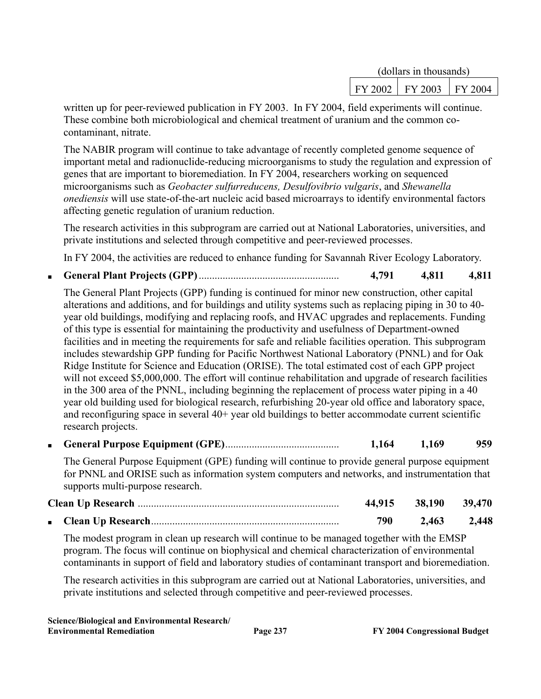|  | (dollars in thousands)      |  |  |
|--|-----------------------------|--|--|
|  | FY 2002   FY 2003   FY 2004 |  |  |

written up for peer-reviewed publication in FY 2003. In FY 2004, field experiments will continue. These combine both microbiological and chemical treatment of uranium and the common cocontaminant, nitrate.

The NABIR program will continue to take advantage of recently completed genome sequence of important metal and radionuclide-reducing microorganisms to study the regulation and expression of genes that are important to bioremediation. In FY 2004, researchers working on sequenced microorganisms such as *Geobacter sulfurreducens, Desulfovibrio vulgaris*, and *Shewanella onediensis* will use state-of-the-art nucleic acid based microarrays to identify environmental factors affecting genetic regulation of uranium reduction.

The research activities in this subprogram are carried out at National Laboratories, universities, and private institutions and selected through competitive and peer-reviewed processes.

In FY 2004, the activities are reduced to enhance funding for Savannah River Ecology Laboratory.

■ **General Plant Projects (GPP)**..................................................... **4,791 4,811 4,811**

The General Plant Projects (GPP) funding is continued for minor new construction, other capital alterations and additions, and for buildings and utility systems such as replacing piping in 30 to 40 year old buildings, modifying and replacing roofs, and HVAC upgrades and replacements. Funding of this type is essential for maintaining the productivity and usefulness of Department-owned facilities and in meeting the requirements for safe and reliable facilities operation. This subprogram includes stewardship GPP funding for Pacific Northwest National Laboratory (PNNL) and for Oak Ridge Institute for Science and Education (ORISE). The total estimated cost of each GPP project will not exceed \$5,000,000. The effort will continue rehabilitation and upgrade of research facilities in the 300 area of the PNNL, including beginning the replacement of process water piping in a 40 year old building used for biological research, refurbishing 20-year old office and laboratory space, and reconfiguring space in several 40+ year old buildings to better accommodate current scientific research projects.

■ **General Purpose Equipment (GPE)**........................................... **1,164 1,169 959**

The General Purpose Equipment (GPE) funding will continue to provide general purpose equipment for PNNL and ORISE such as information system computers and networks, and instrumentation that supports multi-purpose research.

|  |     | 44,915 38,190 39,470 |       |
|--|-----|----------------------|-------|
|  | 790 | 2,463                | 2,448 |

The modest program in clean up research will continue to be managed together with the EMSP program. The focus will continue on biophysical and chemical characterization of environmental contaminants in support of field and laboratory studies of contaminant transport and bioremediation.

The research activities in this subprogram are carried out at National Laboratories, universities, and private institutions and selected through competitive and peer-reviewed processes.

**Science/Biological and Environmental Research/ Environmental Remediation Page 237 FY 2004 Congressional Budget**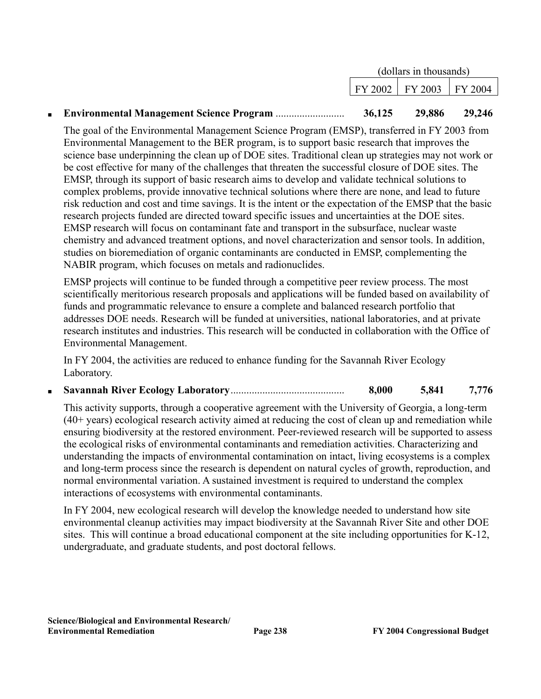|                                                  | (dollars in thousands) |                                     |        |
|--------------------------------------------------|------------------------|-------------------------------------|--------|
|                                                  |                        | $\vert$ FY 2002   FY 2003   FY 2004 |        |
| <b>Environmental Management Science Program </b> | 36,125                 | 29,886                              | 29,246 |

The goal of the Environmental Management Science Program (EMSP), transferred in FY 2003 from Environmental Management to the BER program, is to support basic research that improves the science base underpinning the clean up of DOE sites. Traditional clean up strategies may not work or be cost effective for many of the challenges that threaten the successful closure of DOE sites. The EMSP, through its support of basic research aims to develop and validate technical solutions to complex problems, provide innovative technical solutions where there are none, and lead to future risk reduction and cost and time savings. It is the intent or the expectation of the EMSP that the basic research projects funded are directed toward specific issues and uncertainties at the DOE sites. EMSP research will focus on contaminant fate and transport in the subsurface, nuclear waste chemistry and advanced treatment options, and novel characterization and sensor tools. In addition, studies on bioremediation of organic contaminants are conducted in EMSP, complementing the NABIR program, which focuses on metals and radionuclides.

EMSP projects will continue to be funded through a competitive peer review process. The most scientifically meritorious research proposals and applications will be funded based on availability of funds and programmatic relevance to ensure a complete and balanced research portfolio that addresses DOE needs. Research will be funded at universities, national laboratories, and at private research institutes and industries. This research will be conducted in collaboration with the Office of Environmental Management.

In FY 2004, the activities are reduced to enhance funding for the Savannah River Ecology Laboratory.

■ **Savannah River Ecology Laboratory**........................................... **8,000 5,841 7,776**

This activity supports, through a cooperative agreement with the University of Georgia, a long-term (40+ years) ecological research activity aimed at reducing the cost of clean up and remediation while ensuring biodiversity at the restored environment. Peer-reviewed research will be supported to assess the ecological risks of environmental contaminants and remediation activities. Characterizing and understanding the impacts of environmental contamination on intact, living ecosystems is a complex and long-term process since the research is dependent on natural cycles of growth, reproduction, and normal environmental variation. A sustained investment is required to understand the complex interactions of ecosystems with environmental contaminants.

In FY 2004, new ecological research will develop the knowledge needed to understand how site environmental cleanup activities may impact biodiversity at the Savannah River Site and other DOE sites. This will continue a broad educational component at the site including opportunities for K-12, undergraduate, and graduate students, and post doctoral fellows.

■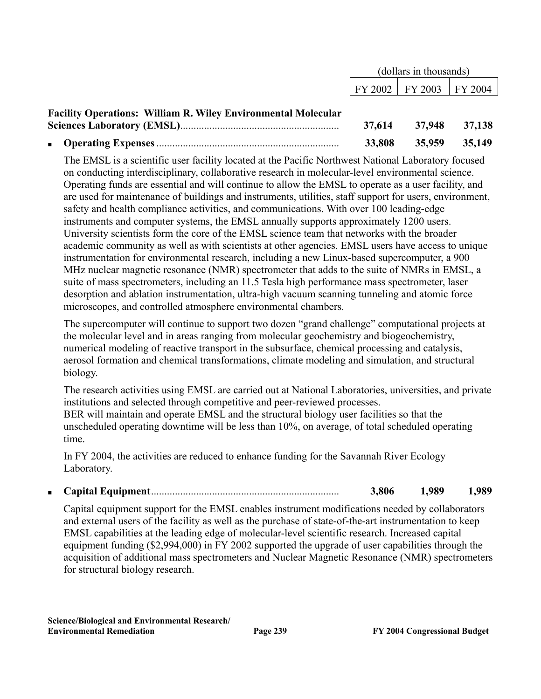|                                                                      | (dollars in thousands) |                             |               |
|----------------------------------------------------------------------|------------------------|-----------------------------|---------------|
|                                                                      |                        | FY 2002   FY 2003   FY 2004 |               |
| <b>Facility Operations: William R. Wiley Environmental Molecular</b> |                        |                             |               |
|                                                                      | 37,614                 |                             | 37,948 37,138 |
|                                                                      | 33,808                 |                             | 35,959 35,149 |

The EMSL is a scientific user facility located at the Pacific Northwest National Laboratory focused on conducting interdisciplinary, collaborative research in molecular-level environmental science. Operating funds are essential and will continue to allow the EMSL to operate as a user facility, and are used for maintenance of buildings and instruments, utilities, staff support for users, environment, safety and health compliance activities, and communications. With over 100 leading-edge instruments and computer systems, the EMSL annually supports approximately 1200 users. University scientists form the core of the EMSL science team that networks with the broader academic community as well as with scientists at other agencies. EMSL users have access to unique instrumentation for environmental research, including a new Linux-based supercomputer, a 900 MHz nuclear magnetic resonance (NMR) spectrometer that adds to the suite of NMRs in EMSL, a suite of mass spectrometers, including an 11.5 Tesla high performance mass spectrometer, laser desorption and ablation instrumentation, ultra-high vacuum scanning tunneling and atomic force microscopes, and controlled atmosphere environmental chambers.

The supercomputer will continue to support two dozen "grand challenge" computational projects at the molecular level and in areas ranging from molecular geochemistry and biogeochemistry, numerical modeling of reactive transport in the subsurface, chemical processing and catalysis, aerosol formation and chemical transformations, climate modeling and simulation, and structural biology.

The research activities using EMSL are carried out at National Laboratories, universities, and private institutions and selected through competitive and peer-reviewed processes. BER will maintain and operate EMSL and the structural biology user facilities so that the unscheduled operating downtime will be less than 10%, on average, of total scheduled operating time.

In FY 2004, the activities are reduced to enhance funding for the Savannah River Ecology Laboratory.

■ **Capital Equipment**....................................................................... **3,806 1,989 1,989**

Capital equipment support for the EMSL enables instrument modifications needed by collaborators and external users of the facility as well as the purchase of state-of-the-art instrumentation to keep EMSL capabilities at the leading edge of molecular-level scientific research. Increased capital equipment funding (\$2,994,000) in FY 2002 supported the upgrade of user capabilities through the acquisition of additional mass spectrometers and Nuclear Magnetic Resonance (NMR) spectrometers for structural biology research.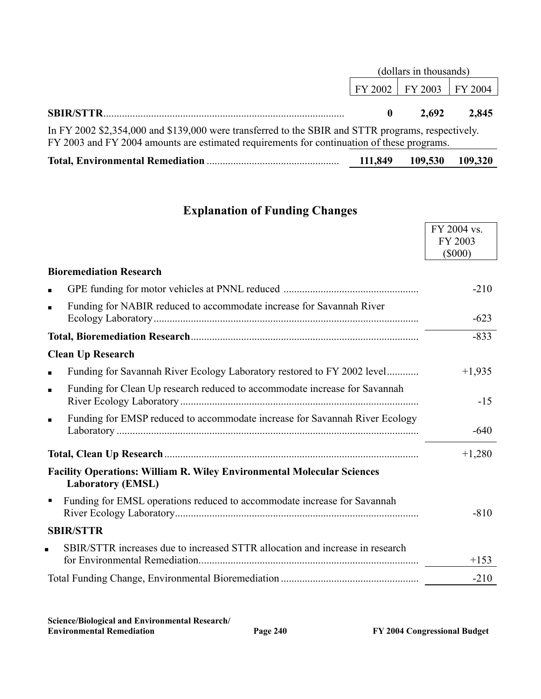|                                                                                                                                                                                                  | (dollars in thousands) |                             |       |  |
|--------------------------------------------------------------------------------------------------------------------------------------------------------------------------------------------------|------------------------|-----------------------------|-------|--|
|                                                                                                                                                                                                  |                        | FY 2002   FY 2003   FY 2004 |       |  |
|                                                                                                                                                                                                  |                        | 2.692                       | 2,845 |  |
| In FY 2002 \$2,354,000 and \$139,000 were transferred to the SBIR and STTR programs, respectively.<br>FY 2003 and FY 2004 amounts are estimated requirements for continuation of these programs. |                        |                             |       |  |

| 111,849 | 109,530 109,320 |  |
|---------|-----------------|--|
|         |                 |  |

## **Explanation of Funding Changes**

|                                                                                                           | FY 2004 vs.<br>FY 2003 |
|-----------------------------------------------------------------------------------------------------------|------------------------|
|                                                                                                           | $($ \$000)             |
| <b>Bioremediation Research</b>                                                                            |                        |
|                                                                                                           | $-210$                 |
| Funding for NABIR reduced to accommodate increase for Savannah River<br>$\blacksquare$                    | $-623$                 |
|                                                                                                           | $-833$                 |
| <b>Clean Up Research</b>                                                                                  |                        |
| Funding for Savannah River Ecology Laboratory restored to FY 2002 level<br>$\blacksquare$                 | $+1,935$               |
| Funding for Clean Up research reduced to accommodate increase for Savannah<br>$\blacksquare$              | $-15$                  |
| Funding for EMSP reduced to accommodate increase for Savannah River Ecology<br>$\blacksquare$             | $-640$                 |
|                                                                                                           | $+1,280$               |
| <b>Facility Operations: William R. Wiley Environmental Molecular Sciences</b><br><b>Laboratory (EMSL)</b> |                        |
| Funding for EMSL operations reduced to accommodate increase for Savannah<br>$\blacksquare$                | $-810$                 |
| <b>SBIR/STTR</b>                                                                                          |                        |
| SBIR/STTR increases due to increased STTR allocation and increase in research<br>$\blacksquare$           | $+153$                 |
|                                                                                                           | $-210$                 |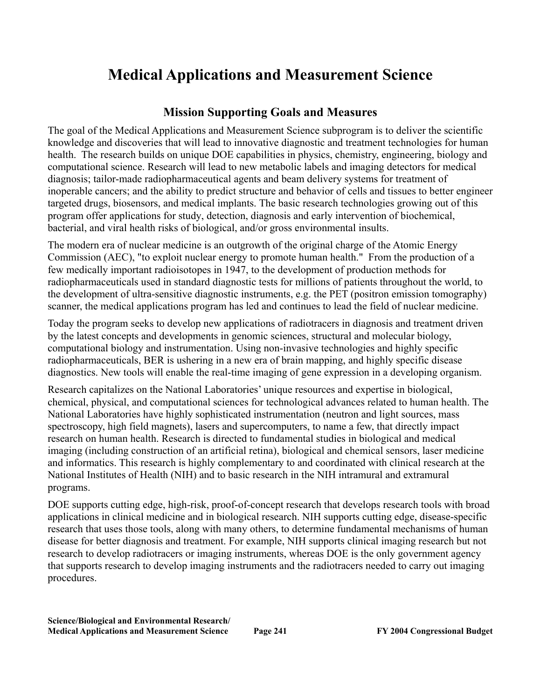# **Medical Applications and Measurement Science**

#### **Mission Supporting Goals and Measures**

The goal of the Medical Applications and Measurement Science subprogram is to deliver the scientific knowledge and discoveries that will lead to innovative diagnostic and treatment technologies for human health. The research builds on unique DOE capabilities in physics, chemistry, engineering, biology and computational science. Research will lead to new metabolic labels and imaging detectors for medical diagnosis; tailor-made radiopharmaceutical agents and beam delivery systems for treatment of inoperable cancers; and the ability to predict structure and behavior of cells and tissues to better engineer targeted drugs, biosensors, and medical implants. The basic research technologies growing out of this program offer applications for study, detection, diagnosis and early intervention of biochemical, bacterial, and viral health risks of biological, and/or gross environmental insults.

The modern era of nuclear medicine is an outgrowth of the original charge of the Atomic Energy Commission (AEC), "to exploit nuclear energy to promote human health." From the production of a few medically important radioisotopes in 1947, to the development of production methods for radiopharmaceuticals used in standard diagnostic tests for millions of patients throughout the world, to the development of ultra-sensitive diagnostic instruments, e.g. the PET (positron emission tomography) scanner, the medical applications program has led and continues to lead the field of nuclear medicine.

Today the program seeks to develop new applications of radiotracers in diagnosis and treatment driven by the latest concepts and developments in genomic sciences, structural and molecular biology, computational biology and instrumentation. Using non-invasive technologies and highly specific radiopharmaceuticals, BER is ushering in a new era of brain mapping, and highly specific disease diagnostics. New tools will enable the real-time imaging of gene expression in a developing organism.

Research capitalizes on the National Laboratories' unique resources and expertise in biological, chemical, physical, and computational sciences for technological advances related to human health. The National Laboratories have highly sophisticated instrumentation (neutron and light sources, mass spectroscopy, high field magnets), lasers and supercomputers, to name a few, that directly impact research on human health. Research is directed to fundamental studies in biological and medical imaging (including construction of an artificial retina), biological and chemical sensors, laser medicine and informatics. This research is highly complementary to and coordinated with clinical research at the National Institutes of Health (NIH) and to basic research in the NIH intramural and extramural programs.

DOE supports cutting edge, high-risk, proof-of-concept research that develops research tools with broad applications in clinical medicine and in biological research. NIH supports cutting edge, disease-specific research that uses those tools, along with many others, to determine fundamental mechanisms of human disease for better diagnosis and treatment. For example, NIH supports clinical imaging research but not research to develop radiotracers or imaging instruments, whereas DOE is the only government agency that supports research to develop imaging instruments and the radiotracers needed to carry out imaging procedures.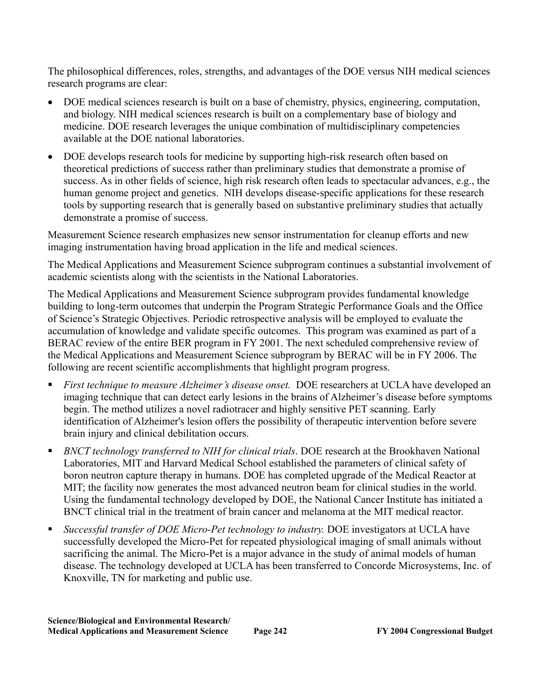The philosophical differences, roles, strengths, and advantages of the DOE versus NIH medical sciences research programs are clear:

- DOE medical sciences research is built on a base of chemistry, physics, engineering, computation, and biology. NIH medical sciences research is built on a complementary base of biology and medicine. DOE research leverages the unique combination of multidisciplinary competencies available at the DOE national laboratories.
- DOE develops research tools for medicine by supporting high-risk research often based on theoretical predictions of success rather than preliminary studies that demonstrate a promise of success. As in other fields of science, high risk research often leads to spectacular advances, e.g., the human genome project and genetics. NIH develops disease-specific applications for these research tools by supporting research that is generally based on substantive preliminary studies that actually demonstrate a promise of success.

Measurement Science research emphasizes new sensor instrumentation for cleanup efforts and new imaging instrumentation having broad application in the life and medical sciences.

The Medical Applications and Measurement Science subprogram continues a substantial involvement of academic scientists along with the scientists in the National Laboratories.

The Medical Applications and Measurement Science subprogram provides fundamental knowledge building to long-term outcomes that underpin the Program Strategic Performance Goals and the Office of Science's Strategic Objectives. Periodic retrospective analysis will be employed to evaluate the accumulation of knowledge and validate specific outcomes. This program was examined as part of a BERAC review of the entire BER program in FY 2001. The next scheduled comprehensive review of the Medical Applications and Measurement Science subprogram by BERAC will be in FY 2006. The following are recent scientific accomplishments that highlight program progress.

- *First technique to measure Alzheimer's disease onset.* DOE researchers at UCLA have developed an imaging technique that can detect early lesions in the brains of Alzheimer's disease before symptoms begin. The method utilizes a novel radiotracer and highly sensitive PET scanning. Early identification of Alzheimer's lesion offers the possibility of therapeutic intervention before severe brain injury and clinical debilitation occurs.
- *BNCT technology transferred to NIH for clinical trials*. DOE research at the Brookhaven National Laboratories, MIT and Harvard Medical School established the parameters of clinical safety of boron neutron capture therapy in humans. DOE has completed upgrade of the Medical Reactor at MIT; the facility now generates the most advanced neutron beam for clinical studies in the world. Using the fundamental technology developed by DOE, the National Cancer Institute has initiated a BNCT clinical trial in the treatment of brain cancer and melanoma at the MIT medical reactor.
- *Successful transfer of DOE Micro-Pet technology to industry.* DOE investigators at UCLA have successfully developed the Micro-Pet for repeated physiological imaging of small animals without sacrificing the animal. The Micro-Pet is a major advance in the study of animal models of human disease. The technology developed at UCLA has been transferred to Concorde Microsystems, Inc. of Knoxville, TN for marketing and public use.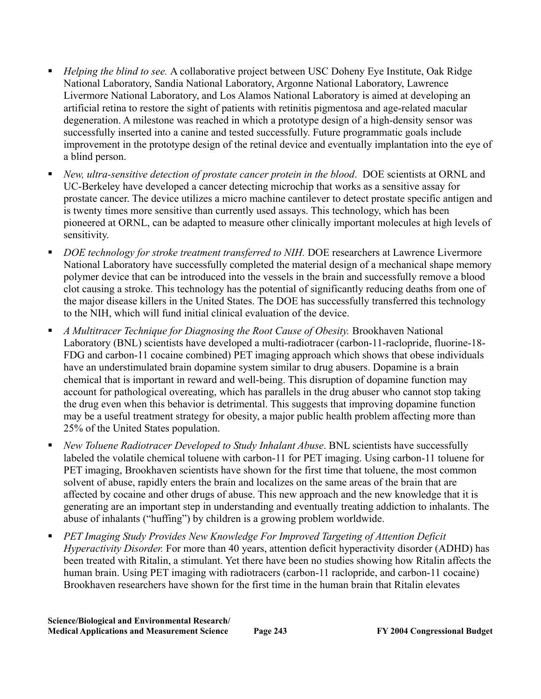- *Helping the blind to see.* A collaborative project between USC Doheny Eye Institute, Oak Ridge National Laboratory, Sandia National Laboratory, Argonne National Laboratory, Lawrence Livermore National Laboratory, and Los Alamos National Laboratory is aimed at developing an artificial retina to restore the sight of patients with retinitis pigmentosa and age-related macular degeneration. A milestone was reached in which a prototype design of a high-density sensor was successfully inserted into a canine and tested successfully. Future programmatic goals include improvement in the prototype design of the retinal device and eventually implantation into the eye of a blind person.
- *New, ultra-sensitive detection of prostate cancer protein in the blood*. DOE scientists at ORNL and UC-Berkeley have developed a cancer detecting microchip that works as a sensitive assay for prostate cancer. The device utilizes a micro machine cantilever to detect prostate specific antigen and is twenty times more sensitive than currently used assays. This technology, which has been pioneered at ORNL, can be adapted to measure other clinically important molecules at high levels of sensitivity.
- **•** *DOE technology for stroke treatment transferred to NIH.* DOE researchers at Lawrence Livermore National Laboratory have successfully completed the material design of a mechanical shape memory polymer device that can be introduced into the vessels in the brain and successfully remove a blood clot causing a stroke. This technology has the potential of significantly reducing deaths from one of the major disease killers in the United States. The DOE has successfully transferred this technology to the NIH, which will fund initial clinical evaluation of the device.
- *A Multitracer Technique for Diagnosing the Root Cause of Obesity.* Brookhaven National Laboratory (BNL) scientists have developed a multi-radiotracer (carbon-11-raclopride, fluorine-18- FDG and carbon-11 cocaine combined) PET imaging approach which shows that obese individuals have an understimulated brain dopamine system similar to drug abusers. Dopamine is a brain chemical that is important in reward and well-being. This disruption of dopamine function may account for pathological overeating, which has parallels in the drug abuser who cannot stop taking the drug even when this behavior is detrimental. This suggests that improving dopamine function may be a useful treatment strategy for obesity, a major public health problem affecting more than 25% of the United States population.
- *New Toluene Radiotracer Developed to Study Inhalant Abuse*. BNL scientists have successfully labeled the volatile chemical toluene with carbon-11 for PET imaging. Using carbon-11 toluene for PET imaging, Brookhaven scientists have shown for the first time that toluene, the most common solvent of abuse, rapidly enters the brain and localizes on the same areas of the brain that are affected by cocaine and other drugs of abuse. This new approach and the new knowledge that it is generating are an important step in understanding and eventually treating addiction to inhalants. The abuse of inhalants ("huffing") by children is a growing problem worldwide.
- *PET Imaging Study Provides New Knowledge For Improved Targeting of Attention Deficit Hyperactivity Disorder.* For more than 40 years, attention deficit hyperactivity disorder (ADHD) has been treated with Ritalin, a stimulant. Yet there have been no studies showing how Ritalin affects the human brain. Using PET imaging with radiotracers (carbon-11 raclopride, and carbon-11 cocaine) Brookhaven researchers have shown for the first time in the human brain that Ritalin elevates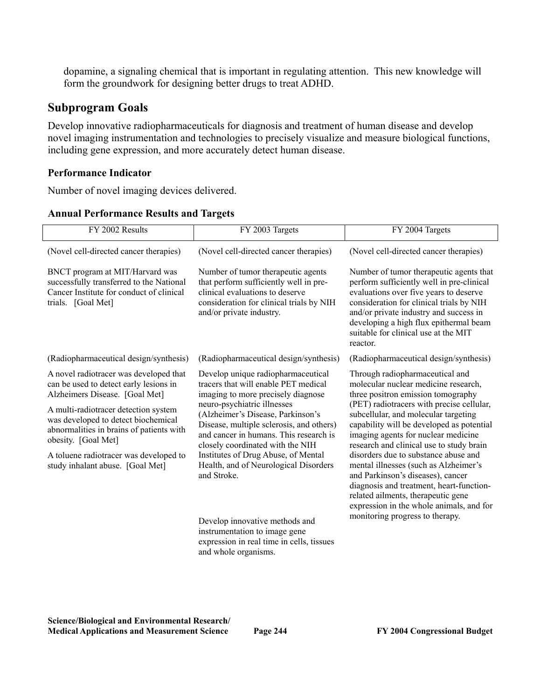dopamine, a signaling chemical that is important in regulating attention. This new knowledge will form the groundwork for designing better drugs to treat ADHD.

### **Subprogram Goals**

Develop innovative radiopharmaceuticals for diagnosis and treatment of human disease and develop novel imaging instrumentation and technologies to precisely visualize and measure biological functions, including gene expression, and more accurately detect human disease.

#### **Performance Indicator**

Number of novel imaging devices delivered.

| FY 2002 Results                                                                                                                                                                                                                                                                                                                                    | FY 2003 Targets                                                                                                                                                                                                                                                                                                                                                                                               | FY 2004 Targets                                                                                                                                                                                                                                                                                                                                                                                                                                                                                                                                                                        |
|----------------------------------------------------------------------------------------------------------------------------------------------------------------------------------------------------------------------------------------------------------------------------------------------------------------------------------------------------|---------------------------------------------------------------------------------------------------------------------------------------------------------------------------------------------------------------------------------------------------------------------------------------------------------------------------------------------------------------------------------------------------------------|----------------------------------------------------------------------------------------------------------------------------------------------------------------------------------------------------------------------------------------------------------------------------------------------------------------------------------------------------------------------------------------------------------------------------------------------------------------------------------------------------------------------------------------------------------------------------------------|
| (Novel cell-directed cancer therapies)                                                                                                                                                                                                                                                                                                             | (Novel cell-directed cancer therapies)                                                                                                                                                                                                                                                                                                                                                                        | (Novel cell-directed cancer therapies)                                                                                                                                                                                                                                                                                                                                                                                                                                                                                                                                                 |
| BNCT program at MIT/Harvard was<br>successfully transferred to the National<br>Cancer Institute for conduct of clinical<br>trials. [Goal Met]                                                                                                                                                                                                      | Number of tumor therapeutic agents<br>that perform sufficiently well in pre-<br>clinical evaluations to deserve<br>consideration for clinical trials by NIH<br>and/or private industry.                                                                                                                                                                                                                       | Number of tumor therapeutic agents that<br>perform sufficiently well in pre-clinical<br>evaluations over five years to deserve<br>consideration for clinical trials by NIH<br>and/or private industry and success in<br>developing a high flux epithermal beam<br>suitable for clinical use at the MIT<br>reactor.                                                                                                                                                                                                                                                                     |
| (Radiopharmaceutical design/synthesis)                                                                                                                                                                                                                                                                                                             | (Radiopharmaceutical design/synthesis)                                                                                                                                                                                                                                                                                                                                                                        | (Radiopharmaceutical design/synthesis)                                                                                                                                                                                                                                                                                                                                                                                                                                                                                                                                                 |
| A novel radiotracer was developed that<br>can be used to detect early lesions in<br>Alzheimers Disease. [Goal Met]<br>A multi-radiotracer detection system<br>was developed to detect biochemical<br>abnormalities in brains of patients with<br>obesity. [Goal Met]<br>A toluene radiotracer was developed to<br>study inhalant abuse. [Goal Met] | Develop unique radiopharmaceutical<br>tracers that will enable PET medical<br>imaging to more precisely diagnose<br>neuro-psychiatric illnesses<br>(Alzheimer's Disease, Parkinson's<br>Disease, multiple sclerosis, and others)<br>and cancer in humans. This research is<br>closely coordinated with the NIH<br>Institutes of Drug Abuse, of Mental<br>Health, and of Neurological Disorders<br>and Stroke. | Through radiopharmaceutical and<br>molecular nuclear medicine research,<br>three positron emission tomography<br>(PET) radiotracers with precise cellular,<br>subcellular, and molecular targeting<br>capability will be developed as potential<br>imaging agents for nuclear medicine<br>research and clinical use to study brain<br>disorders due to substance abuse and<br>mental illnesses (such as Alzheimer's<br>and Parkinson's diseases), cancer<br>diagnosis and treatment, heart-function-<br>related ailments, therapeutic gene<br>expression in the whole animals, and for |
|                                                                                                                                                                                                                                                                                                                                                    | Develop innovative methods and<br>instrumentation to image gene<br>expression in real time in cells, tissues                                                                                                                                                                                                                                                                                                  | monitoring progress to therapy.                                                                                                                                                                                                                                                                                                                                                                                                                                                                                                                                                        |

#### **Annual Performance Results and Targets**

**Science/Biological and Environmental Research/ Medical Applications and Measurement Science Page 244 FY 2004 Congressional Budget** 

and whole organisms.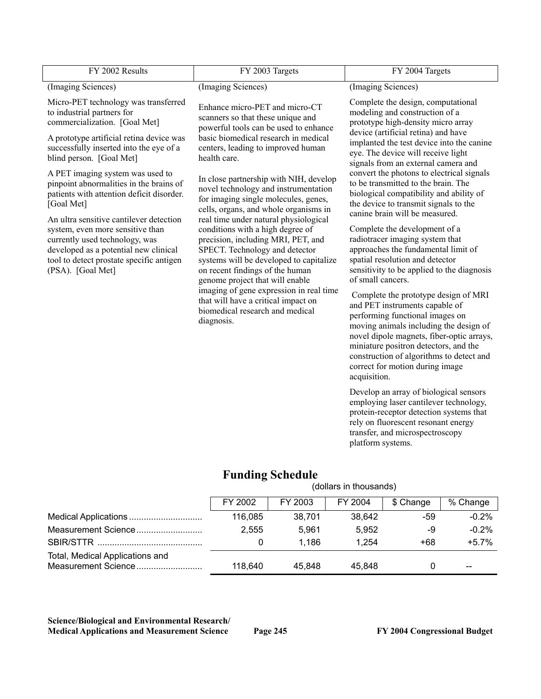| FY 2002 Results                                                                                                                                                                                                         | FY 2003 Targets                                                                                                                                                                                                                                                    | FY 2004 Targets                                                                                                                                                                                                                                                                                                                          |  |
|-------------------------------------------------------------------------------------------------------------------------------------------------------------------------------------------------------------------------|--------------------------------------------------------------------------------------------------------------------------------------------------------------------------------------------------------------------------------------------------------------------|------------------------------------------------------------------------------------------------------------------------------------------------------------------------------------------------------------------------------------------------------------------------------------------------------------------------------------------|--|
| (Imaging Sciences)                                                                                                                                                                                                      | (Imaging Sciences)                                                                                                                                                                                                                                                 | (Imaging Sciences)                                                                                                                                                                                                                                                                                                                       |  |
| Micro-PET technology was transferred<br>to industrial partners for<br>commercialization. [Goal Met]                                                                                                                     | Enhance micro-PET and micro-CT<br>scanners so that these unique and<br>powerful tools can be used to enhance                                                                                                                                                       | Complete the design, computational<br>modeling and construction of a<br>prototype high-density micro array<br>device (artificial retina) and have                                                                                                                                                                                        |  |
| A prototype artificial retina device was<br>successfully inserted into the eye of a<br>blind person. [Goal Met]                                                                                                         | basic biomedical research in medical<br>centers, leading to improved human<br>health care.                                                                                                                                                                         | implanted the test device into the canine<br>eye. The device will receive light<br>signals from an external camera and                                                                                                                                                                                                                   |  |
| A PET imaging system was used to<br>pinpoint abnormalities in the brains of<br>patients with attention deficit disorder.<br>[Goal Met]                                                                                  | In close partnership with NIH, develop<br>novel technology and instrumentation<br>for imaging single molecules, genes,<br>cells, organs, and whole organisms in                                                                                                    | convert the photons to electrical signals<br>to be transmitted to the brain. The<br>biological compatibility and ability of<br>the device to transmit signals to the<br>canine brain will be measured.                                                                                                                                   |  |
| An ultra sensitive cantilever detection<br>system, even more sensitive than<br>currently used technology, was<br>developed as a potential new clinical<br>tool to detect prostate specific antigen<br>(PSA). [Goal Met] | real time under natural physiological<br>conditions with a high degree of<br>precision, including MRI, PET, and<br>SPECT. Technology and detector<br>systems will be developed to capitalize<br>on recent findings of the human<br>genome project that will enable | Complete the development of a<br>radiotracer imaging system that<br>approaches the fundamental limit of<br>spatial resolution and detector<br>sensitivity to be applied to the diagnosis<br>of small cancers.                                                                                                                            |  |
|                                                                                                                                                                                                                         | imaging of gene expression in real time<br>that will have a critical impact on<br>biomedical research and medical<br>diagnosis.                                                                                                                                    | Complete the prototype design of MRI<br>and PET instruments capable of<br>performing functional images on<br>moving animals including the design of<br>novel dipole magnets, fiber-optic arrays,<br>miniature positron detectors, and the<br>construction of algorithms to detect and<br>correct for motion during image<br>acquisition. |  |
|                                                                                                                                                                                                                         |                                                                                                                                                                                                                                                                    | Develop an array of biological sensors<br>employing laser cantilever technology,<br>protein-receptor detection systems that<br>rely on fluorescent resonant energy<br>transfer, and microspectroscopy<br>platform systems.                                                                                                               |  |

## **Funding Schedule**

|                                                        | (dollars in thousands) |         |         |           |          |
|--------------------------------------------------------|------------------------|---------|---------|-----------|----------|
|                                                        | FY 2002                | FY 2003 | FY 2004 | \$ Change | % Change |
|                                                        | 116.085                | 38,701  | 38,642  | -59       | $-0.2%$  |
| Measurement Science                                    | 2.555                  | 5.961   | 5,952   | -9        | $-0.2%$  |
|                                                        | 0                      | 1.186   | 1.254   | +68       | $+5.7%$  |
| Total, Medical Applications and<br>Measurement Science | 118.640                | 45.848  | 45.848  | 0         | $-$      |

#### **Science/Biological and Environmental Research/**  Medical Applications and Measurement Science Page 245 FY 2004 Congressional Budget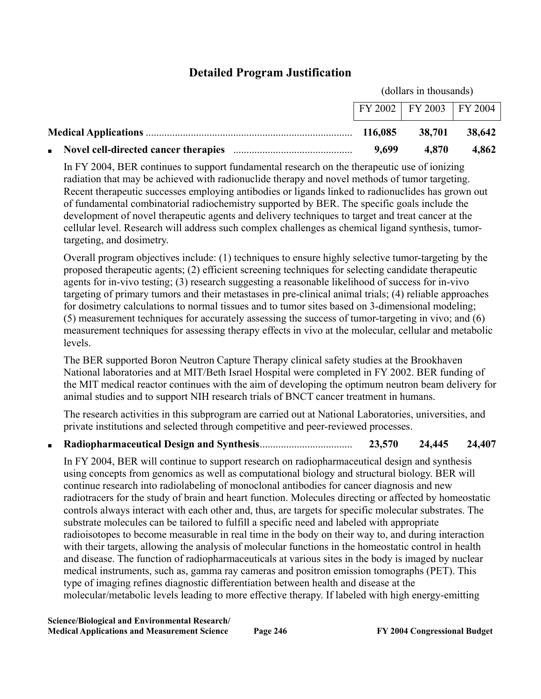## **Detailed Program Justification**

(dollars in thousands)

|         | FY 2002   FY 2003   FY 2004 |               |
|---------|-----------------------------|---------------|
| 116.085 |                             | 38,701 38,642 |
| 9,699   | 4,870                       | 4,862         |

In FY 2004, BER continues to support fundamental research on the therapeutic use of ionizing radiation that may be achieved with radionuclide therapy and novel methods of tumor targeting. Recent therapeutic successes employing antibodies or ligands linked to radionuclides has grown out of fundamental combinatorial radiochemistry supported by BER. The specific goals include the development of novel therapeutic agents and delivery techniques to target and treat cancer at the cellular level. Research will address such complex challenges as chemical ligand synthesis, tumortargeting, and dosimetry.

Overall program objectives include: (1) techniques to ensure highly selective tumor-targeting by the proposed therapeutic agents; (2) efficient screening techniques for selecting candidate therapeutic agents for in-vivo testing; (3) research suggesting a reasonable likelihood of success for in-vivo targeting of primary tumors and their metastases in pre-clinical animal trials; (4) reliable approaches for dosimetry calculations to normal tissues and to tumor sites based on 3-dimensional modeling; (5) measurement techniques for accurately assessing the success of tumor-targeting in vivo; and (6) measurement techniques for assessing therapy effects in vivo at the molecular, cellular and metabolic levels.

The BER supported Boron Neutron Capture Therapy clinical safety studies at the Brookhaven National laboratories and at MIT/Beth Israel Hospital were completed in FY 2002. BER funding of the MIT medical reactor continues with the aim of developing the optimum neutron beam delivery for animal studies and to support NIH research trials of BNCT cancer treatment in humans.

The research activities in this subprogram are carried out at National Laboratories, universities, and private institutions and selected through competitive and peer-reviewed processes.

#### ■ **Radiopharmaceutical Design and Synthesis**................................... **23,570 24,445 24,407**

In FY 2004, BER will continue to support research on radiopharmaceutical design and synthesis using concepts from genomics as well as computational biology and structural biology. BER will continue research into radiolabeling of monoclonal antibodies for cancer diagnosis and new radiotracers for the study of brain and heart function. Molecules directing or affected by homeostatic controls always interact with each other and, thus, are targets for specific molecular substrates. The substrate molecules can be tailored to fulfill a specific need and labeled with appropriate radioisotopes to become measurable in real time in the body on their way to, and during interaction with their targets, allowing the analysis of molecular functions in the homeostatic control in health and disease. The function of radiopharmaceuticals at various sites in the body is imaged by nuclear medical instruments, such as, gamma ray cameras and positron emission tomographs (PET). This type of imaging refines diagnostic differentiation between health and disease at the molecular/metabolic levels leading to more effective therapy. If labeled with high energy-emitting

**Science/Biological and Environmental Research/ Medical Applications and Measurement Science Page 246 FY 2004 Congressional Budget**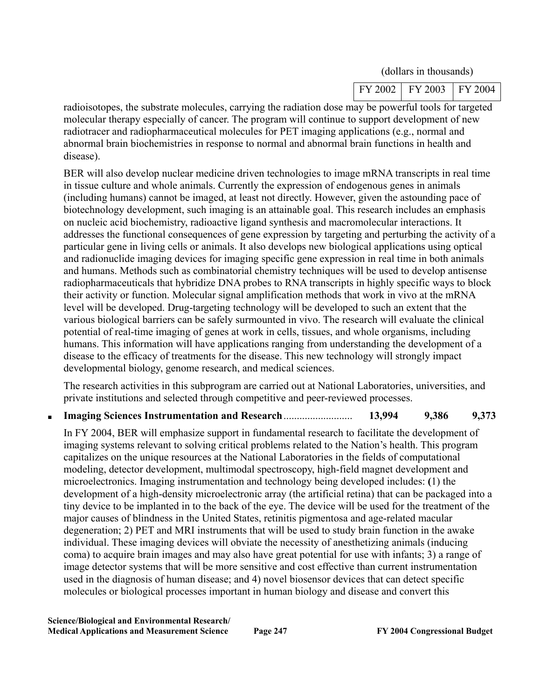|  |  | (dollars in thousands) |
|--|--|------------------------|
|--|--|------------------------|

| FY 2002   FY 2003   FY 2004 |  |
|-----------------------------|--|

radioisotopes, the substrate molecules, carrying the radiation dose may be powerful tools for targeted molecular therapy especially of cancer. The program will continue to support development of new radiotracer and radiopharmaceutical molecules for PET imaging applications (e.g., normal and abnormal brain biochemistries in response to normal and abnormal brain functions in health and disease).

BER will also develop nuclear medicine driven technologies to image mRNA transcripts in real time in tissue culture and whole animals. Currently the expression of endogenous genes in animals (including humans) cannot be imaged, at least not directly. However, given the astounding pace of biotechnology development, such imaging is an attainable goal. This research includes an emphasis on nucleic acid biochemistry, radioactive ligand synthesis and macromolecular interactions. It addresses the functional consequences of gene expression by targeting and perturbing the activity of a particular gene in living cells or animals. It also develops new biological applications using optical and radionuclide imaging devices for imaging specific gene expression in real time in both animals and humans. Methods such as combinatorial chemistry techniques will be used to develop antisense radiopharmaceuticals that hybridize DNA probes to RNA transcripts in highly specific ways to block their activity or function. Molecular signal amplification methods that work in vivo at the mRNA level will be developed. Drug-targeting technology will be developed to such an extent that the various biological barriers can be safely surmounted in vivo. The research will evaluate the clinical potential of real-time imaging of genes at work in cells, tissues, and whole organisms, including humans. This information will have applications ranging from understanding the development of a disease to the efficacy of treatments for the disease. This new technology will strongly impact developmental biology, genome research, and medical sciences.

The research activities in this subprogram are carried out at National Laboratories, universities, and private institutions and selected through competitive and peer-reviewed processes.

### ■ **Imaging Sciences Instrumentation and Research**.......................... **13,994 9,386 9,373**

In FY 2004, BER will emphasize support in fundamental research to facilitate the development of imaging systems relevant to solving critical problems related to the Nation's health. This program capitalizes on the unique resources at the National Laboratories in the fields of computational modeling, detector development, multimodal spectroscopy, high-field magnet development and microelectronics. Imaging instrumentation and technology being developed includes: **(**1) the development of a high-density microelectronic array (the artificial retina) that can be packaged into a tiny device to be implanted in to the back of the eye. The device will be used for the treatment of the major causes of blindness in the United States, retinitis pigmentosa and age-related macular degeneration; 2) PET and MRI instruments that will be used to study brain function in the awake individual. These imaging devices will obviate the necessity of anesthetizing animals (inducing coma) to acquire brain images and may also have great potential for use with infants; 3) a range of image detector systems that will be more sensitive and cost effective than current instrumentation used in the diagnosis of human disease; and 4) novel biosensor devices that can detect specific molecules or biological processes important in human biology and disease and convert this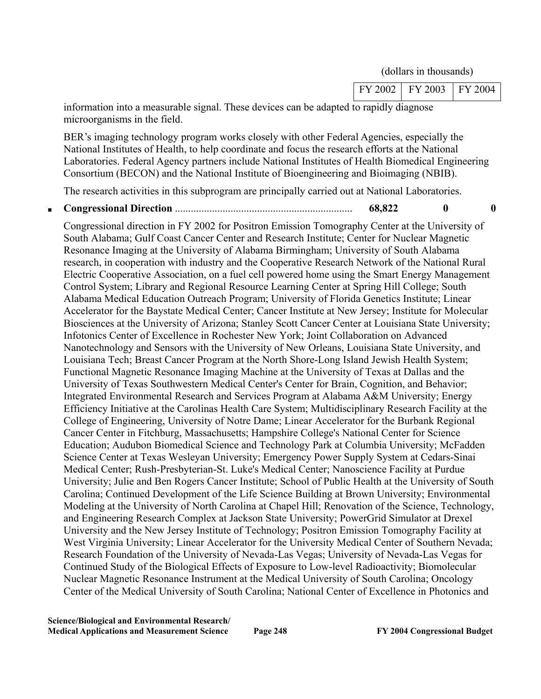(dollars in thousands)

| FY 2002 | FY 2003 | FY 2004 |
|---------|---------|---------|
|---------|---------|---------|

information into a measurable signal. These devices can be adapted to rapidly diagnose microorganisms in the field.

BER's imaging technology program works closely with other Federal Agencies, especially the National Institutes of Health, to help coordinate and focus the research efforts at the National Laboratories. Federal Agency partners include National Institutes of Health Biomedical Engineering Consortium (BECON) and the National Institute of Bioengineering and Bioimaging (NBIB).

The research activities in this subprogram are principally carried out at National Laboratories.

### ■ **Congressional Direction** ................................................................... **68,822 0 0**

Congressional direction in FY 2002 for Positron Emission Tomography Center at the University of South Alabama; Gulf Coast Cancer Center and Research Institute; Center for Nuclear Magnetic Resonance Imaging at the University of Alabama Birmingham; University of South Alabama research, in cooperation with industry and the Cooperative Research Network of the National Rural Electric Cooperative Association, on a fuel cell powered home using the Smart Energy Management Control System; Library and Regional Resource Learning Center at Spring Hill College; South Alabama Medical Education Outreach Program; University of Florida Genetics Institute; Linear Accelerator for the Baystate Medical Center; Cancer Institute at New Jersey; Institute for Molecular Biosciences at the University of Arizona; Stanley Scott Cancer Center at Louisiana State University; Infotonics Center of Excellence in Rochester New York; Joint Collaboration on Advanced Nanotechnology and Sensors with the University of New Orleans, Louisiana State University, and Louisiana Tech; Breast Cancer Program at the North Shore-Long Island Jewish Health System; Functional Magnetic Resonance Imaging Machine at the University of Texas at Dallas and the University of Texas Southwestern Medical Center's Center for Brain, Cognition, and Behavior; Integrated Environmental Research and Services Program at Alabama A&M University; Energy Efficiency Initiative at the Carolinas Health Care System; Multidisciplinary Research Facility at the College of Engineering, University of Notre Dame; Linear Accelerator for the Burbank Regional Cancer Center in Fitchburg, Massachusetts; Hampshire College's National Center for Science Education; Audubon Biomedical Science and Technology Park at Columbia University; McFadden Science Center at Texas Wesleyan University; Emergency Power Supply System at Cedars-Sinai Medical Center; Rush-Presbyterian-St. Luke's Medical Center; Nanoscience Facility at Purdue University; Julie and Ben Rogers Cancer Institute; School of Public Health at the University of South Carolina; Continued Development of the Life Science Building at Brown University; Environmental Modeling at the University of North Carolina at Chapel Hill; Renovation of the Science, Technology, and Engineering Research Complex at Jackson State University; PowerGrid Simulator at Drexel University and the New Jersey Institute of Technology; Positron Emission Tomography Facility at West Virginia University; Linear Accelerator for the University Medical Center of Southern Nevada; Research Foundation of the University of Nevada-Las Vegas; University of Nevada-Las Vegas for Continued Study of the Biological Effects of Exposure to Low-level Radioactivity; Biomolecular Nuclear Magnetic Resonance Instrument at the Medical University of South Carolina; Oncology Center of the Medical University of South Carolina; National Center of Excellence in Photonics and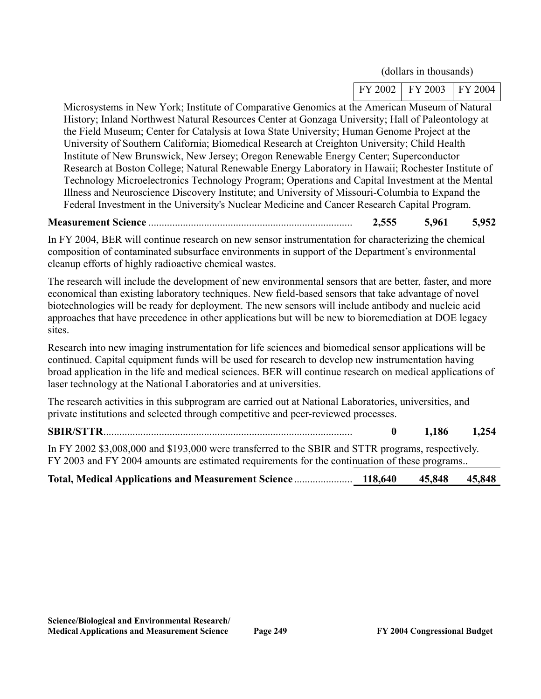(dollars in thousands)

| FY 2002 | $\vert$ FY 2003 | FY 2004 |
|---------|-----------------|---------|

Microsystems in New York; Institute of Comparative Genomics at the American Museum of Natural History; Inland Northwest Natural Resources Center at Gonzaga University; Hall of Paleontology at the Field Museum; Center for Catalysis at Iowa State University; Human Genome Project at the University of Southern California; Biomedical Research at Creighton University; Child Health Institute of New Brunswick, New Jersey; Oregon Renewable Energy Center; Superconductor Research at Boston College; Natural Renewable Energy Laboratory in Hawaii; Rochester Institute of Technology Microelectronics Technology Program; Operations and Capital Investment at the Mental Illness and Neuroscience Discovery Institute; and University of Missouri-Columbia to Expand the Federal Investment in the University's Nuclear Medicine and Cancer Research Capital Program.

### **Measurement Science** ............................................................................. **2,555 5,961 5,952**

In FY 2004, BER will continue research on new sensor instrumentation for characterizing the chemical composition of contaminated subsurface environments in support of the Department's environmental cleanup efforts of highly radioactive chemical wastes.

The research will include the development of new environmental sensors that are better, faster, and more economical than existing laboratory techniques. New field-based sensors that take advantage of novel biotechnologies will be ready for deployment. The new sensors will include antibody and nucleic acid approaches that have precedence in other applications but will be new to bioremediation at DOE legacy sites.

Research into new imaging instrumentation for life sciences and biomedical sensor applications will be continued. Capital equipment funds will be used for research to develop new instrumentation having broad application in the life and medical sciences. BER will continue research on medical applications of laser technology at the National Laboratories and at universities.

The research activities in this subprogram are carried out at National Laboratories, universities, and private institutions and selected through competitive and peer-reviewed processes.

**SBIR/STTR**.............................................................................................. **0 1,186 1,254** In FY 2002 \$3,008,000 and \$193,000 were transferred to the SBIR and STTR programs, respectively. FY 2003 and FY 2004 amounts are estimated requirements for the continuation of these programs..

| <b>Total, Medical Applications and Measurement Science </b> | 118,640 | 45,848 45,848 |  |
|-------------------------------------------------------------|---------|---------------|--|
|                                                             |         |               |  |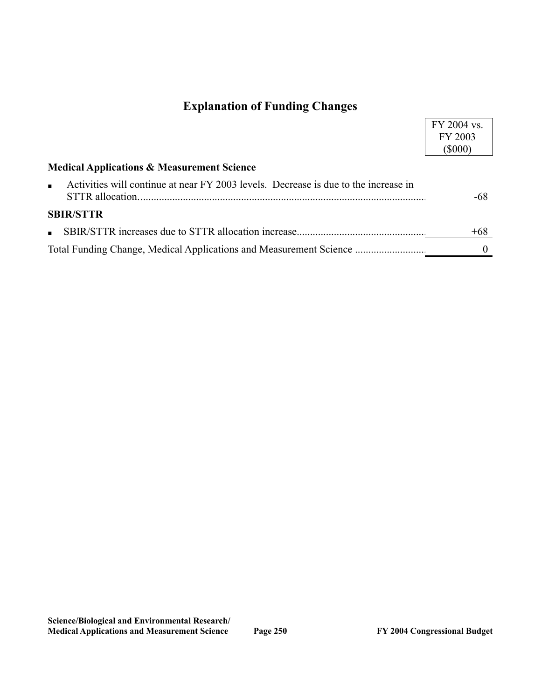## **Explanation of Funding Changes**

|                                                                                                       | FY 2004 vs. |
|-------------------------------------------------------------------------------------------------------|-------------|
|                                                                                                       | FY 2003     |
|                                                                                                       | $($ \$000)  |
| <b>Medical Applications &amp; Measurement Science</b>                                                 |             |
| Activities will continue at near FY 2003 levels. Decrease is due to the increase in<br>$\blacksquare$ | -68         |
| <b>SBIR/STTR</b>                                                                                      |             |
| $\blacksquare$                                                                                        | $+68$       |
| Total Funding Change, Medical Applications and Measurement Science                                    |             |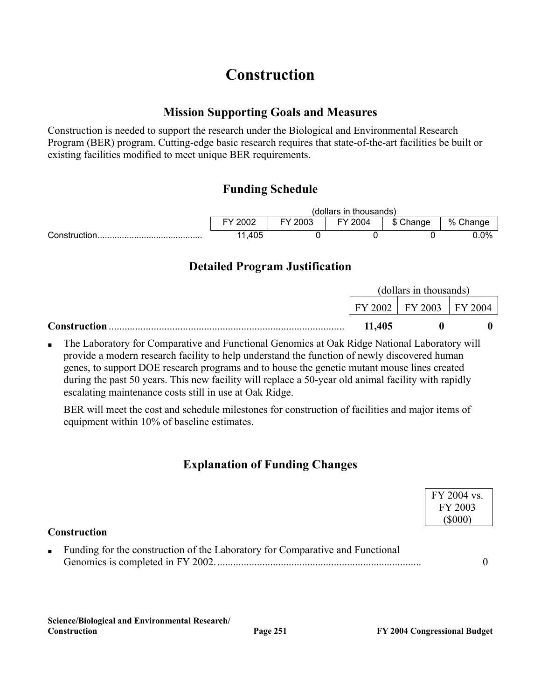## **Construction**

### **Mission Supporting Goals and Measures**

Construction is needed to support the research under the Biological and Environmental Research Program (BER) program. Cutting-edge basic research requires that state-of-the-art facilities be built or existing facilities modified to meet unique BER requirements.

## **Funding Schedule**

|                   | (dollars in thousands)                              |  |  |  |      |  |
|-------------------|-----------------------------------------------------|--|--|--|------|--|
|                   | % Change<br>2002<br>FY 2003<br>FY 2004<br>\$ Change |  |  |  |      |  |
| Construction.<br> | 1,405<br>44                                         |  |  |  | 0.0% |  |

## **Detailed Program Justification**

|                     | (dollars in thousands) |                             |  |
|---------------------|------------------------|-----------------------------|--|
|                     |                        | FY 2002   FY 2003   FY 2004 |  |
| <b>Construction</b> | 11,405                 |                             |  |

The Laboratory for Comparative and Functional Genomics at Oak Ridge National Laboratory will provide a modern research facility to help understand the function of newly discovered human genes, to support DOE research programs and to house the genetic mutant mouse lines created during the past 50 years. This new facility will replace a 50-year old animal facility with rapidly escalating maintenance costs still in use at Oak Ridge.

BER will meet the cost and schedule milestones for construction of facilities and major items of equipment within 10% of baseline estimates.

## **Explanation of Funding Changes**

|                                                                                                 | FY 2004 vs.<br>FY 2003 |
|-------------------------------------------------------------------------------------------------|------------------------|
| <b>Construction</b>                                                                             |                        |
| Funding for the construction of the Laboratory for Comparative and Functional<br>$\mathbf{u}$ . |                        |